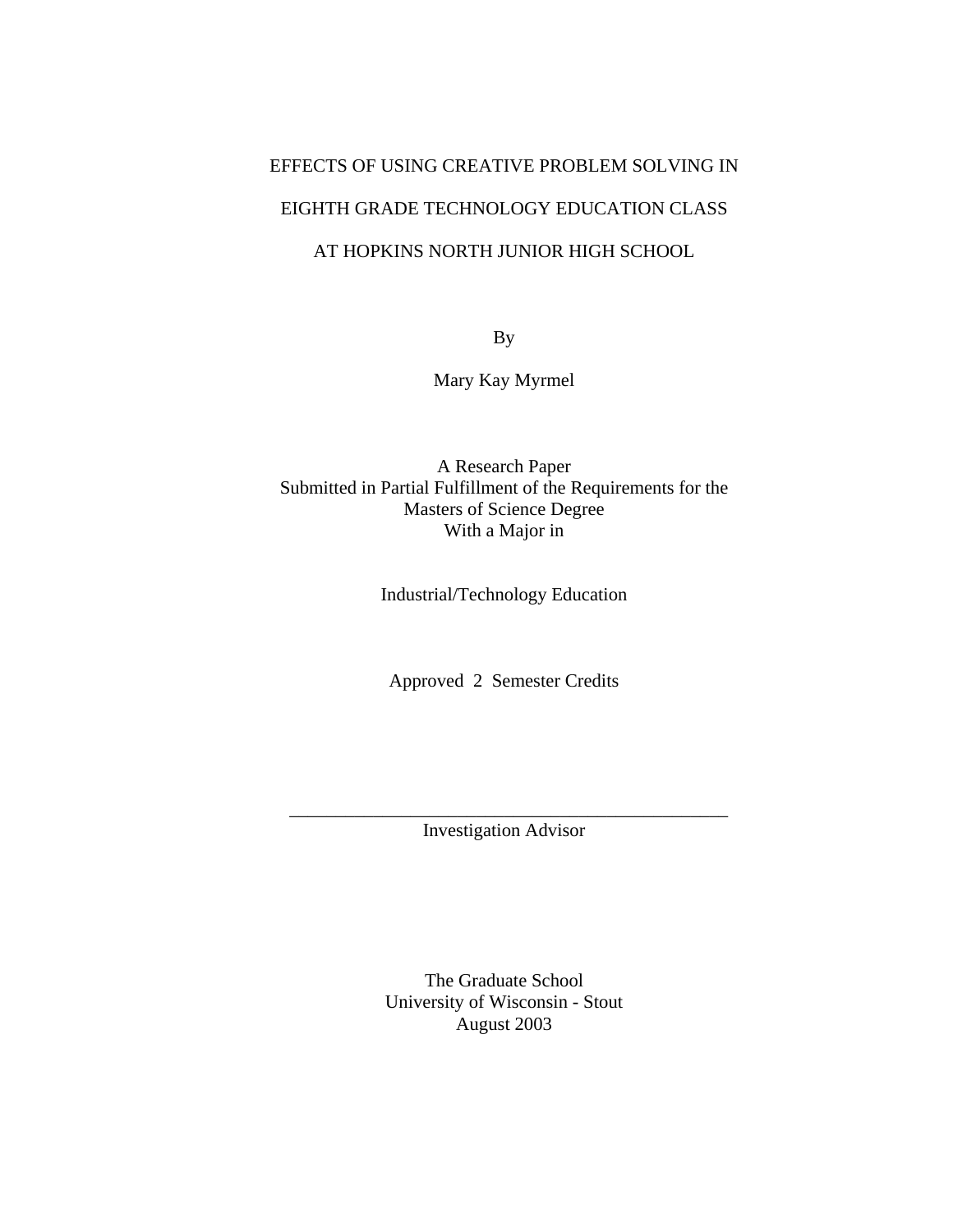# EFFECTS OF USING CREATIVE PROBLEM SOLVING IN EIGHTH GRADE TECHNOLOGY EDUCATION CLASS AT HOPKINS NORTH JUNIOR HIGH SCHOOL

By

Mary Kay Myrmel

A Research Paper Submitted in Partial Fulfillment of the Requirements for the Masters of Science Degree With a Major in

Industrial/Technology Education

Approved 2 Semester Credits

\_\_\_\_\_\_\_\_\_\_\_\_\_\_\_\_\_\_\_\_\_\_\_\_\_\_\_\_\_\_\_\_\_\_\_\_\_\_\_\_\_\_\_\_\_\_\_ Investigation Advisor

> The Graduate School University of Wisconsin - Stout August 2003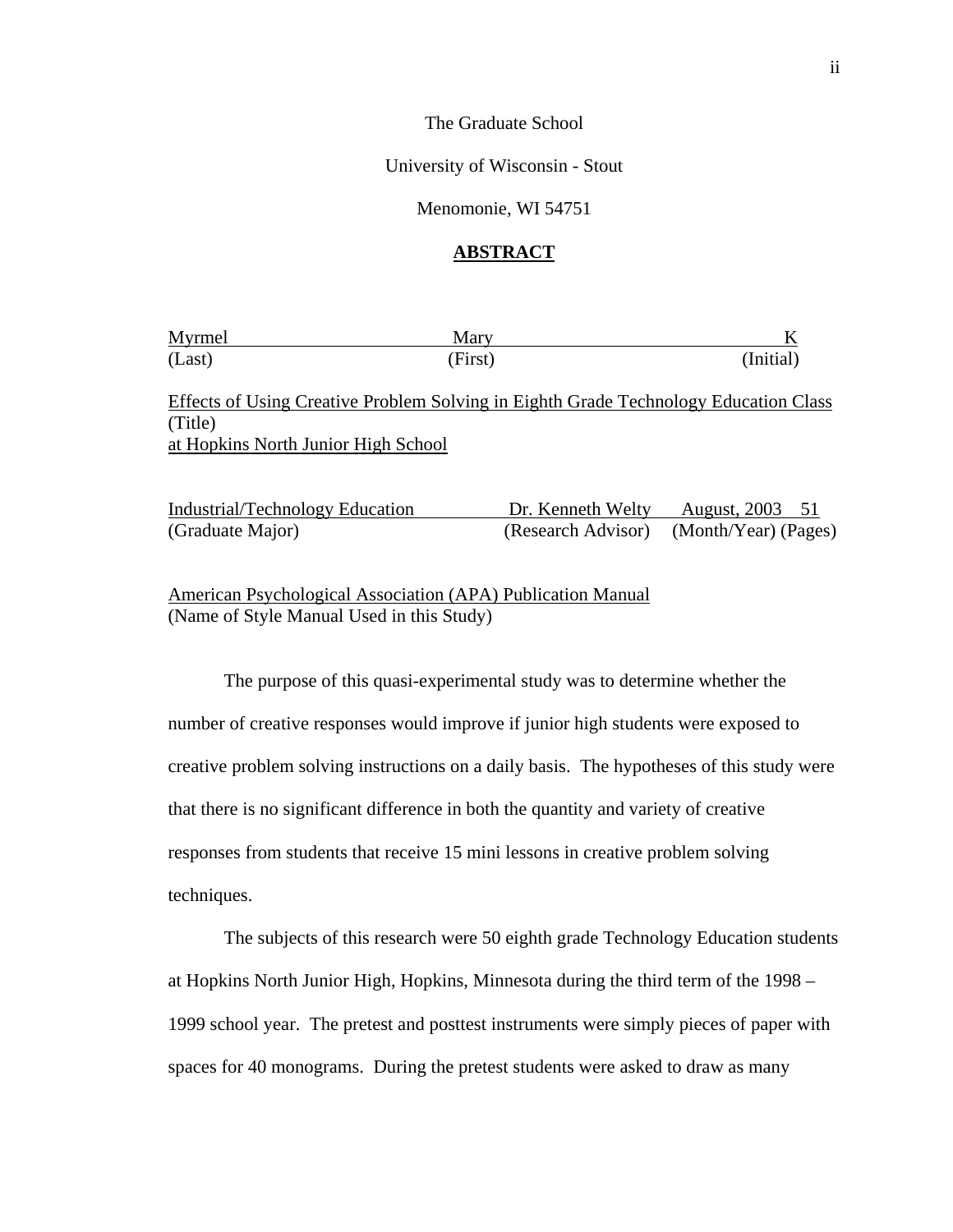The Graduate School

University of Wisconsin - Stout

Menomonie, WI 54751

# **ABSTRACT**

| Myrmel | Mary    |           |
|--------|---------|-----------|
| (Last) | (First) | (Initial) |

Effects of Using Creative Problem Solving in Eighth Grade Technology Education Class (Title) at Hopkins North Junior High School

| Industrial/Technology Education | Dr. Kenneth Welty | August, 2003 51                         |
|---------------------------------|-------------------|-----------------------------------------|
| (Graduate Major)                |                   | (Research Advisor) (Month/Year) (Pages) |

American Psychological Association (APA) Publication Manual (Name of Style Manual Used in this Study)

The purpose of this quasi-experimental study was to determine whether the number of creative responses would improve if junior high students were exposed to creative problem solving instructions on a daily basis. The hypotheses of this study were that there is no significant difference in both the quantity and variety of creative responses from students that receive 15 mini lessons in creative problem solving techniques.

The subjects of this research were 50 eighth grade Technology Education students at Hopkins North Junior High, Hopkins, Minnesota during the third term of the 1998 – 1999 school year. The pretest and posttest instruments were simply pieces of paper with spaces for 40 monograms. During the pretest students were asked to draw as many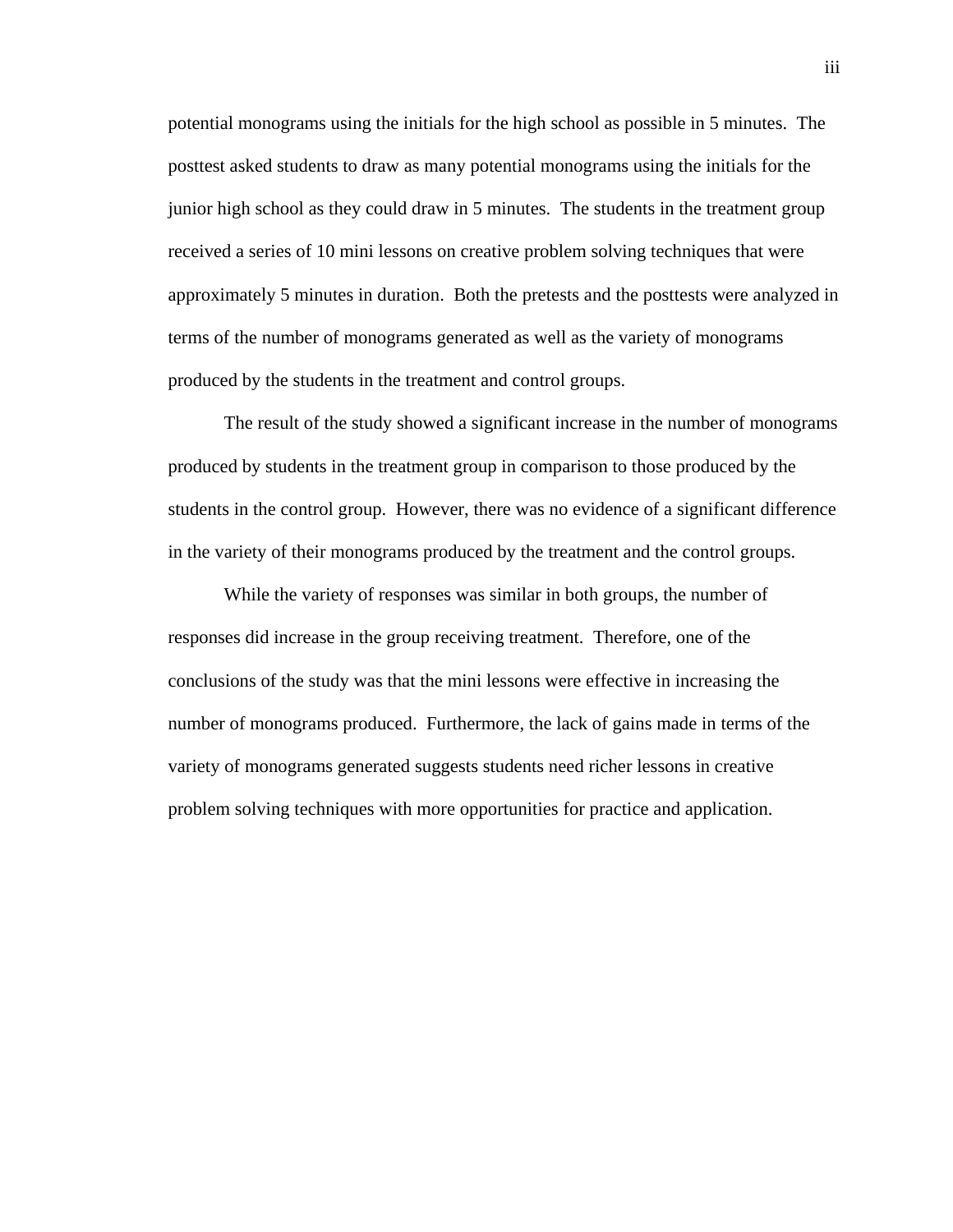potential monograms using the initials for the high school as possible in 5 minutes. The posttest asked students to draw as many potential monograms using the initials for the junior high school as they could draw in 5 minutes. The students in the treatment group received a series of 10 mini lessons on creative problem solving techniques that were approximately 5 minutes in duration. Both the pretests and the posttests were analyzed in terms of the number of monograms generated as well as the variety of monograms produced by the students in the treatment and control groups.

The result of the study showed a significant increase in the number of monograms produced by students in the treatment group in comparison to those produced by the students in the control group. However, there was no evidence of a significant difference in the variety of their monograms produced by the treatment and the control groups.

While the variety of responses was similar in both groups, the number of responses did increase in the group receiving treatment. Therefore, one of the conclusions of the study was that the mini lessons were effective in increasing the number of monograms produced. Furthermore, the lack of gains made in terms of the variety of monograms generated suggests students need richer lessons in creative problem solving techniques with more opportunities for practice and application.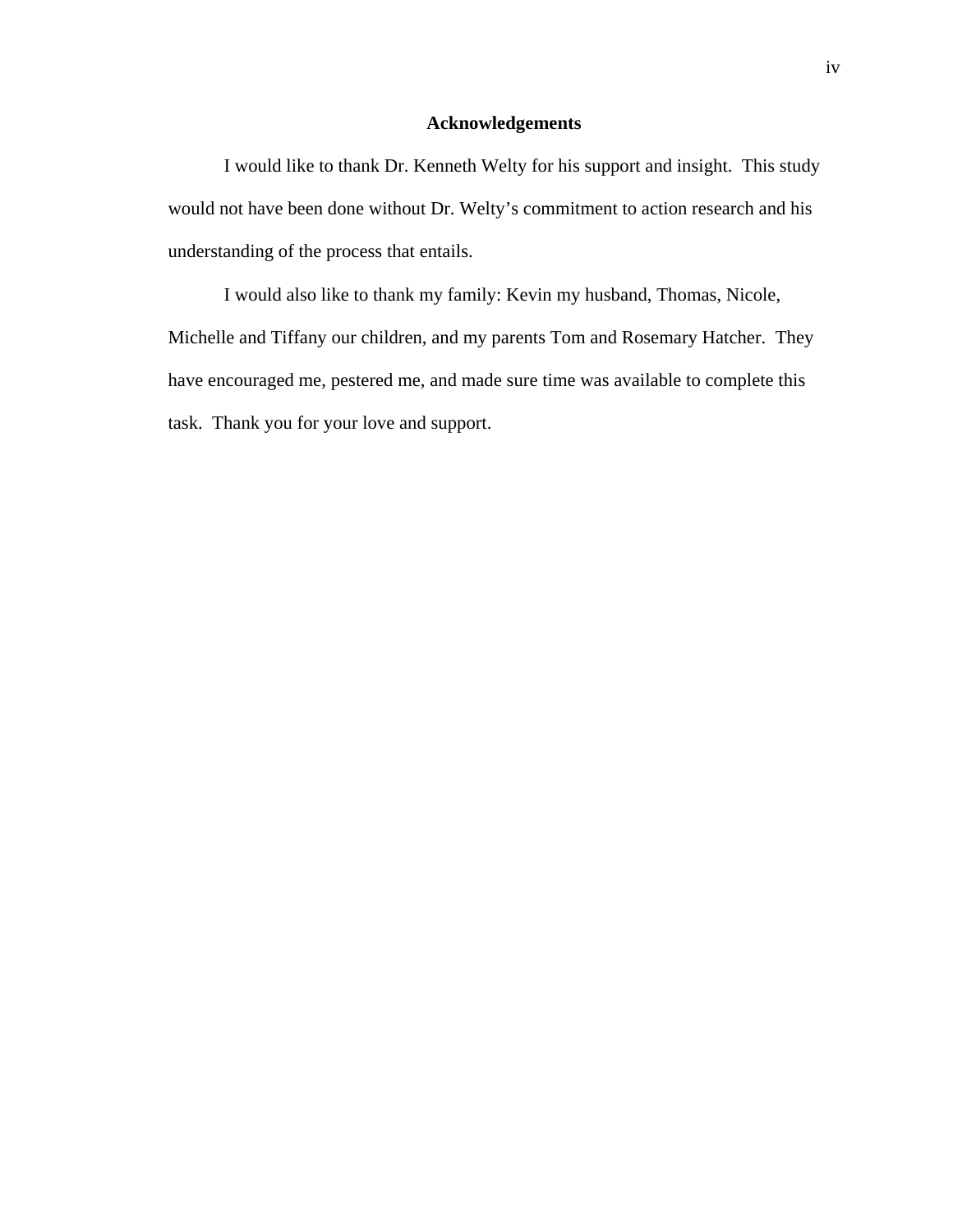# **Acknowledgements**

I would like to thank Dr. Kenneth Welty for his support and insight. This study would not have been done without Dr. Welty's commitment to action research and his understanding of the process that entails.

I would also like to thank my family: Kevin my husband, Thomas, Nicole, Michelle and Tiffany our children, and my parents Tom and Rosemary Hatcher. They have encouraged me, pestered me, and made sure time was available to complete this task. Thank you for your love and support.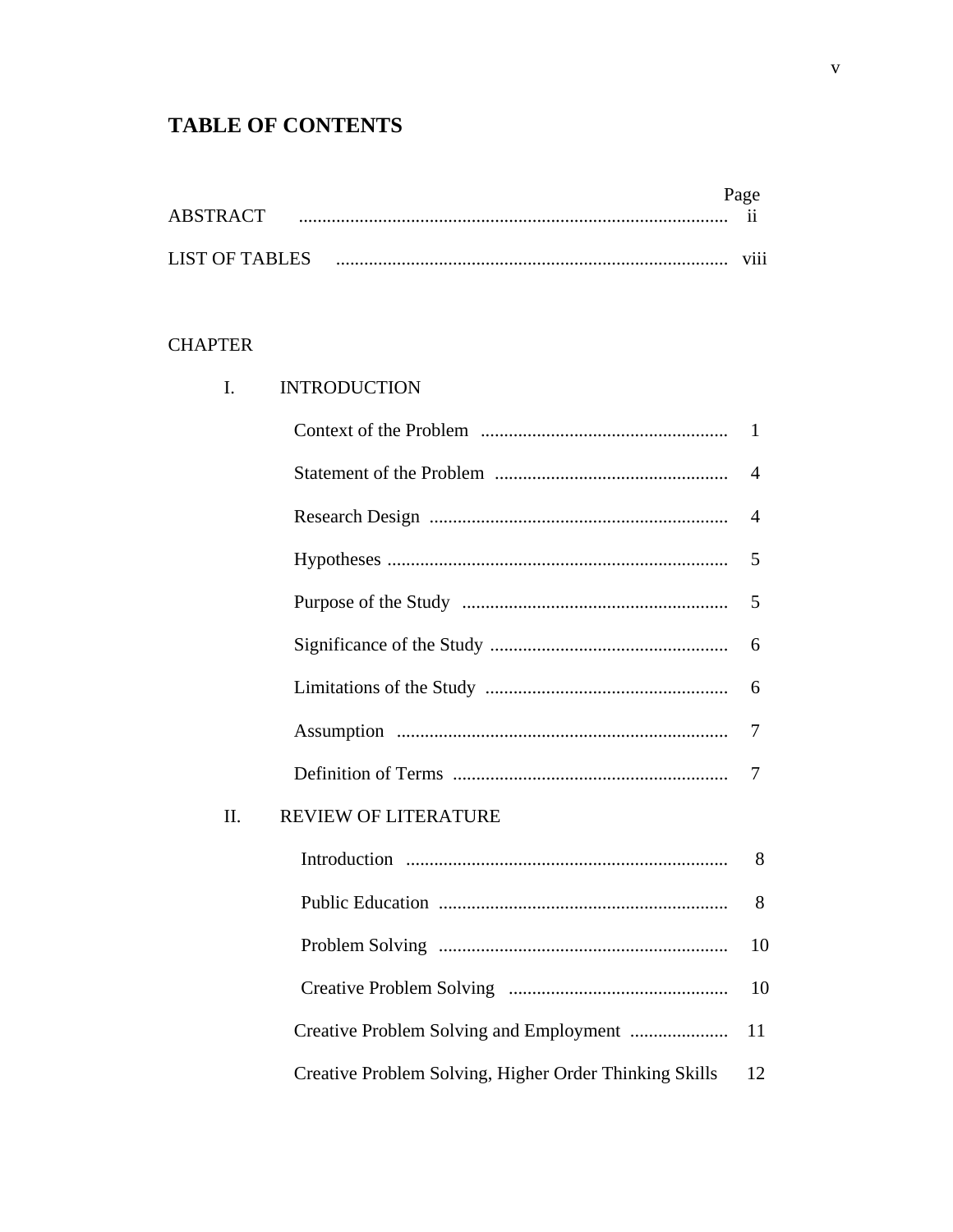# **TABLE OF CONTENTS**

| ARSTRACT       |  | $\ddot{\phantom{0}}$ |
|----------------|--|----------------------|
|                |  |                      |
| LIST OF TABLES |  | $\cdots$<br>V111     |

# **CHAPTER**

| I.  | <b>INTRODUCTION</b>                                    |              |
|-----|--------------------------------------------------------|--------------|
|     |                                                        | $\mathbf{1}$ |
|     |                                                        | 4            |
|     |                                                        | 4            |
|     |                                                        | 5            |
|     |                                                        | 5            |
|     |                                                        | 6            |
|     |                                                        | 6            |
|     |                                                        | 7            |
|     |                                                        | 7            |
| II. | <b>REVIEW OF LITERATURE</b>                            |              |
|     |                                                        | 8            |
|     |                                                        | 8            |
|     |                                                        | 10           |
|     |                                                        | 10           |
|     | Creative Problem Solving and Employment                | 11           |
|     | Creative Problem Solving, Higher Order Thinking Skills | 12           |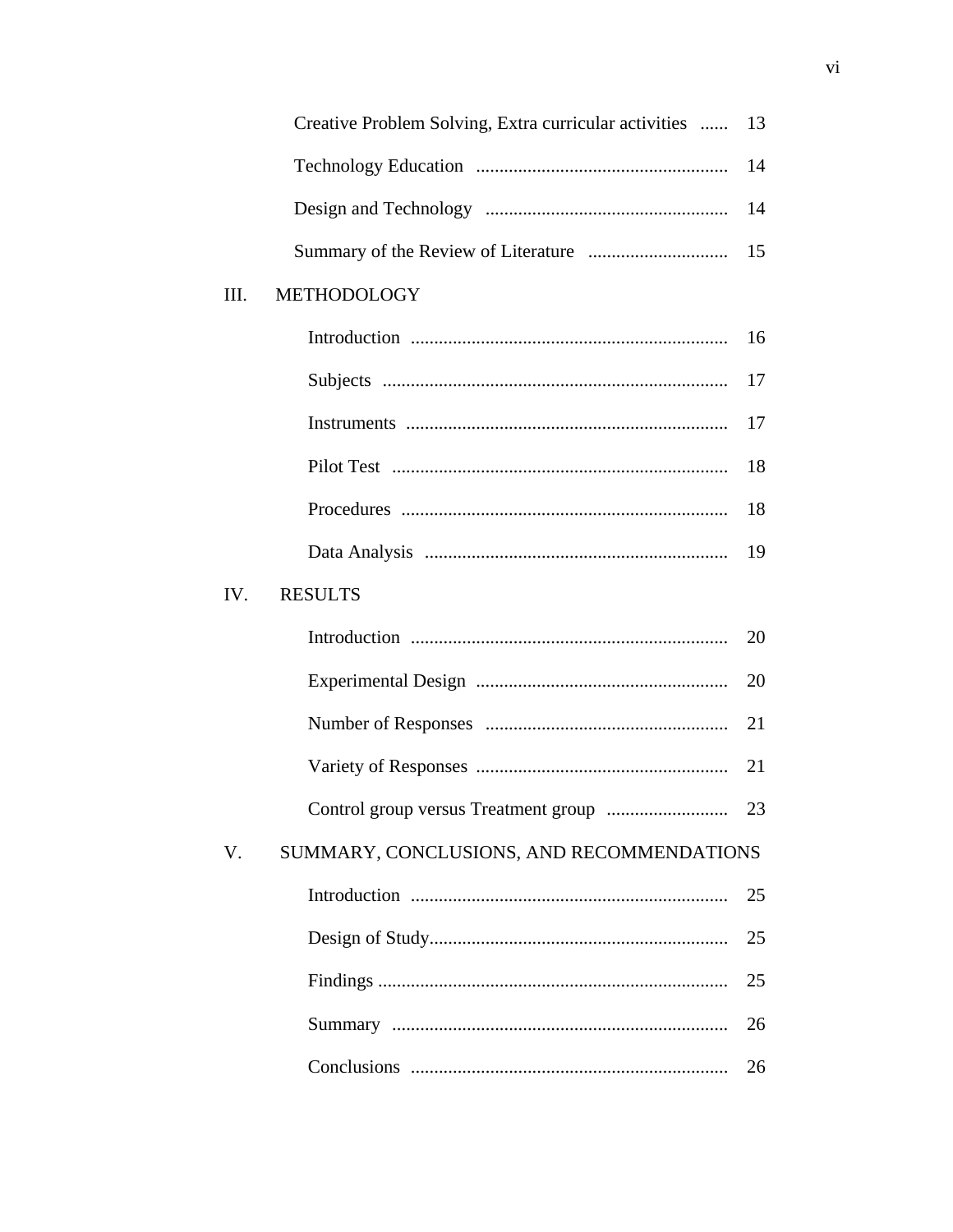|      | Creative Problem Solving, Extra curricular activities | 13 |
|------|-------------------------------------------------------|----|
|      |                                                       | 14 |
|      |                                                       | 14 |
|      |                                                       | 15 |
| III. | <b>METHODOLOGY</b>                                    |    |
|      |                                                       | 16 |
|      |                                                       | 17 |
|      |                                                       | 17 |
|      |                                                       | 18 |
|      |                                                       | 18 |
|      |                                                       | 19 |
| IV.  | <b>RESULTS</b>                                        |    |
|      |                                                       | 20 |
|      |                                                       | 20 |
|      |                                                       | 21 |
|      |                                                       | 21 |
|      |                                                       | 23 |
| V.   | SUMMARY, CONCLUSIONS, AND RECOMMENDATIONS             |    |
|      |                                                       | 25 |
|      |                                                       | 25 |
|      |                                                       | 25 |
|      |                                                       | 26 |
|      |                                                       | 26 |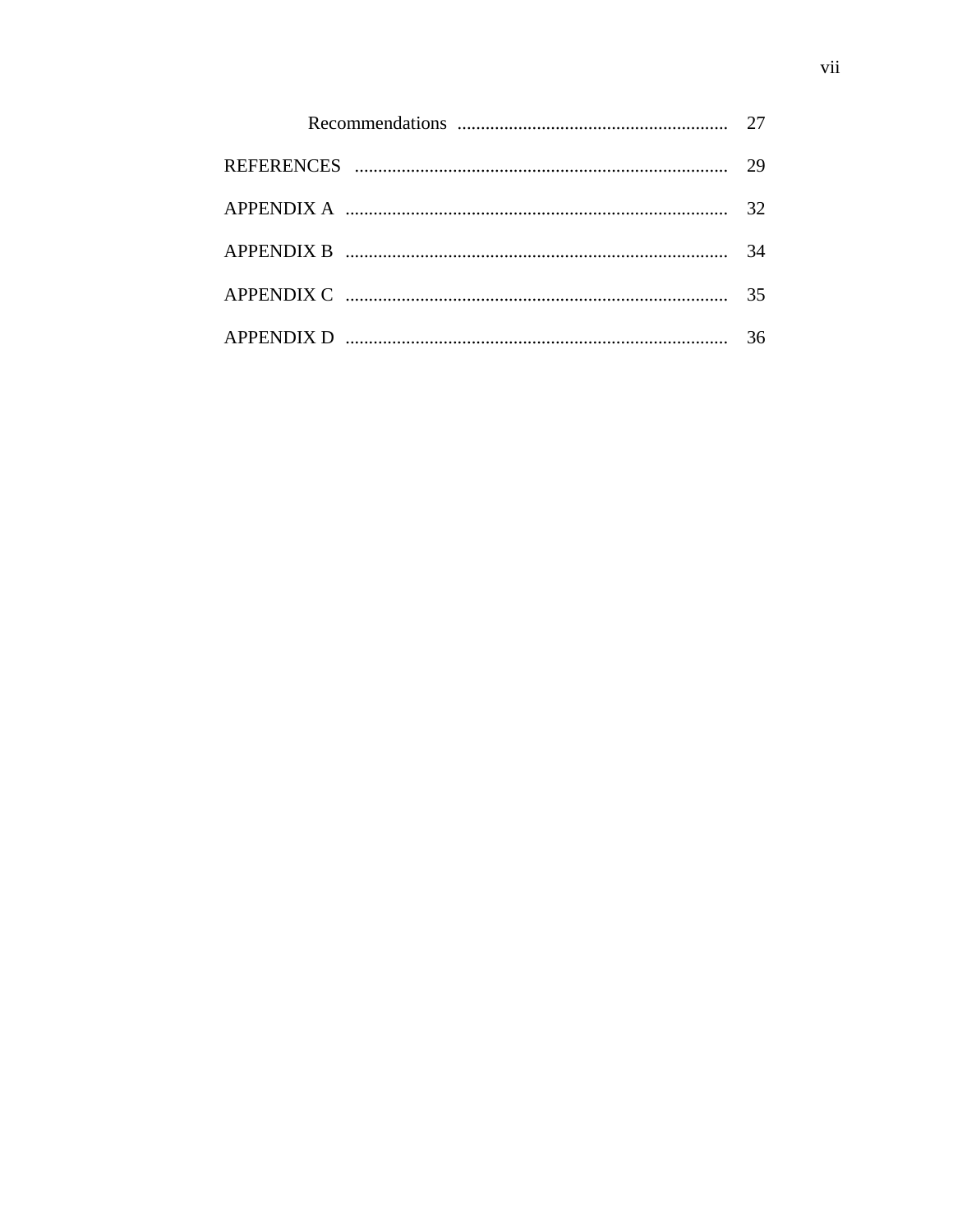| 32 |
|----|
| 34 |
| 35 |
| 36 |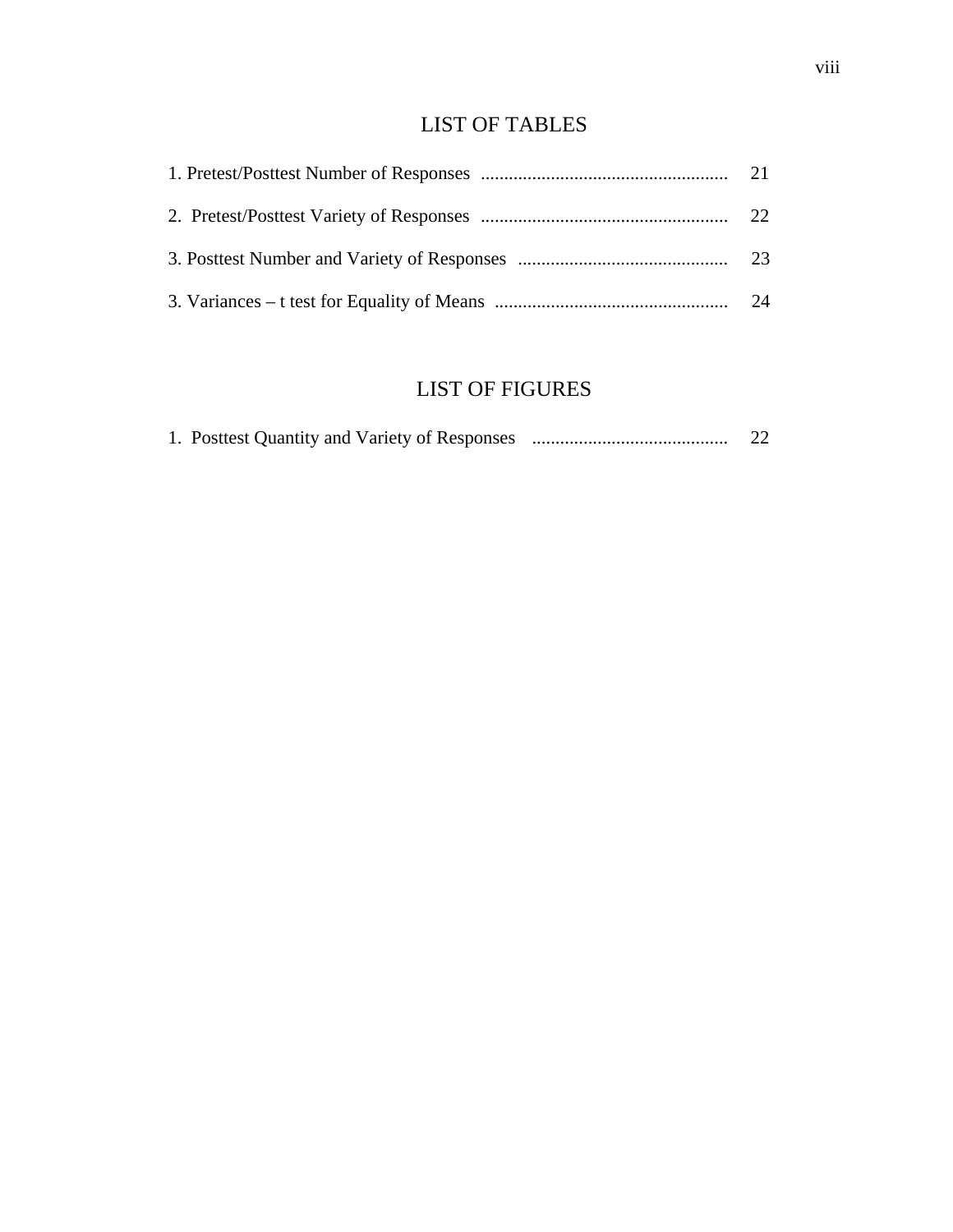# LIST OF TABLES

# LIST OF FIGURES

|  | 1. Posttest Quantity and Variety of Responses | 22 |
|--|-----------------------------------------------|----|
|  |                                               |    |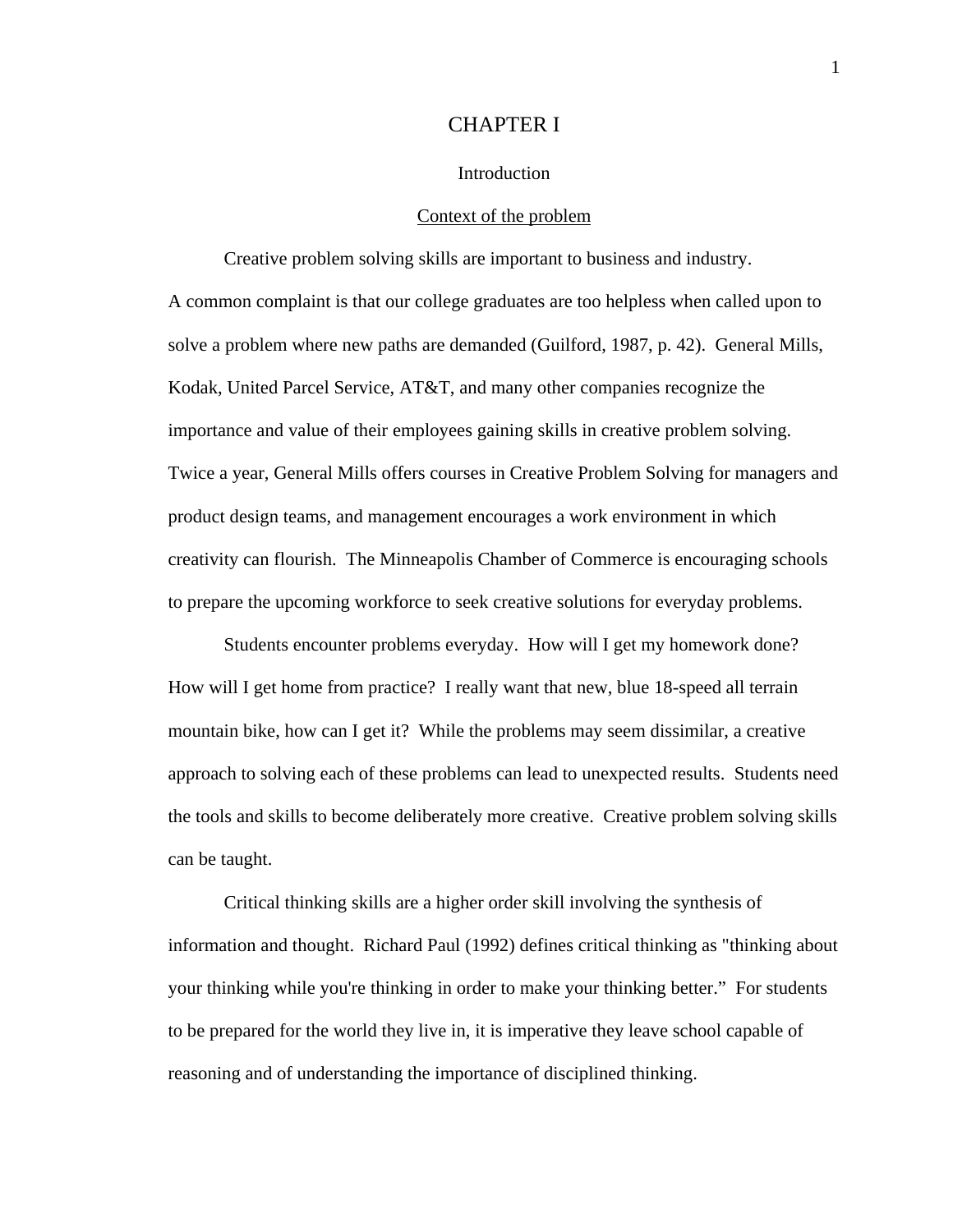# CHAPTER I

### Introduction

# Context of the problem

 Creative problem solving skills are important to business and industry. A common complaint is that our college graduates are too helpless when called upon to solve a problem where new paths are demanded (Guilford, 1987, p. 42). General Mills, Kodak, United Parcel Service, AT&T, and many other companies recognize the importance and value of their employees gaining skills in creative problem solving. Twice a year, General Mills offers courses in Creative Problem Solving for managers and product design teams, and management encourages a work environment in which creativity can flourish. The Minneapolis Chamber of Commerce is encouraging schools to prepare the upcoming workforce to seek creative solutions for everyday problems.

 Students encounter problems everyday. How will I get my homework done? How will I get home from practice? I really want that new, blue 18-speed all terrain mountain bike, how can I get it? While the problems may seem dissimilar, a creative approach to solving each of these problems can lead to unexpected results. Students need the tools and skills to become deliberately more creative. Creative problem solving skills can be taught.

 Critical thinking skills are a higher order skill involving the synthesis of information and thought. Richard Paul (1992) defines critical thinking as "thinking about your thinking while you're thinking in order to make your thinking better." For students to be prepared for the world they live in, it is imperative they leave school capable of reasoning and of understanding the importance of disciplined thinking.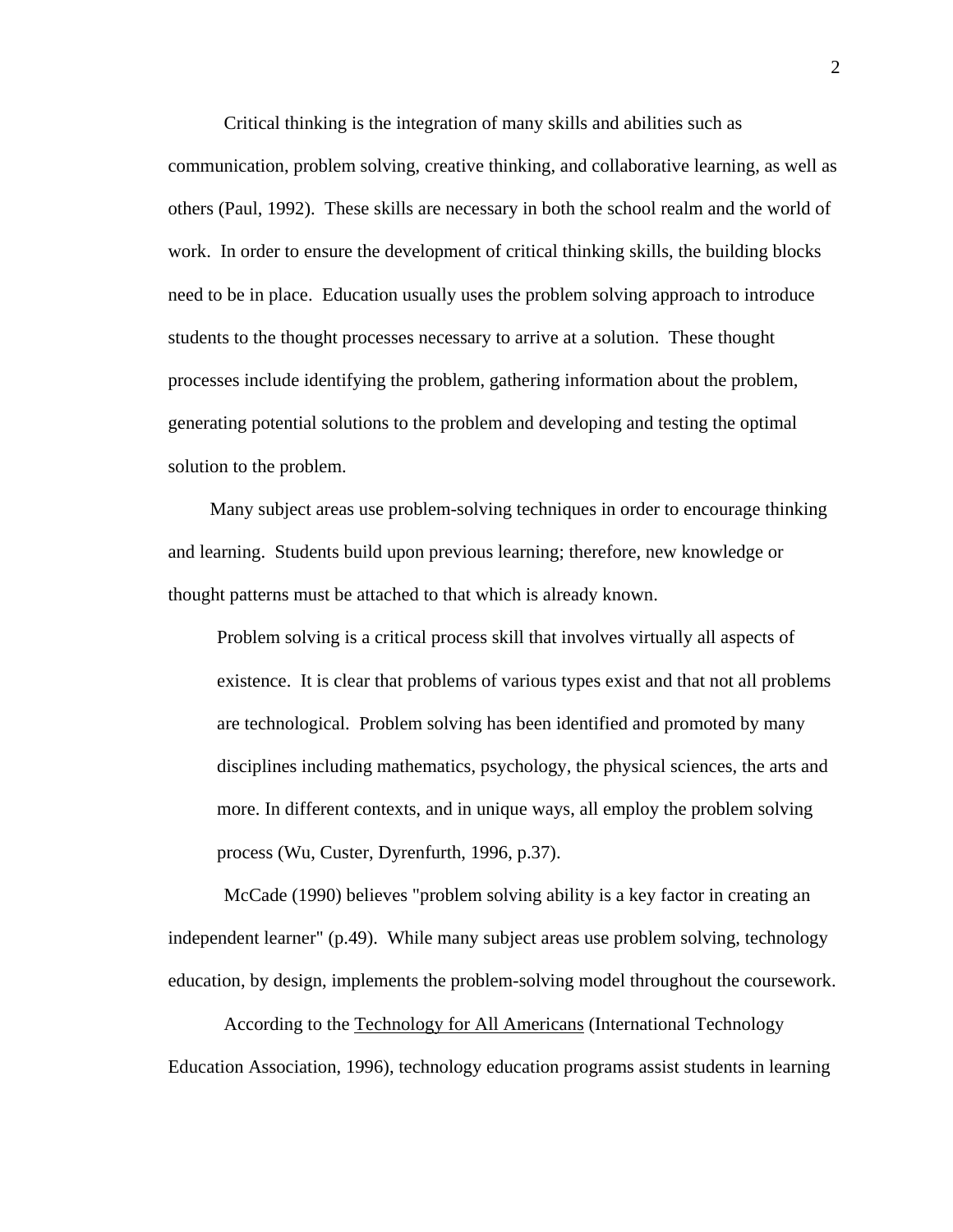Critical thinking is the integration of many skills and abilities such as communication, problem solving, creative thinking, and collaborative learning, as well as others (Paul, 1992). These skills are necessary in both the school realm and the world of work. In order to ensure the development of critical thinking skills, the building blocks need to be in place. Education usually uses the problem solving approach to introduce students to the thought processes necessary to arrive at a solution. These thought processes include identifying the problem, gathering information about the problem, generating potential solutions to the problem and developing and testing the optimal solution to the problem.

Many subject areas use problem-solving techniques in order to encourage thinking and learning. Students build upon previous learning; therefore, new knowledge or thought patterns must be attached to that which is already known.

 Problem solving is a critical process skill that involves virtually all aspects of existence. It is clear that problems of various types exist and that not all problems are technological. Problem solving has been identified and promoted by many disciplines including mathematics, psychology, the physical sciences, the arts and more. In different contexts, and in unique ways, all employ the problem solving process (Wu, Custer, Dyrenfurth, 1996, p.37).

 McCade (1990) believes "problem solving ability is a key factor in creating an independent learner" (p.49). While many subject areas use problem solving, technology education, by design, implements the problem-solving model throughout the coursework.

 According to the Technology for All Americans (International Technology Education Association, 1996), technology education programs assist students in learning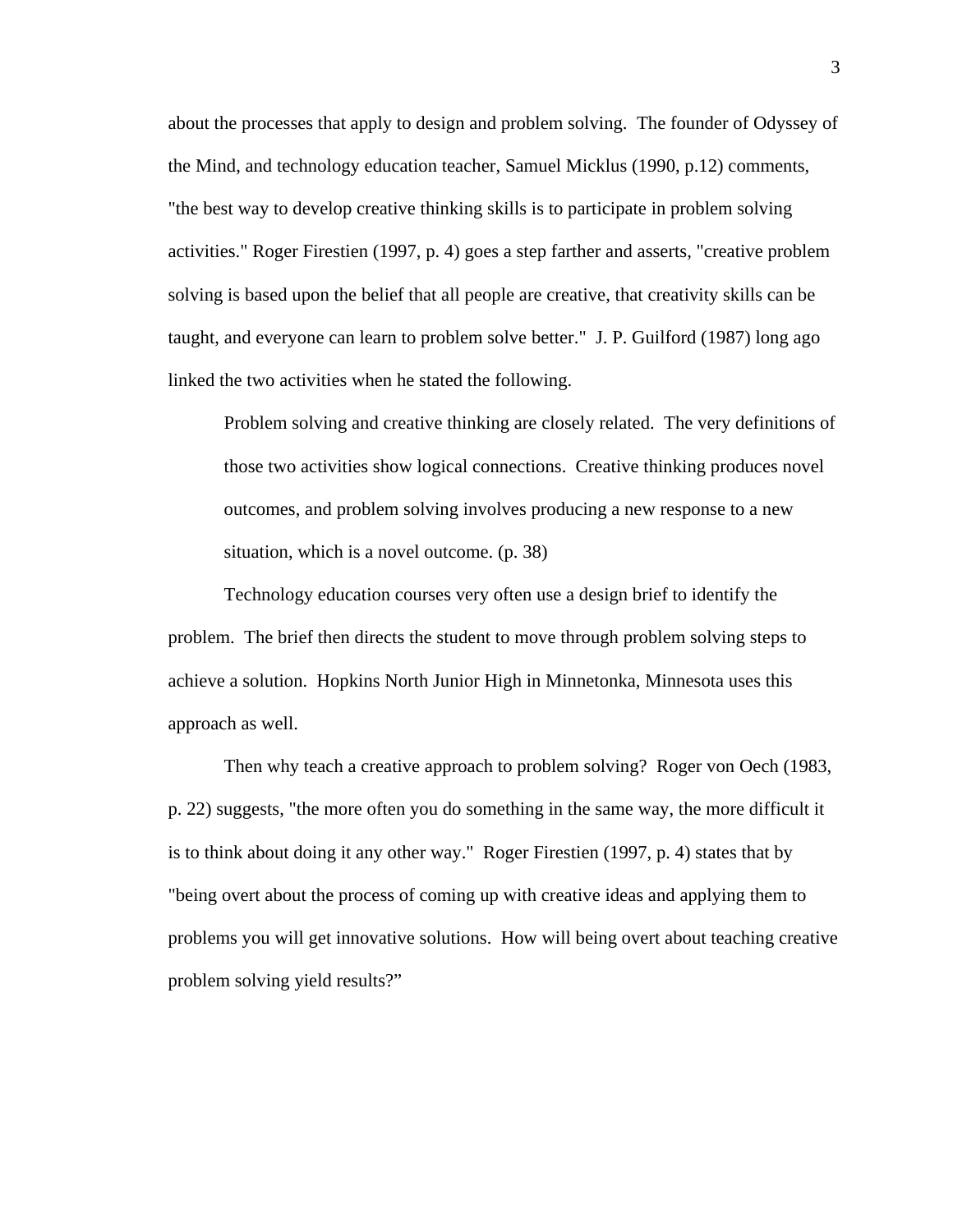about the processes that apply to design and problem solving. The founder of Odyssey of the Mind, and technology education teacher, Samuel Micklus (1990, p.12) comments, "the best way to develop creative thinking skills is to participate in problem solving activities." Roger Firestien (1997, p. 4) goes a step farther and asserts, "creative problem solving is based upon the belief that all people are creative, that creativity skills can be taught, and everyone can learn to problem solve better." J. P. Guilford (1987) long ago linked the two activities when he stated the following.

 Problem solving and creative thinking are closely related. The very definitions of those two activities show logical connections. Creative thinking produces novel outcomes, and problem solving involves producing a new response to a new situation, which is a novel outcome. (p. 38)

 Technology education courses very often use a design brief to identify the problem. The brief then directs the student to move through problem solving steps to achieve a solution. Hopkins North Junior High in Minnetonka, Minnesota uses this approach as well.

 Then why teach a creative approach to problem solving? Roger von Oech (1983, p. 22) suggests, "the more often you do something in the same way, the more difficult it is to think about doing it any other way." Roger Firestien (1997, p. 4) states that by "being overt about the process of coming up with creative ideas and applying them to problems you will get innovative solutions. How will being overt about teaching creative problem solving yield results?"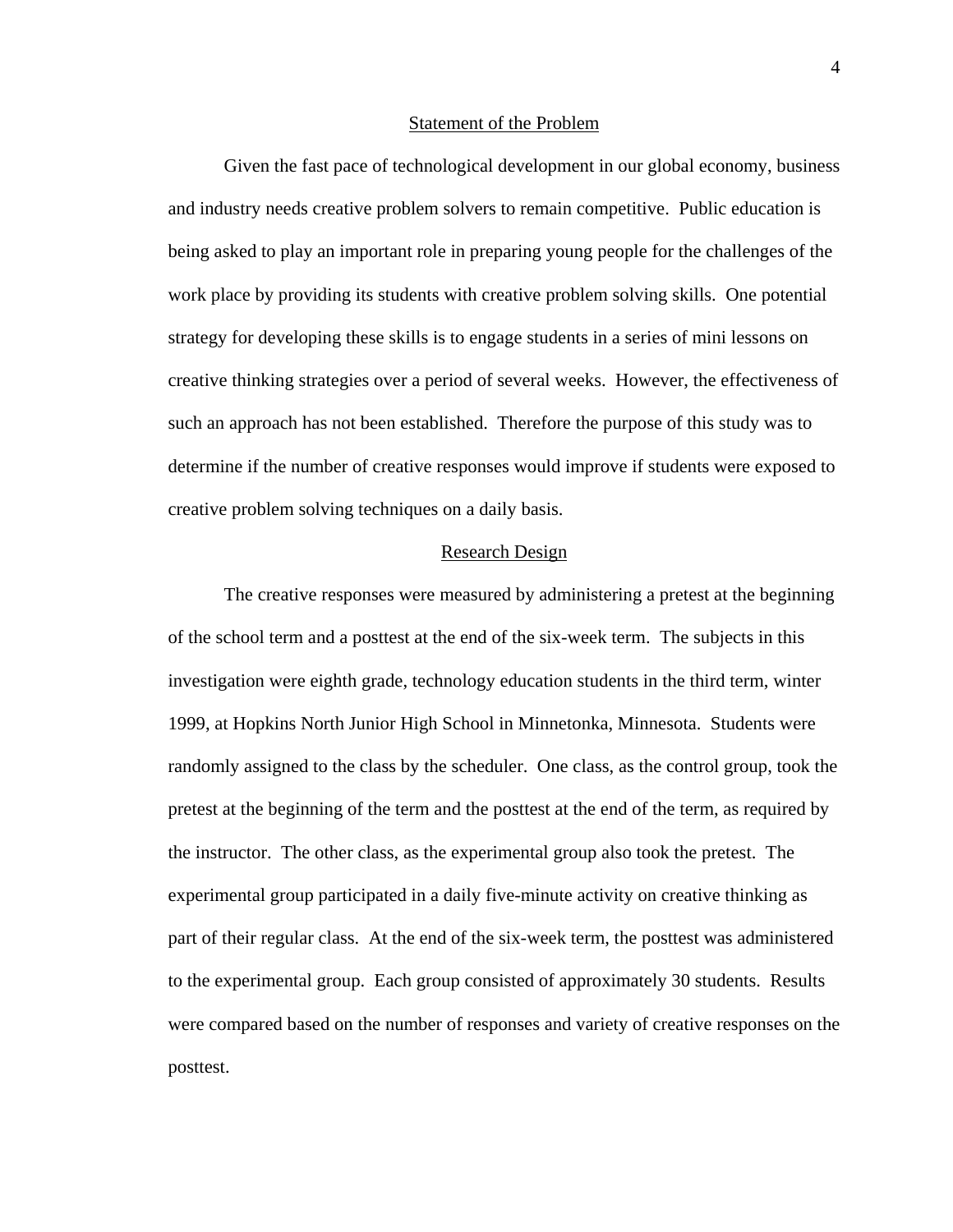#### Statement of the Problem

 Given the fast pace of technological development in our global economy, business and industry needs creative problem solvers to remain competitive. Public education is being asked to play an important role in preparing young people for the challenges of the work place by providing its students with creative problem solving skills. One potential strategy for developing these skills is to engage students in a series of mini lessons on creative thinking strategies over a period of several weeks. However, the effectiveness of such an approach has not been established. Therefore the purpose of this study was to determine if the number of creative responses would improve if students were exposed to creative problem solving techniques on a daily basis.

## Research Design

 The creative responses were measured by administering a pretest at the beginning of the school term and a posttest at the end of the six-week term. The subjects in this investigation were eighth grade, technology education students in the third term, winter 1999, at Hopkins North Junior High School in Minnetonka, Minnesota. Students were randomly assigned to the class by the scheduler. One class, as the control group, took the pretest at the beginning of the term and the posttest at the end of the term, as required by the instructor. The other class, as the experimental group also took the pretest. The experimental group participated in a daily five-minute activity on creative thinking as part of their regular class. At the end of the six-week term, the posttest was administered to the experimental group. Each group consisted of approximately 30 students. Results were compared based on the number of responses and variety of creative responses on the posttest.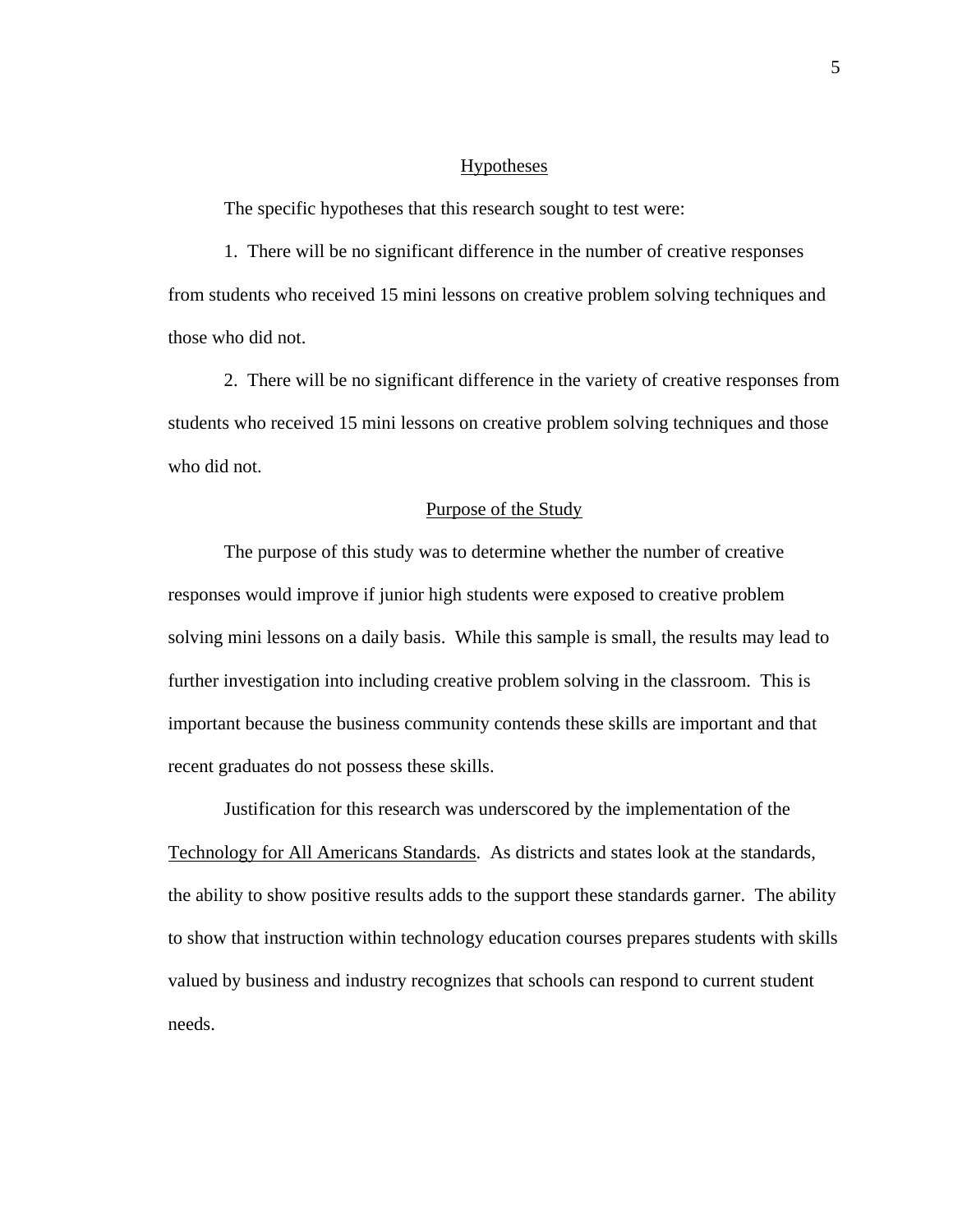# Hypotheses

The specific hypotheses that this research sought to test were:

 1. There will be no significant difference in the number of creative responses from students who received 15 mini lessons on creative problem solving techniques and those who did not.

 2. There will be no significant difference in the variety of creative responses from students who received 15 mini lessons on creative problem solving techniques and those who did not.

#### Purpose of the Study

The purpose of this study was to determine whether the number of creative responses would improve if junior high students were exposed to creative problem solving mini lessons on a daily basis. While this sample is small, the results may lead to further investigation into including creative problem solving in the classroom. This is important because the business community contends these skills are important and that recent graduates do not possess these skills.

 Justification for this research was underscored by the implementation of the Technology for All Americans Standards. As districts and states look at the standards, the ability to show positive results adds to the support these standards garner. The ability to show that instruction within technology education courses prepares students with skills valued by business and industry recognizes that schools can respond to current student needs.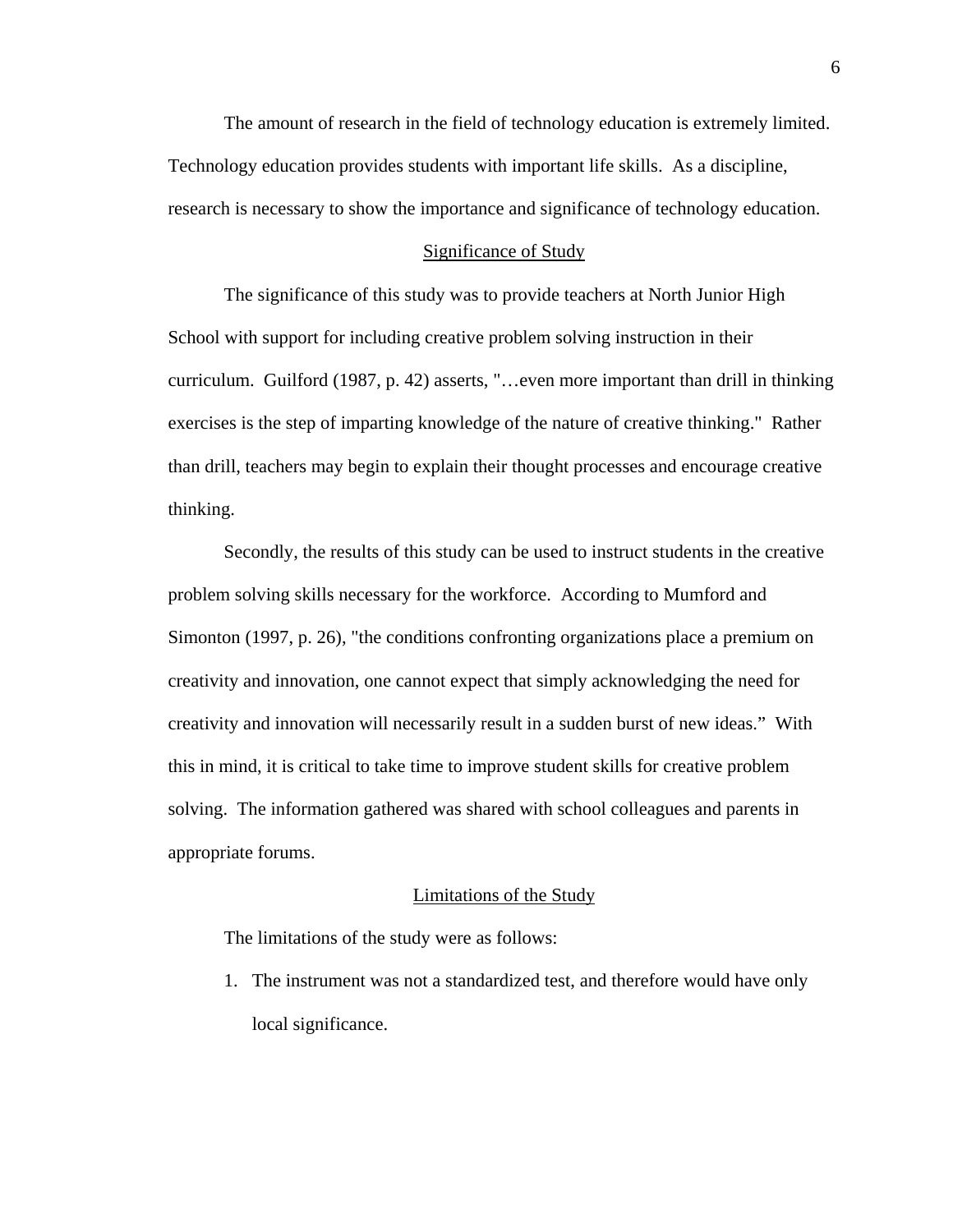The amount of research in the field of technology education is extremely limited. Technology education provides students with important life skills. As a discipline, research is necessary to show the importance and significance of technology education.

## Significance of Study

The significance of this study was to provide teachers at North Junior High School with support for including creative problem solving instruction in their curriculum. Guilford (1987, p. 42) asserts, "…even more important than drill in thinking exercises is the step of imparting knowledge of the nature of creative thinking." Rather than drill, teachers may begin to explain their thought processes and encourage creative thinking.

 Secondly, the results of this study can be used to instruct students in the creative problem solving skills necessary for the workforce. According to Mumford and Simonton (1997, p. 26), "the conditions confronting organizations place a premium on creativity and innovation, one cannot expect that simply acknowledging the need for creativity and innovation will necessarily result in a sudden burst of new ideas." With this in mind, it is critical to take time to improve student skills for creative problem solving. The information gathered was shared with school colleagues and parents in appropriate forums.

# Limitations of the Study

The limitations of the study were as follows:

1. The instrument was not a standardized test, and therefore would have only local significance.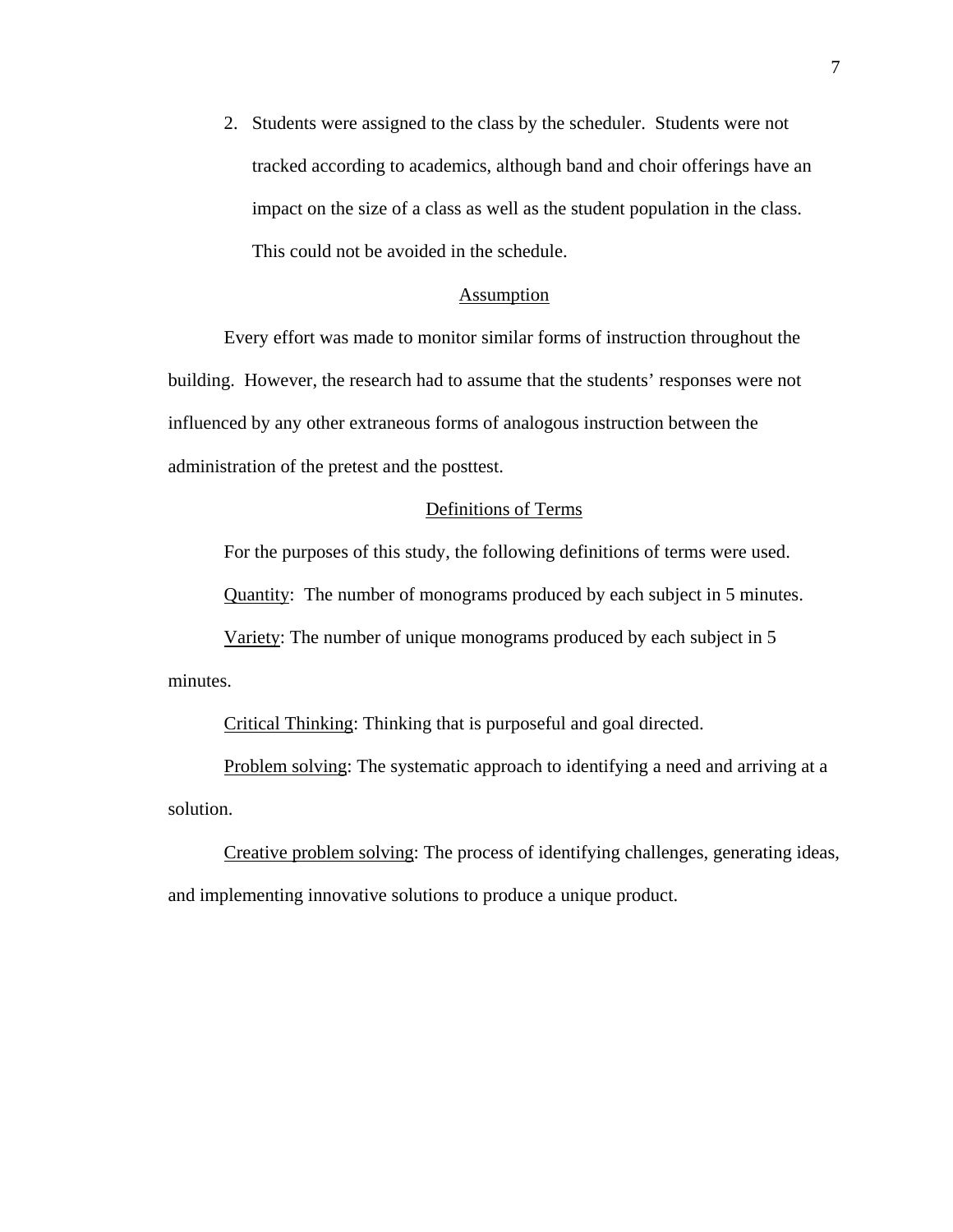2. Students were assigned to the class by the scheduler. Students were not tracked according to academics, although band and choir offerings have an impact on the size of a class as well as the student population in the class. This could not be avoided in the schedule.

# Assumption

 Every effort was made to monitor similar forms of instruction throughout the building. However, the research had to assume that the students' responses were not influenced by any other extraneous forms of analogous instruction between the administration of the pretest and the posttest.

# Definitions of Terms

For the purposes of this study, the following definitions of terms were used.

Quantity: The number of monograms produced by each subject in 5 minutes.

 Variety: The number of unique monograms produced by each subject in 5 minutes.

Critical Thinking: Thinking that is purposeful and goal directed.

 Problem solving: The systematic approach to identifying a need and arriving at a solution.

 Creative problem solving: The process of identifying challenges, generating ideas, and implementing innovative solutions to produce a unique product.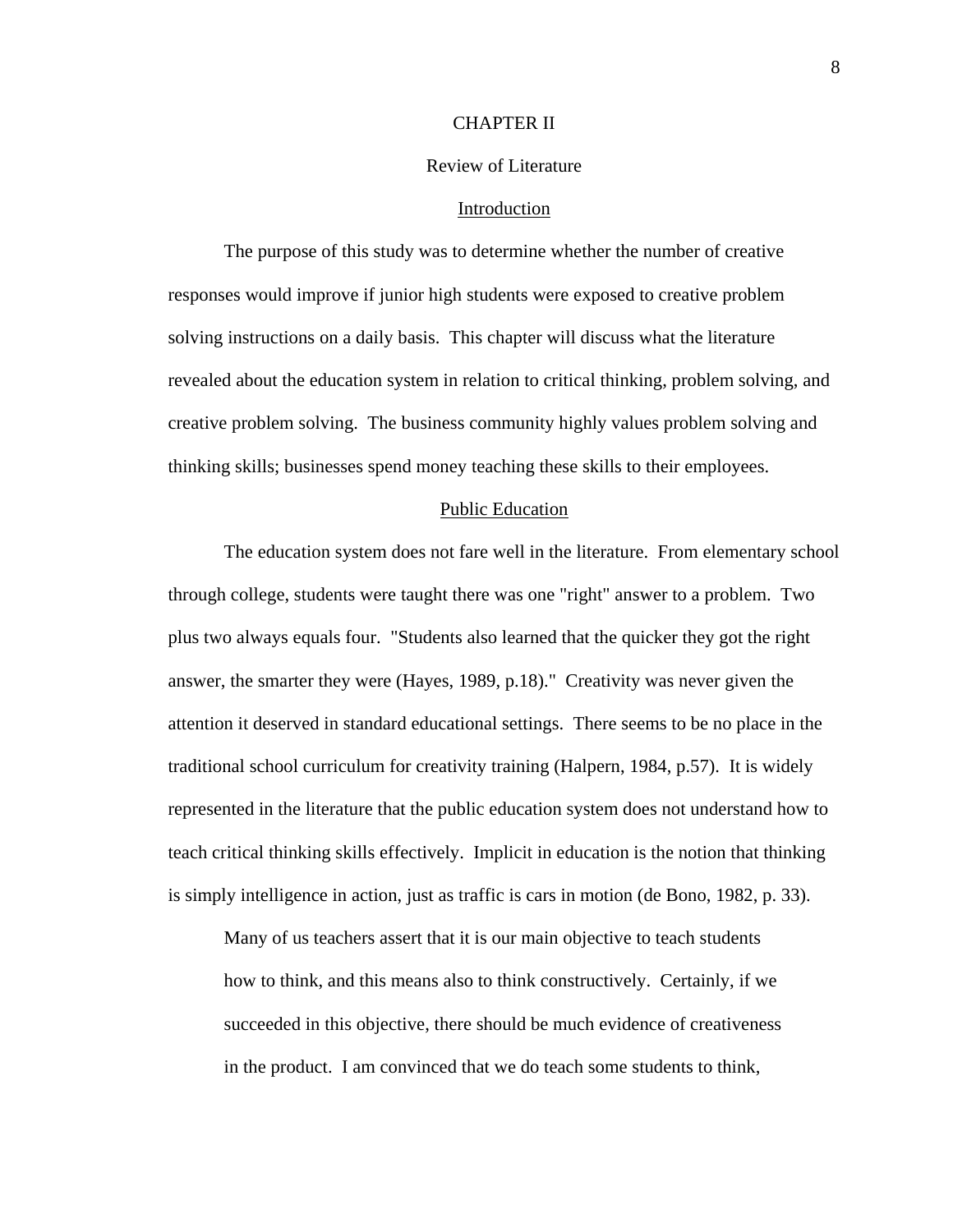# CHAPTER II

# Review of Literature

#### Introduction

 The purpose of this study was to determine whether the number of creative responses would improve if junior high students were exposed to creative problem solving instructions on a daily basis. This chapter will discuss what the literature revealed about the education system in relation to critical thinking, problem solving, and creative problem solving. The business community highly values problem solving and thinking skills; businesses spend money teaching these skills to their employees.

# Public Education

 The education system does not fare well in the literature. From elementary school through college, students were taught there was one "right" answer to a problem. Two plus two always equals four. "Students also learned that the quicker they got the right answer, the smarter they were (Hayes, 1989, p.18)." Creativity was never given the attention it deserved in standard educational settings. There seems to be no place in the traditional school curriculum for creativity training (Halpern, 1984, p.57). It is widely represented in the literature that the public education system does not understand how to teach critical thinking skills effectively. Implicit in education is the notion that thinking is simply intelligence in action, just as traffic is cars in motion (de Bono, 1982, p. 33).

Many of us teachers assert that it is our main objective to teach students how to think, and this means also to think constructively. Certainly, if we succeeded in this objective, there should be much evidence of creativeness in the product. I am convinced that we do teach some students to think,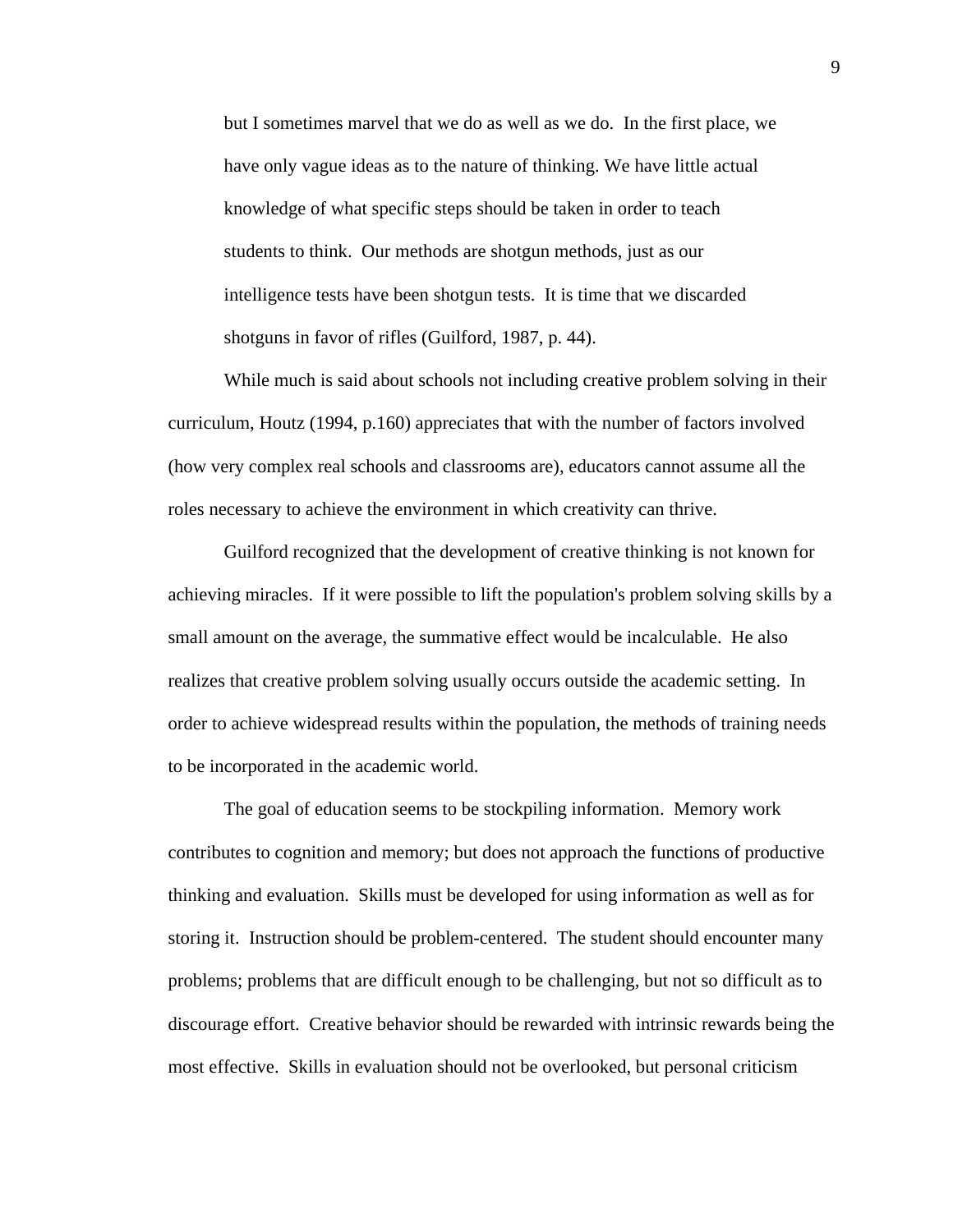but I sometimes marvel that we do as well as we do. In the first place, we have only vague ideas as to the nature of thinking. We have little actual knowledge of what specific steps should be taken in order to teach students to think. Our methods are shotgun methods, just as our intelligence tests have been shotgun tests. It is time that we discarded shotguns in favor of rifles (Guilford, 1987, p. 44).

 While much is said about schools not including creative problem solving in their curriculum, Houtz (1994, p.160) appreciates that with the number of factors involved (how very complex real schools and classrooms are), educators cannot assume all the roles necessary to achieve the environment in which creativity can thrive.

 Guilford recognized that the development of creative thinking is not known for achieving miracles. If it were possible to lift the population's problem solving skills by a small amount on the average, the summative effect would be incalculable. He also realizes that creative problem solving usually occurs outside the academic setting. In order to achieve widespread results within the population, the methods of training needs to be incorporated in the academic world.

 The goal of education seems to be stockpiling information. Memory work contributes to cognition and memory; but does not approach the functions of productive thinking and evaluation. Skills must be developed for using information as well as for storing it. Instruction should be problem-centered. The student should encounter many problems; problems that are difficult enough to be challenging, but not so difficult as to discourage effort. Creative behavior should be rewarded with intrinsic rewards being the most effective. Skills in evaluation should not be overlooked, but personal criticism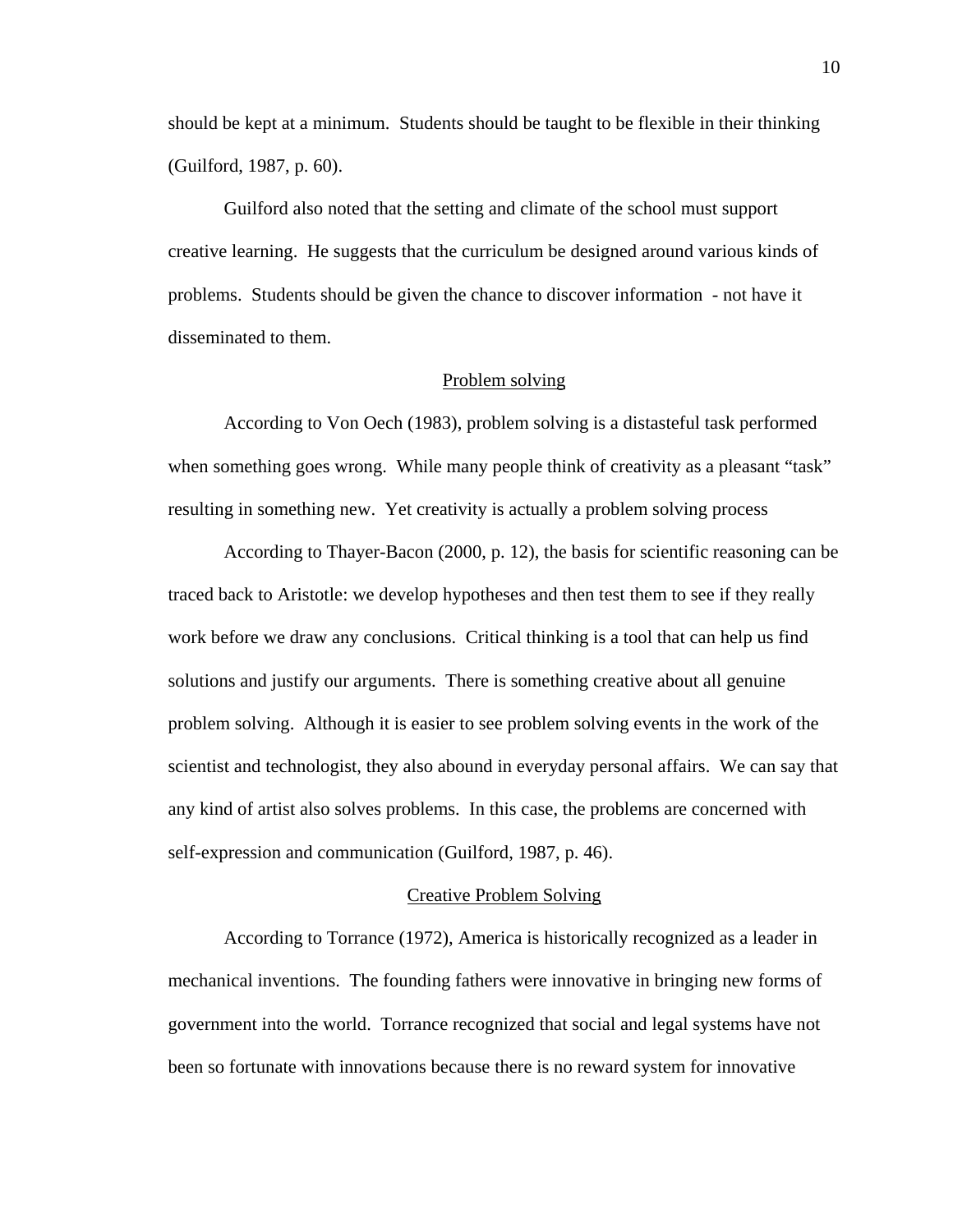should be kept at a minimum. Students should be taught to be flexible in their thinking (Guilford, 1987, p. 60).

 Guilford also noted that the setting and climate of the school must support creative learning. He suggests that the curriculum be designed around various kinds of problems. Students should be given the chance to discover information - not have it disseminated to them.

# Problem solving

 According to Von Oech (1983), problem solving is a distasteful task performed when something goes wrong. While many people think of creativity as a pleasant "task" resulting in something new. Yet creativity is actually a problem solving process

 According to Thayer-Bacon (2000, p. 12), the basis for scientific reasoning can be traced back to Aristotle: we develop hypotheses and then test them to see if they really work before we draw any conclusions. Critical thinking is a tool that can help us find solutions and justify our arguments. There is something creative about all genuine problem solving. Although it is easier to see problem solving events in the work of the scientist and technologist, they also abound in everyday personal affairs. We can say that any kind of artist also solves problems. In this case, the problems are concerned with self-expression and communication (Guilford, 1987, p. 46).

# Creative Problem Solving

 According to Torrance (1972), America is historically recognized as a leader in mechanical inventions. The founding fathers were innovative in bringing new forms of government into the world. Torrance recognized that social and legal systems have not been so fortunate with innovations because there is no reward system for innovative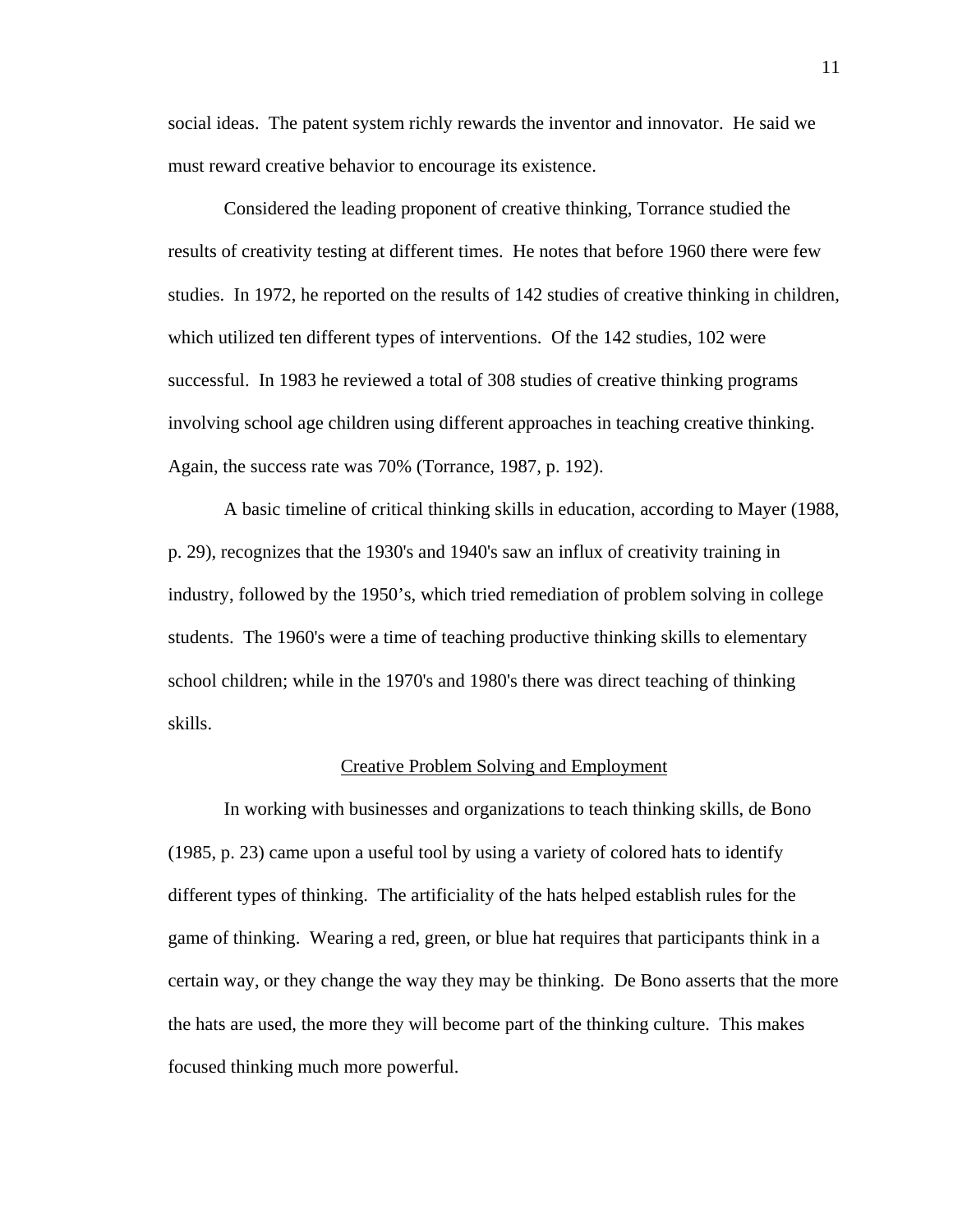social ideas. The patent system richly rewards the inventor and innovator. He said we must reward creative behavior to encourage its existence.

 Considered the leading proponent of creative thinking, Torrance studied the results of creativity testing at different times. He notes that before 1960 there were few studies. In 1972, he reported on the results of 142 studies of creative thinking in children, which utilized ten different types of interventions. Of the 142 studies, 102 were successful. In 1983 he reviewed a total of 308 studies of creative thinking programs involving school age children using different approaches in teaching creative thinking. Again, the success rate was 70% (Torrance, 1987, p. 192).

 A basic timeline of critical thinking skills in education, according to Mayer (1988, p. 29), recognizes that the 1930's and 1940's saw an influx of creativity training in industry, followed by the 1950's, which tried remediation of problem solving in college students. The 1960's were a time of teaching productive thinking skills to elementary school children; while in the 1970's and 1980's there was direct teaching of thinking skills.

## Creative Problem Solving and Employment

 In working with businesses and organizations to teach thinking skills, de Bono (1985, p. 23) came upon a useful tool by using a variety of colored hats to identify different types of thinking. The artificiality of the hats helped establish rules for the game of thinking. Wearing a red, green, or blue hat requires that participants think in a certain way, or they change the way they may be thinking. De Bono asserts that the more the hats are used, the more they will become part of the thinking culture. This makes focused thinking much more powerful.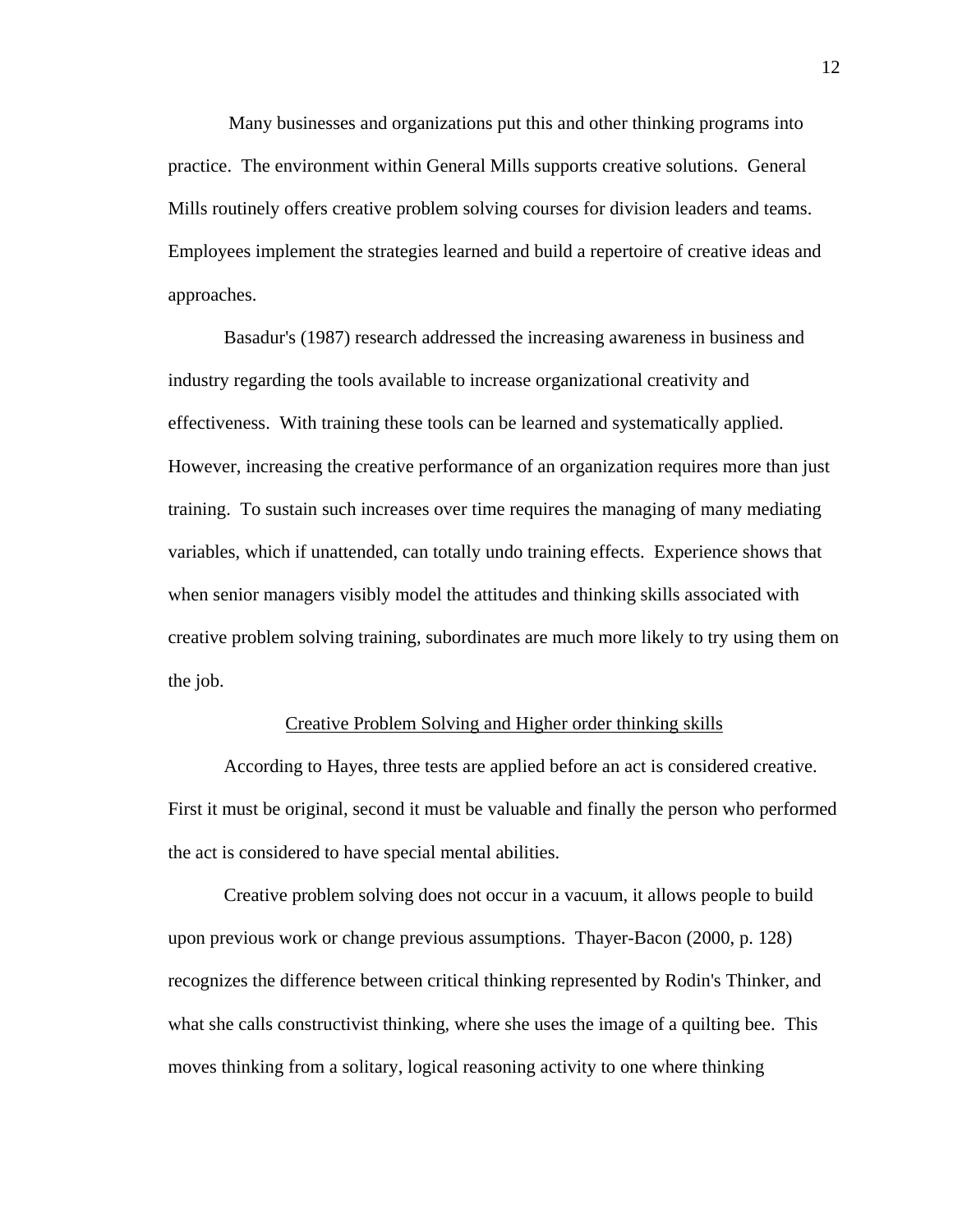Many businesses and organizations put this and other thinking programs into practice. The environment within General Mills supports creative solutions. General Mills routinely offers creative problem solving courses for division leaders and teams. Employees implement the strategies learned and build a repertoire of creative ideas and approaches.

 Basadur's (1987) research addressed the increasing awareness in business and industry regarding the tools available to increase organizational creativity and effectiveness. With training these tools can be learned and systematically applied. However, increasing the creative performance of an organization requires more than just training. To sustain such increases over time requires the managing of many mediating variables, which if unattended, can totally undo training effects. Experience shows that when senior managers visibly model the attitudes and thinking skills associated with creative problem solving training, subordinates are much more likely to try using them on the job.

### Creative Problem Solving and Higher order thinking skills

According to Hayes, three tests are applied before an act is considered creative. First it must be original, second it must be valuable and finally the person who performed the act is considered to have special mental abilities.

 Creative problem solving does not occur in a vacuum, it allows people to build upon previous work or change previous assumptions. Thayer-Bacon (2000, p. 128) recognizes the difference between critical thinking represented by Rodin's Thinker, and what she calls constructivist thinking, where she uses the image of a quilting bee. This moves thinking from a solitary, logical reasoning activity to one where thinking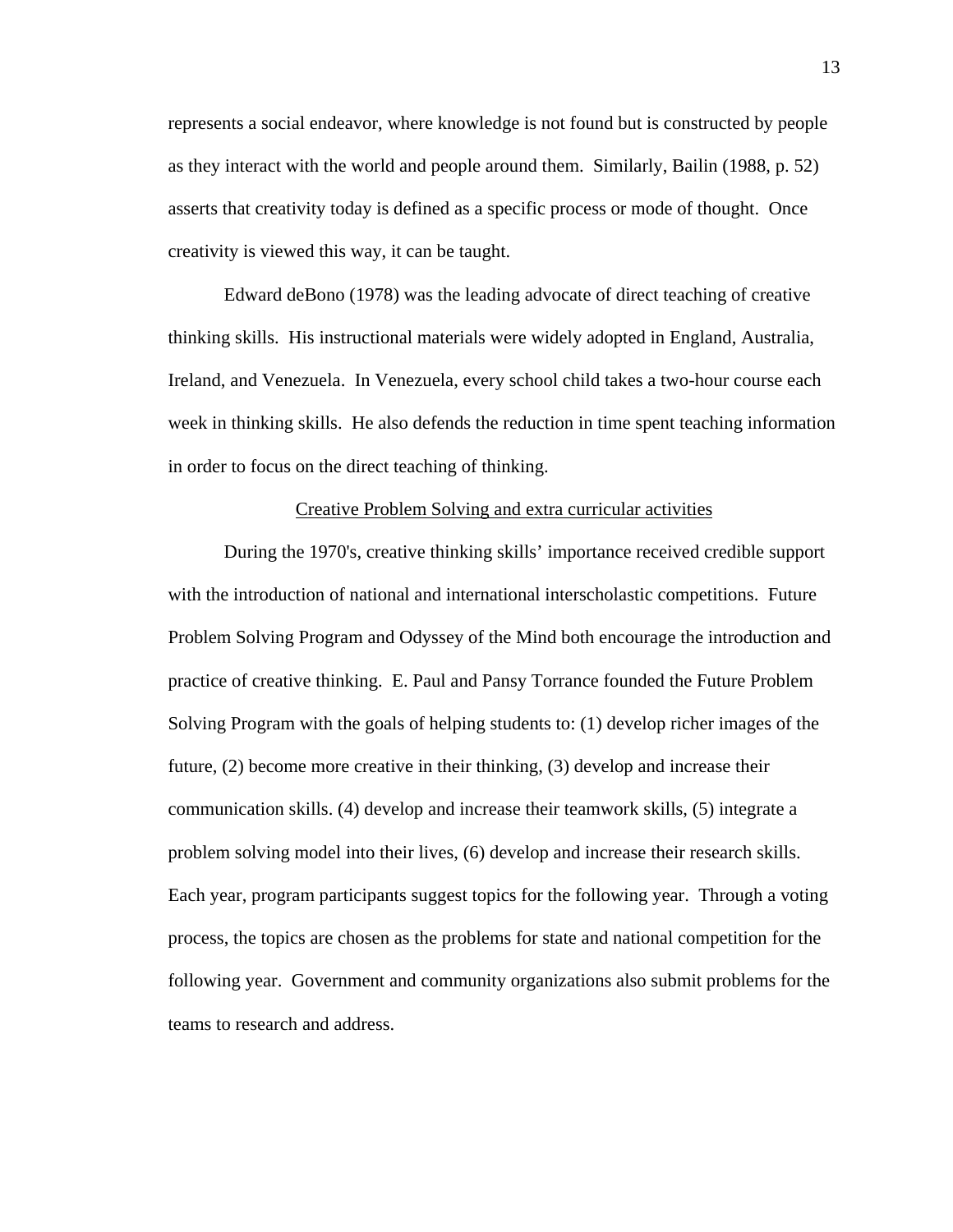represents a social endeavor, where knowledge is not found but is constructed by people as they interact with the world and people around them. Similarly, Bailin (1988, p. 52) asserts that creativity today is defined as a specific process or mode of thought. Once creativity is viewed this way, it can be taught.

 Edward deBono (1978) was the leading advocate of direct teaching of creative thinking skills. His instructional materials were widely adopted in England, Australia, Ireland, and Venezuela. In Venezuela, every school child takes a two-hour course each week in thinking skills. He also defends the reduction in time spent teaching information in order to focus on the direct teaching of thinking.

# Creative Problem Solving and extra curricular activities

 During the 1970's, creative thinking skills' importance received credible support with the introduction of national and international interscholastic competitions. Future Problem Solving Program and Odyssey of the Mind both encourage the introduction and practice of creative thinking. E. Paul and Pansy Torrance founded the Future Problem Solving Program with the goals of helping students to: (1) develop richer images of the future, (2) become more creative in their thinking, (3) develop and increase their communication skills. (4) develop and increase their teamwork skills, (5) integrate a problem solving model into their lives, (6) develop and increase their research skills. Each year, program participants suggest topics for the following year. Through a voting process, the topics are chosen as the problems for state and national competition for the following year. Government and community organizations also submit problems for the teams to research and address.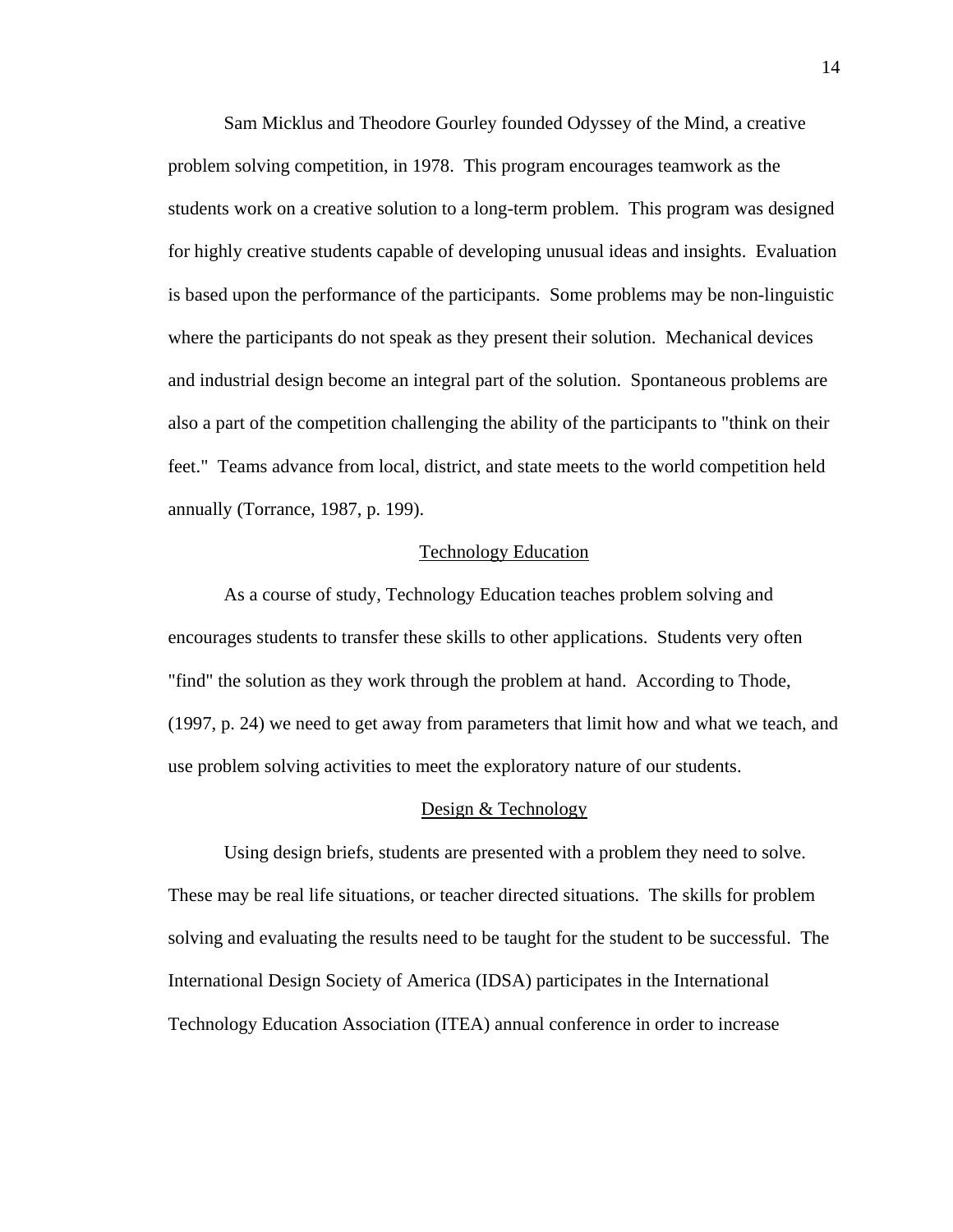Sam Micklus and Theodore Gourley founded Odyssey of the Mind, a creative problem solving competition, in 1978. This program encourages teamwork as the students work on a creative solution to a long-term problem. This program was designed for highly creative students capable of developing unusual ideas and insights. Evaluation is based upon the performance of the participants. Some problems may be non-linguistic where the participants do not speak as they present their solution. Mechanical devices and industrial design become an integral part of the solution. Spontaneous problems are also a part of the competition challenging the ability of the participants to "think on their feet." Teams advance from local, district, and state meets to the world competition held annually (Torrance, 1987, p. 199).

# Technology Education

 As a course of study, Technology Education teaches problem solving and encourages students to transfer these skills to other applications. Students very often "find" the solution as they work through the problem at hand. According to Thode, (1997, p. 24) we need to get away from parameters that limit how and what we teach, and use problem solving activities to meet the exploratory nature of our students.

## Design & Technology

Using design briefs, students are presented with a problem they need to solve. These may be real life situations, or teacher directed situations. The skills for problem solving and evaluating the results need to be taught for the student to be successful. The International Design Society of America (IDSA) participates in the International Technology Education Association (ITEA) annual conference in order to increase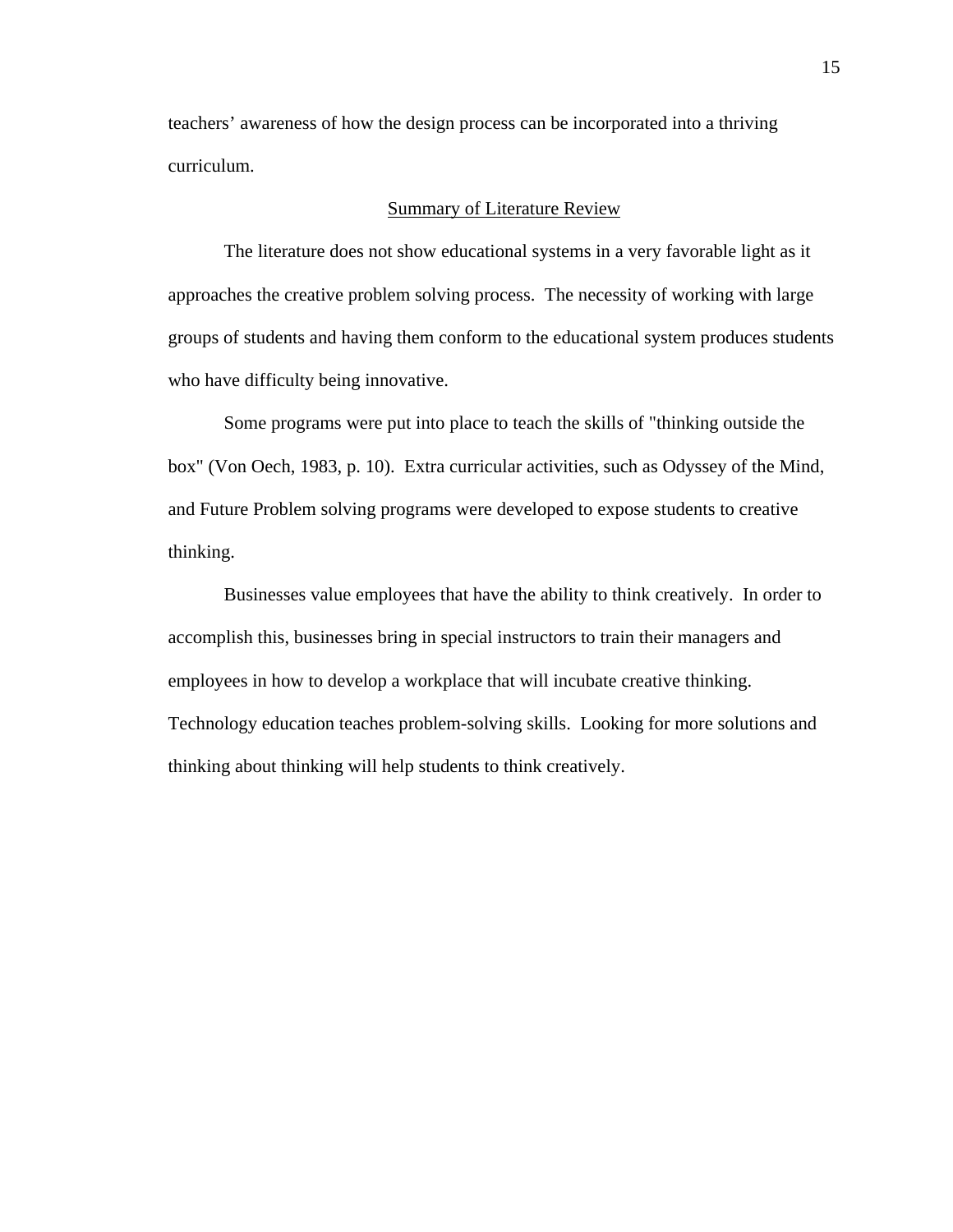teachers' awareness of how the design process can be incorporated into a thriving curriculum.

# Summary of Literature Review

 The literature does not show educational systems in a very favorable light as it approaches the creative problem solving process. The necessity of working with large groups of students and having them conform to the educational system produces students who have difficulty being innovative.

 Some programs were put into place to teach the skills of "thinking outside the box" (Von Oech, 1983, p. 10). Extra curricular activities, such as Odyssey of the Mind, and Future Problem solving programs were developed to expose students to creative thinking.

 Businesses value employees that have the ability to think creatively. In order to accomplish this, businesses bring in special instructors to train their managers and employees in how to develop a workplace that will incubate creative thinking. Technology education teaches problem-solving skills. Looking for more solutions and thinking about thinking will help students to think creatively.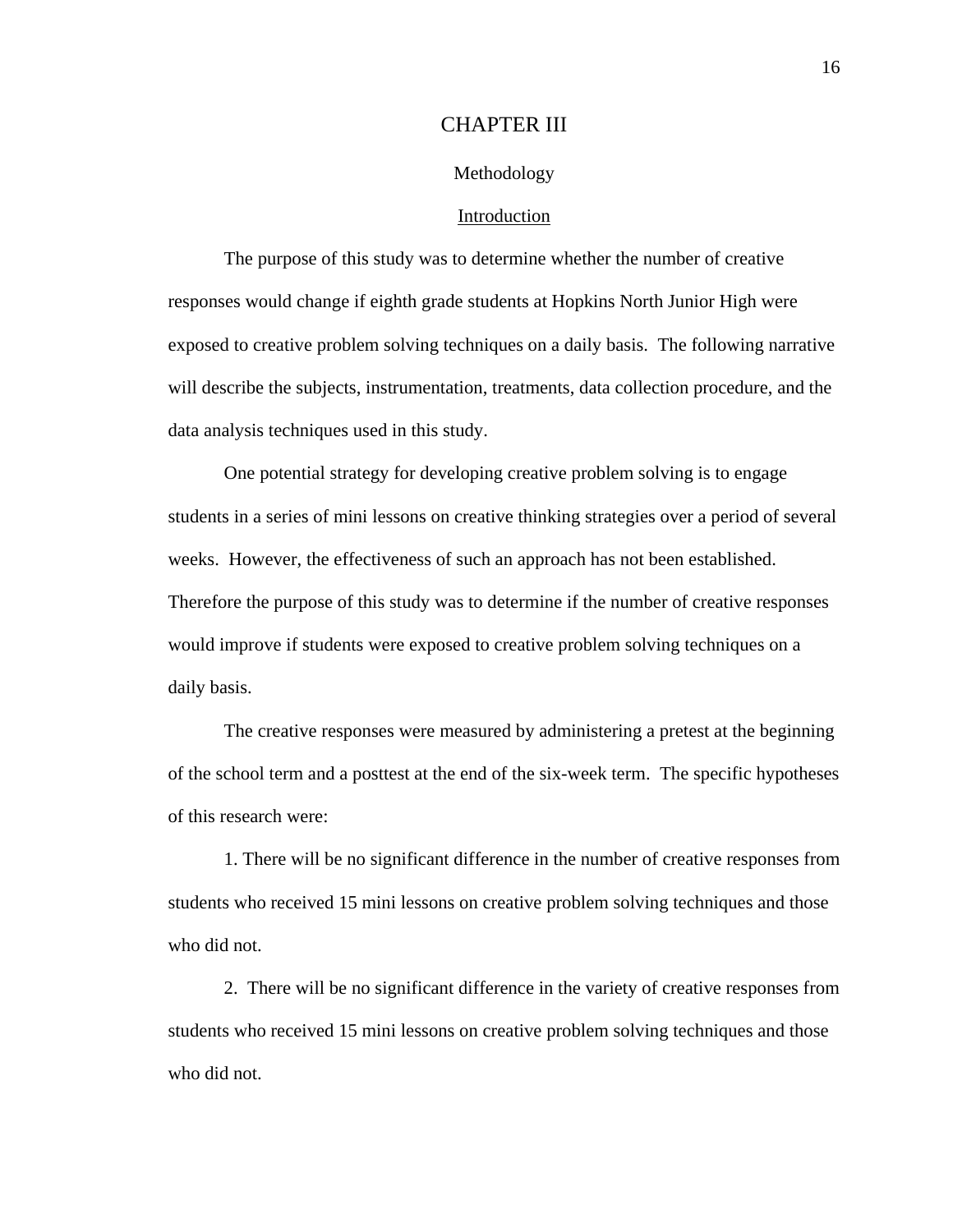# CHAPTER III

## Methodology

# Introduction

 The purpose of this study was to determine whether the number of creative responses would change if eighth grade students at Hopkins North Junior High were exposed to creative problem solving techniques on a daily basis. The following narrative will describe the subjects, instrumentation, treatments, data collection procedure, and the data analysis techniques used in this study.

 One potential strategy for developing creative problem solving is to engage students in a series of mini lessons on creative thinking strategies over a period of several weeks. However, the effectiveness of such an approach has not been established. Therefore the purpose of this study was to determine if the number of creative responses would improve if students were exposed to creative problem solving techniques on a daily basis.

 The creative responses were measured by administering a pretest at the beginning of the school term and a posttest at the end of the six-week term. The specific hypotheses of this research were:

 1. There will be no significant difference in the number of creative responses from students who received 15 mini lessons on creative problem solving techniques and those who did not.

 2. There will be no significant difference in the variety of creative responses from students who received 15 mini lessons on creative problem solving techniques and those who did not.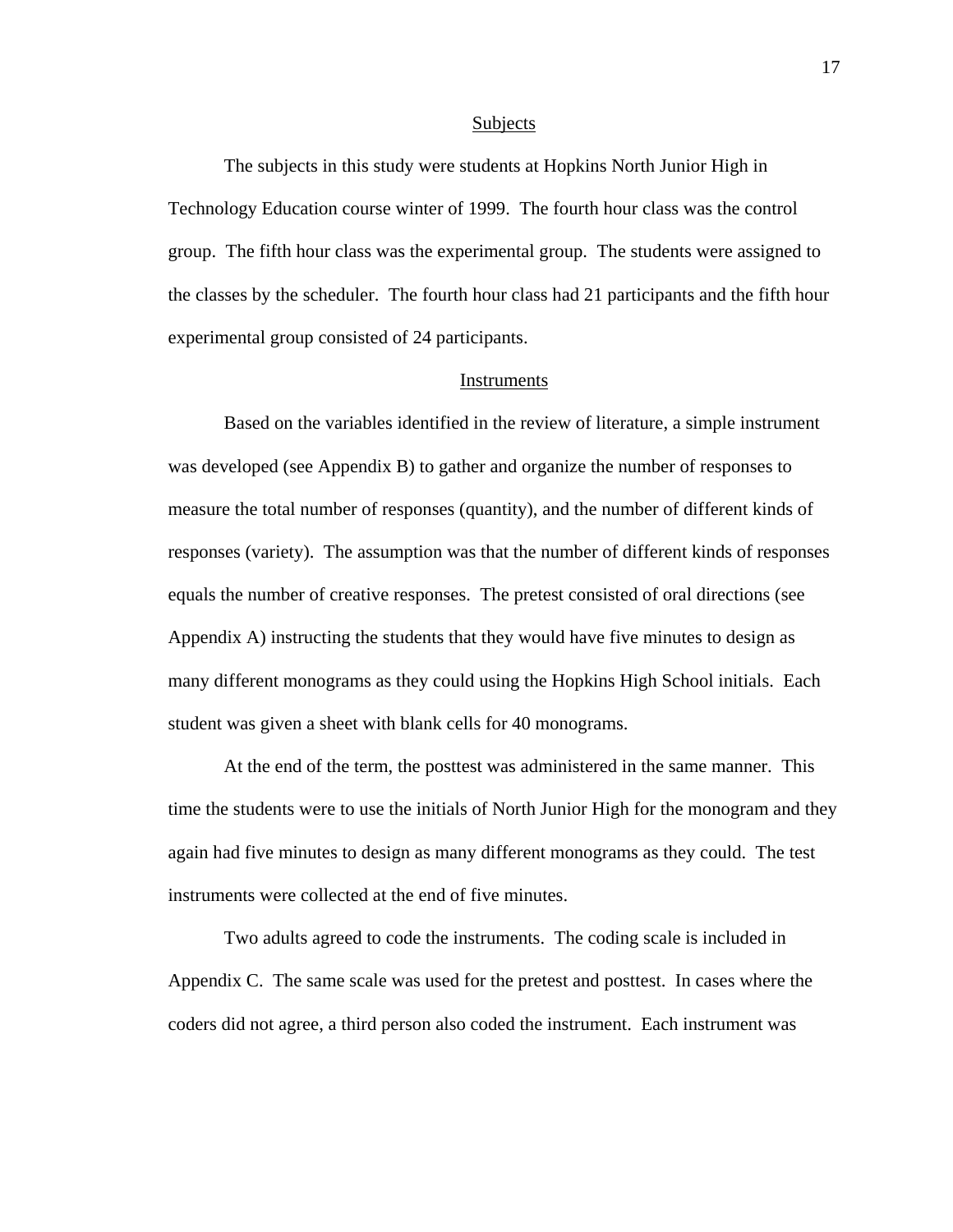#### Subjects

 The subjects in this study were students at Hopkins North Junior High in Technology Education course winter of 1999. The fourth hour class was the control group. The fifth hour class was the experimental group. The students were assigned to the classes by the scheduler. The fourth hour class had 21 participants and the fifth hour experimental group consisted of 24 participants.

# **Instruments**

 Based on the variables identified in the review of literature, a simple instrument was developed (see Appendix B) to gather and organize the number of responses to measure the total number of responses (quantity), and the number of different kinds of responses (variety). The assumption was that the number of different kinds of responses equals the number of creative responses. The pretest consisted of oral directions (see Appendix A) instructing the students that they would have five minutes to design as many different monograms as they could using the Hopkins High School initials. Each student was given a sheet with blank cells for 40 monograms.

 At the end of the term, the posttest was administered in the same manner. This time the students were to use the initials of North Junior High for the monogram and they again had five minutes to design as many different monograms as they could. The test instruments were collected at the end of five minutes.

 Two adults agreed to code the instruments. The coding scale is included in Appendix C. The same scale was used for the pretest and posttest. In cases where the coders did not agree, a third person also coded the instrument. Each instrument was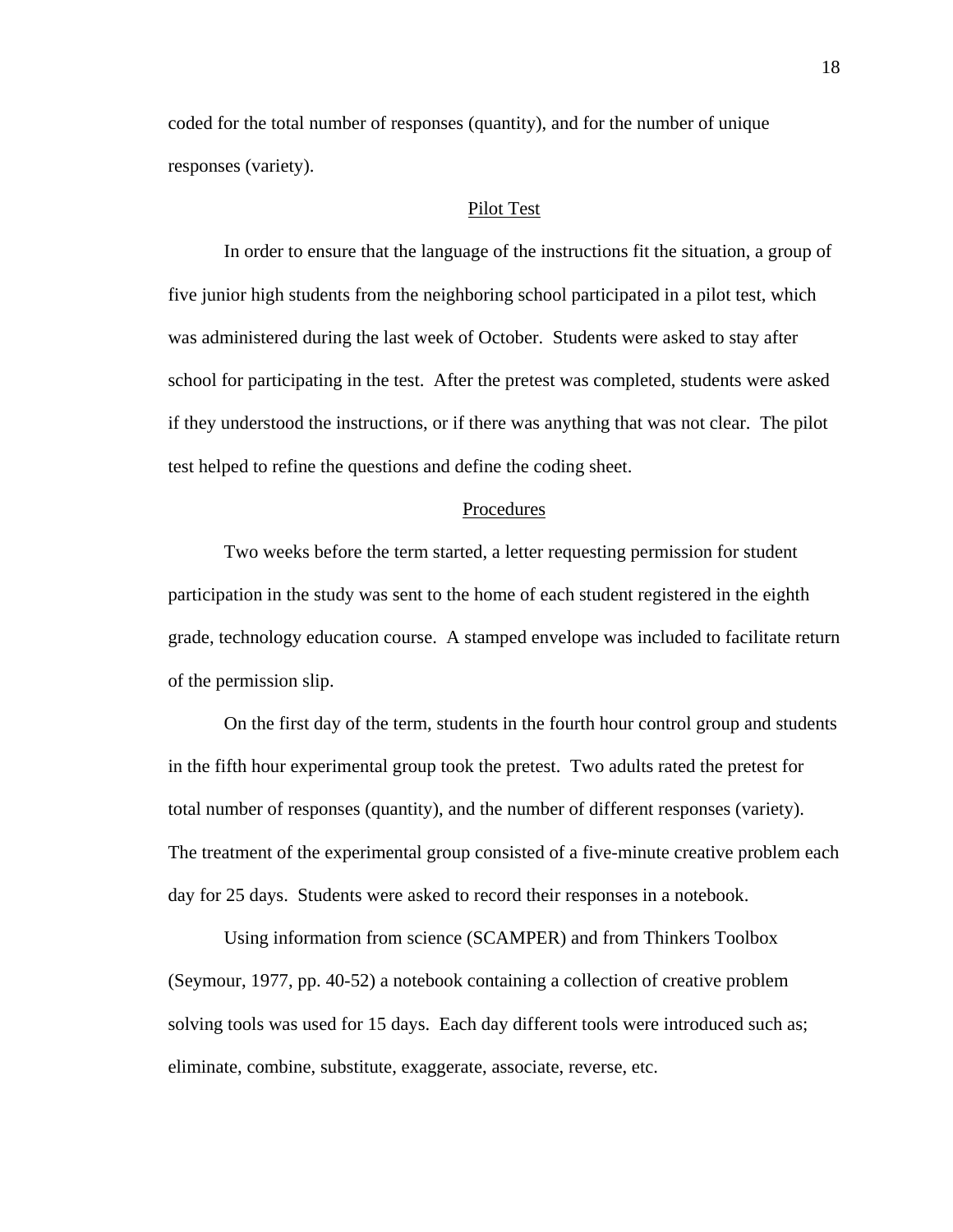coded for the total number of responses (quantity), and for the number of unique responses (variety).

## Pilot Test

 In order to ensure that the language of the instructions fit the situation, a group of five junior high students from the neighboring school participated in a pilot test, which was administered during the last week of October. Students were asked to stay after school for participating in the test. After the pretest was completed, students were asked if they understood the instructions, or if there was anything that was not clear. The pilot test helped to refine the questions and define the coding sheet.

# Procedures

 Two weeks before the term started, a letter requesting permission for student participation in the study was sent to the home of each student registered in the eighth grade, technology education course. A stamped envelope was included to facilitate return of the permission slip.

 On the first day of the term, students in the fourth hour control group and students in the fifth hour experimental group took the pretest. Two adults rated the pretest for total number of responses (quantity), and the number of different responses (variety). The treatment of the experimental group consisted of a five-minute creative problem each day for 25 days. Students were asked to record their responses in a notebook.

 Using information from science (SCAMPER) and from Thinkers Toolbox (Seymour, 1977, pp. 40-52) a notebook containing a collection of creative problem solving tools was used for 15 days. Each day different tools were introduced such as; eliminate, combine, substitute, exaggerate, associate, reverse, etc.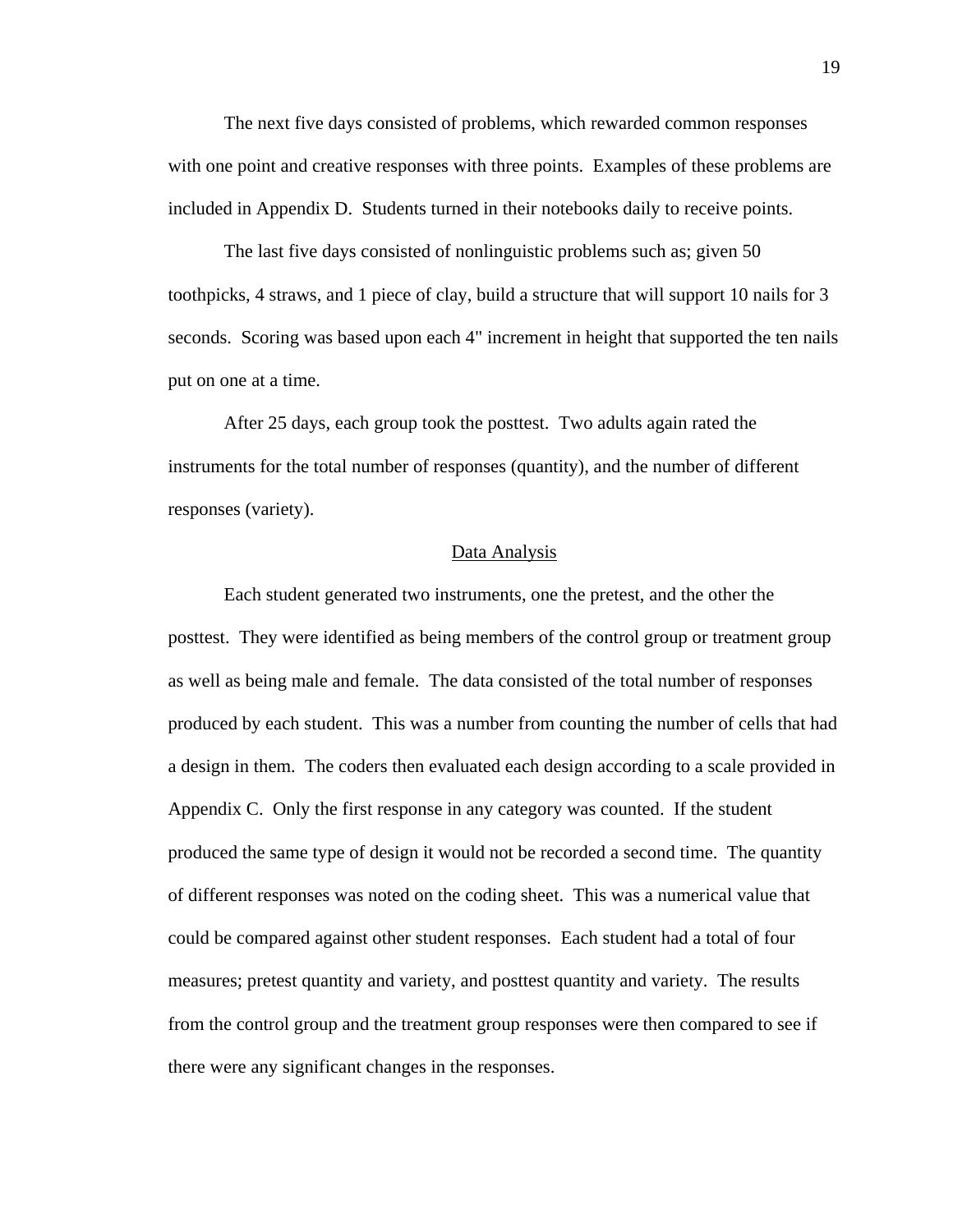The next five days consisted of problems, which rewarded common responses with one point and creative responses with three points. Examples of these problems are included in Appendix D. Students turned in their notebooks daily to receive points.

 The last five days consisted of nonlinguistic problems such as; given 50 toothpicks, 4 straws, and 1 piece of clay, build a structure that will support 10 nails for 3 seconds. Scoring was based upon each 4" increment in height that supported the ten nails put on one at a time.

 After 25 days, each group took the posttest. Two adults again rated the instruments for the total number of responses (quantity), and the number of different responses (variety).

# Data Analysis

 Each student generated two instruments, one the pretest, and the other the posttest. They were identified as being members of the control group or treatment group as well as being male and female. The data consisted of the total number of responses produced by each student. This was a number from counting the number of cells that had a design in them. The coders then evaluated each design according to a scale provided in Appendix C. Only the first response in any category was counted. If the student produced the same type of design it would not be recorded a second time. The quantity of different responses was noted on the coding sheet. This was a numerical value that could be compared against other student responses. Each student had a total of four measures; pretest quantity and variety, and posttest quantity and variety. The results from the control group and the treatment group responses were then compared to see if there were any significant changes in the responses.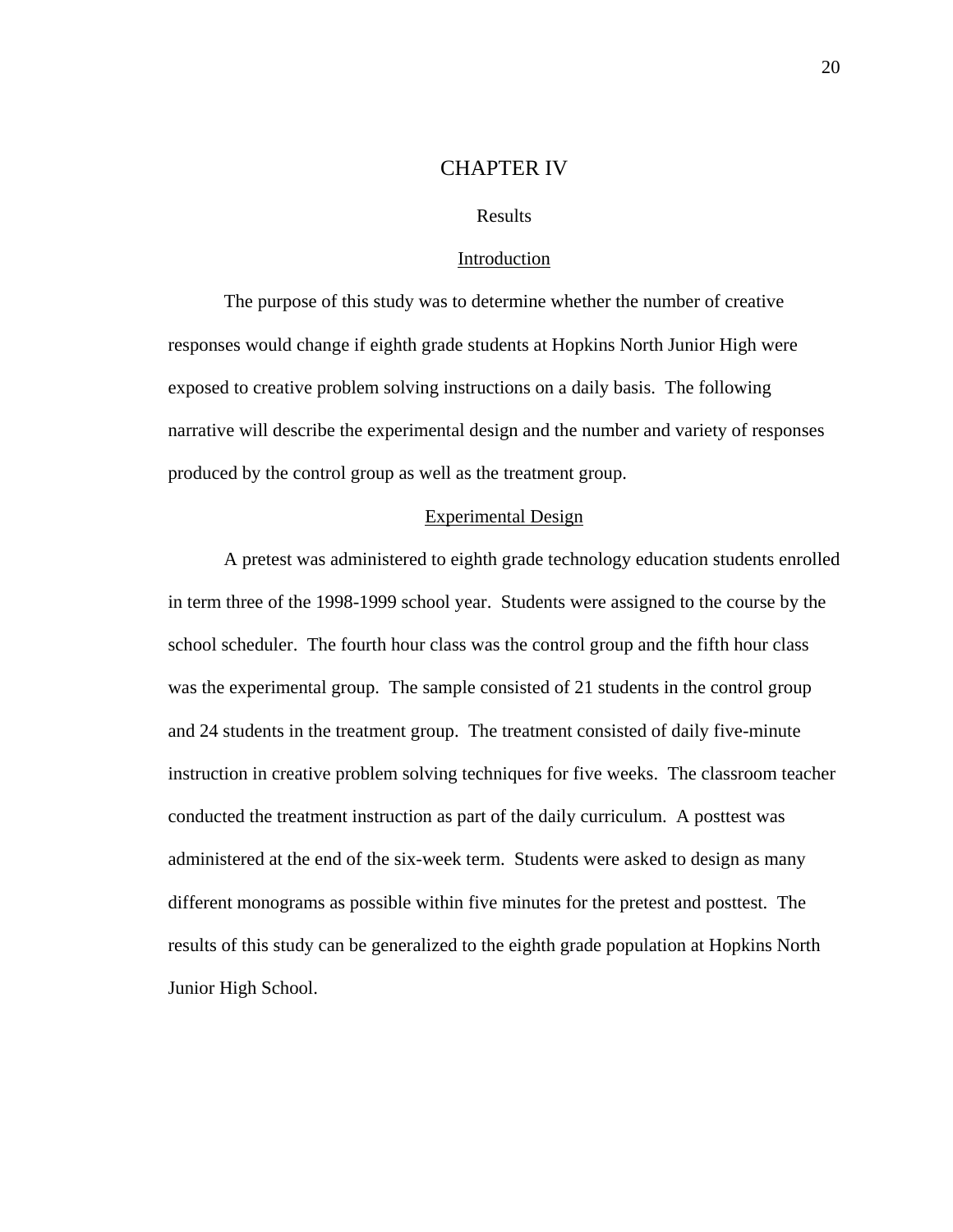# CHAPTER IV

# Results

### Introduction

 The purpose of this study was to determine whether the number of creative responses would change if eighth grade students at Hopkins North Junior High were exposed to creative problem solving instructions on a daily basis. The following narrative will describe the experimental design and the number and variety of responses produced by the control group as well as the treatment group.

## Experimental Design

 A pretest was administered to eighth grade technology education students enrolled in term three of the 1998-1999 school year. Students were assigned to the course by the school scheduler. The fourth hour class was the control group and the fifth hour class was the experimental group. The sample consisted of 21 students in the control group and 24 students in the treatment group. The treatment consisted of daily five-minute instruction in creative problem solving techniques for five weeks. The classroom teacher conducted the treatment instruction as part of the daily curriculum. A posttest was administered at the end of the six-week term. Students were asked to design as many different monograms as possible within five minutes for the pretest and posttest. The results of this study can be generalized to the eighth grade population at Hopkins North Junior High School.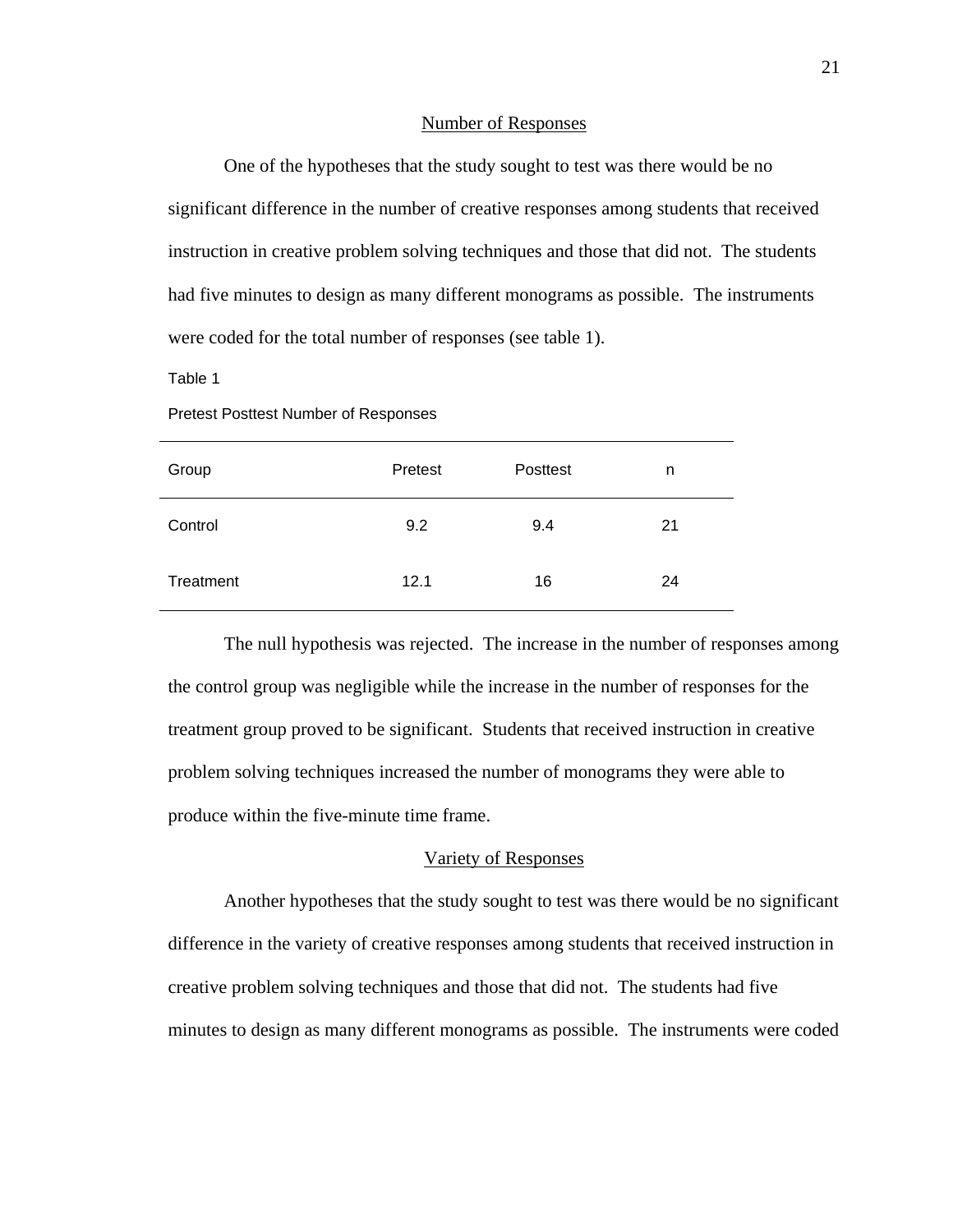#### Number of Responses

 One of the hypotheses that the study sought to test was there would be no significant difference in the number of creative responses among students that received instruction in creative problem solving techniques and those that did not. The students had five minutes to design as many different monograms as possible. The instruments were coded for the total number of responses (see table 1).

Table 1

Pretest Posttest Number of Responses

| Group     | Pretest | Posttest | n  |
|-----------|---------|----------|----|
| Control   | 9.2     | 9.4      | 21 |
| Treatment | 12.1    | 16       | 24 |

 The null hypothesis was rejected. The increase in the number of responses among the control group was negligible while the increase in the number of responses for the treatment group proved to be significant. Students that received instruction in creative problem solving techniques increased the number of monograms they were able to produce within the five-minute time frame.

# Variety of Responses

 Another hypotheses that the study sought to test was there would be no significant difference in the variety of creative responses among students that received instruction in creative problem solving techniques and those that did not. The students had five minutes to design as many different monograms as possible. The instruments were coded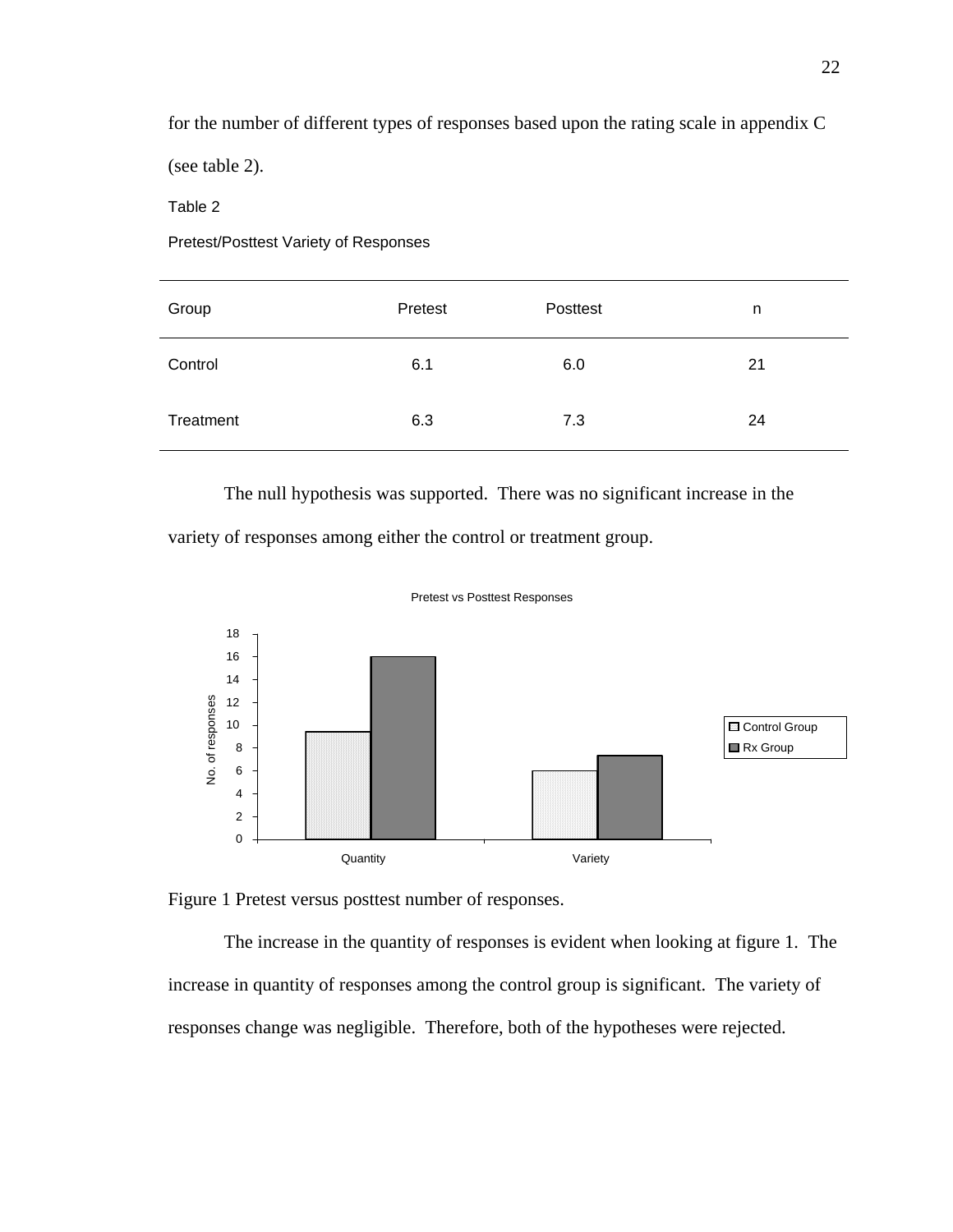for the number of different types of responses based upon the rating scale in appendix C

(see table 2).

Table 2

Pretest/Posttest Variety of Responses

| Group     | Pretest | Posttest | n  |
|-----------|---------|----------|----|
| Control   | 6.1     | 6.0      | 21 |
| Treatment | 6.3     | 7.3      | 24 |

 The null hypothesis was supported. There was no significant increase in the variety of responses among either the control or treatment group.



Pretest vs Posttest Responses

Figure 1 Pretest versus posttest number of responses.

 The increase in the quantity of responses is evident when looking at figure 1. The increase in quantity of responses among the control group is significant. The variety of responses change was negligible. Therefore, both of the hypotheses were rejected.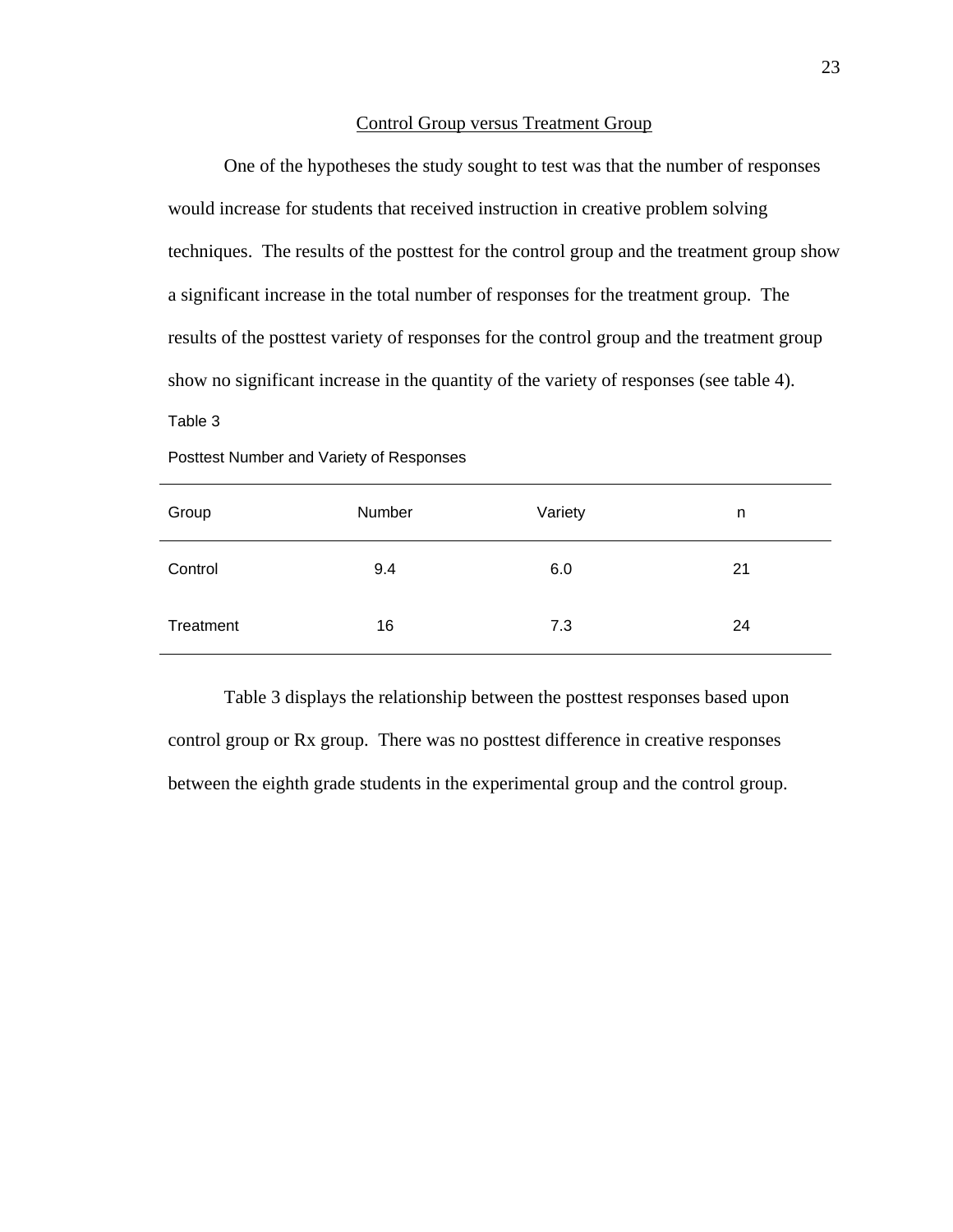# Control Group versus Treatment Group

 One of the hypotheses the study sought to test was that the number of responses would increase for students that received instruction in creative problem solving techniques. The results of the posttest for the control group and the treatment group show a significant increase in the total number of responses for the treatment group. The results of the posttest variety of responses for the control group and the treatment group show no significant increase in the quantity of the variety of responses (see table 4).

# Table 3

| Group     | Number | Variety | n  |
|-----------|--------|---------|----|
| Control   | 9.4    | 6.0     | 21 |
| Treatment | 16     | 7.3     | 24 |

Posttest Number and Variety of Responses

 Table 3 displays the relationship between the posttest responses based upon control group or Rx group. There was no posttest difference in creative responses between the eighth grade students in the experimental group and the control group.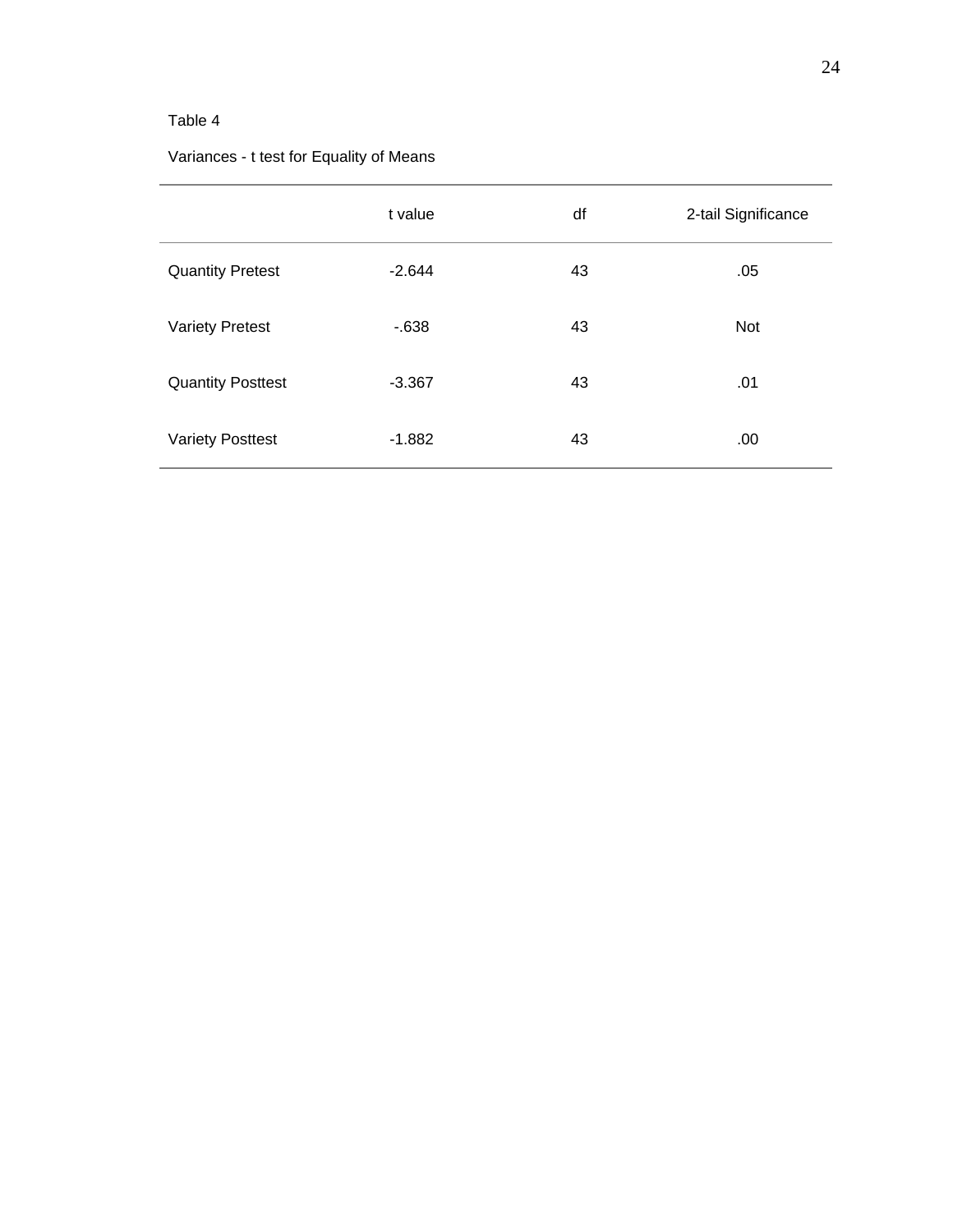# Table 4

# Variances - t test for Equality of Means

|                          | t value  | df | 2-tail Significance |
|--------------------------|----------|----|---------------------|
| <b>Quantity Pretest</b>  | $-2.644$ | 43 | .05                 |
| <b>Variety Pretest</b>   | $-638$   | 43 | <b>Not</b>          |
| <b>Quantity Posttest</b> | $-3.367$ | 43 | .01                 |
| <b>Variety Posttest</b>  | $-1.882$ | 43 | .00                 |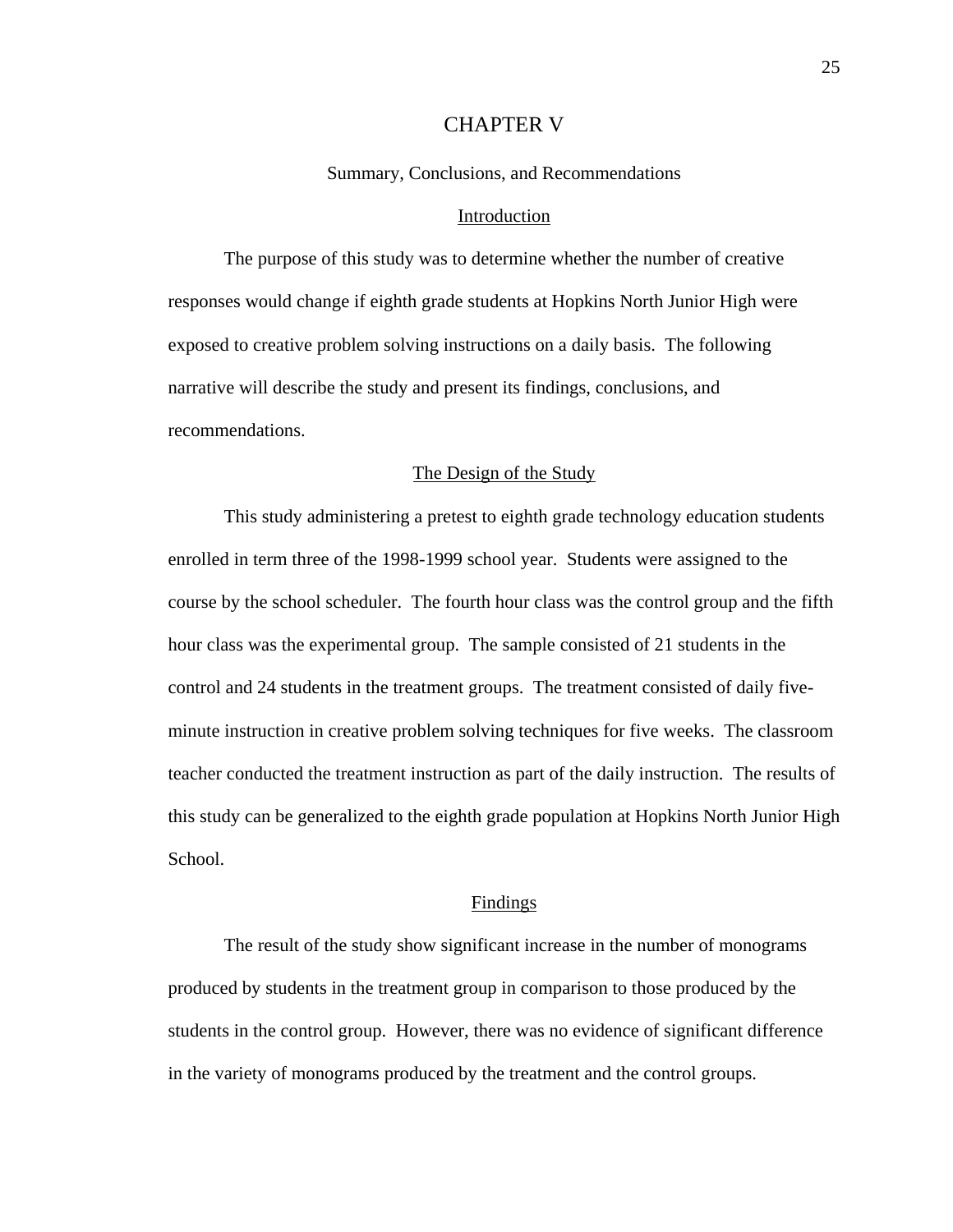# CHAPTER V

Summary, Conclusions, and Recommendations

# Introduction

 The purpose of this study was to determine whether the number of creative responses would change if eighth grade students at Hopkins North Junior High were exposed to creative problem solving instructions on a daily basis. The following narrative will describe the study and present its findings, conclusions, and recommendations.

# The Design of the Study

 This study administering a pretest to eighth grade technology education students enrolled in term three of the 1998-1999 school year. Students were assigned to the course by the school scheduler. The fourth hour class was the control group and the fifth hour class was the experimental group. The sample consisted of 21 students in the control and 24 students in the treatment groups. The treatment consisted of daily fiveminute instruction in creative problem solving techniques for five weeks. The classroom teacher conducted the treatment instruction as part of the daily instruction. The results of this study can be generalized to the eighth grade population at Hopkins North Junior High School.

# Findings

 The result of the study show significant increase in the number of monograms produced by students in the treatment group in comparison to those produced by the students in the control group. However, there was no evidence of significant difference in the variety of monograms produced by the treatment and the control groups.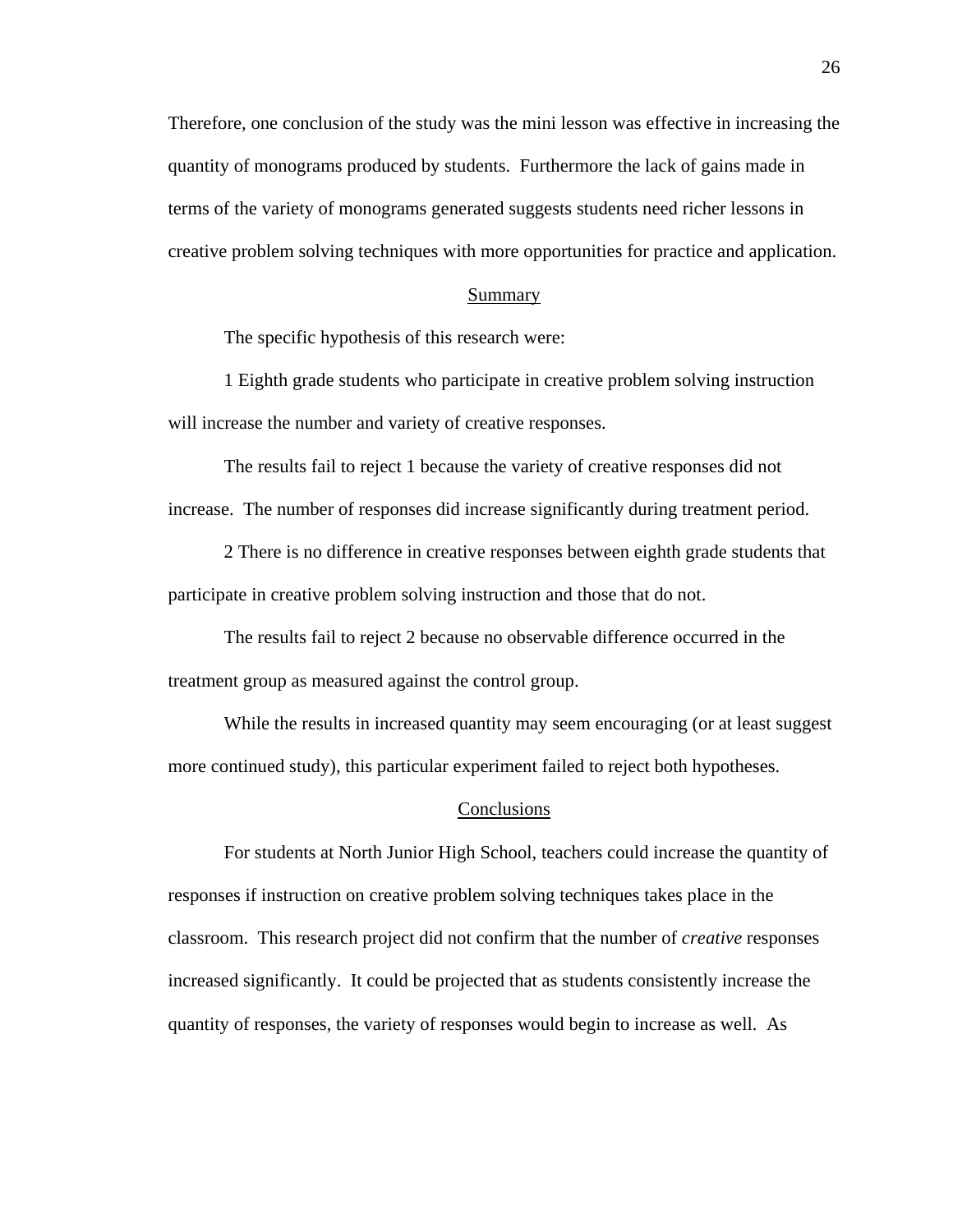Therefore, one conclusion of the study was the mini lesson was effective in increasing the quantity of monograms produced by students. Furthermore the lack of gains made in terms of the variety of monograms generated suggests students need richer lessons in creative problem solving techniques with more opportunities for practice and application.

# Summary

The specific hypothesis of this research were:

 1 Eighth grade students who participate in creative problem solving instruction will increase the number and variety of creative responses.

 The results fail to reject 1 because the variety of creative responses did not increase. The number of responses did increase significantly during treatment period.

 2 There is no difference in creative responses between eighth grade students that participate in creative problem solving instruction and those that do not.

 The results fail to reject 2 because no observable difference occurred in the treatment group as measured against the control group.

While the results in increased quantity may seem encouraging (or at least suggest more continued study), this particular experiment failed to reject both hypotheses.

#### **Conclusions**

 For students at North Junior High School, teachers could increase the quantity of responses if instruction on creative problem solving techniques takes place in the classroom. This research project did not confirm that the number of *creative* responses increased significantly. It could be projected that as students consistently increase the quantity of responses, the variety of responses would begin to increase as well. As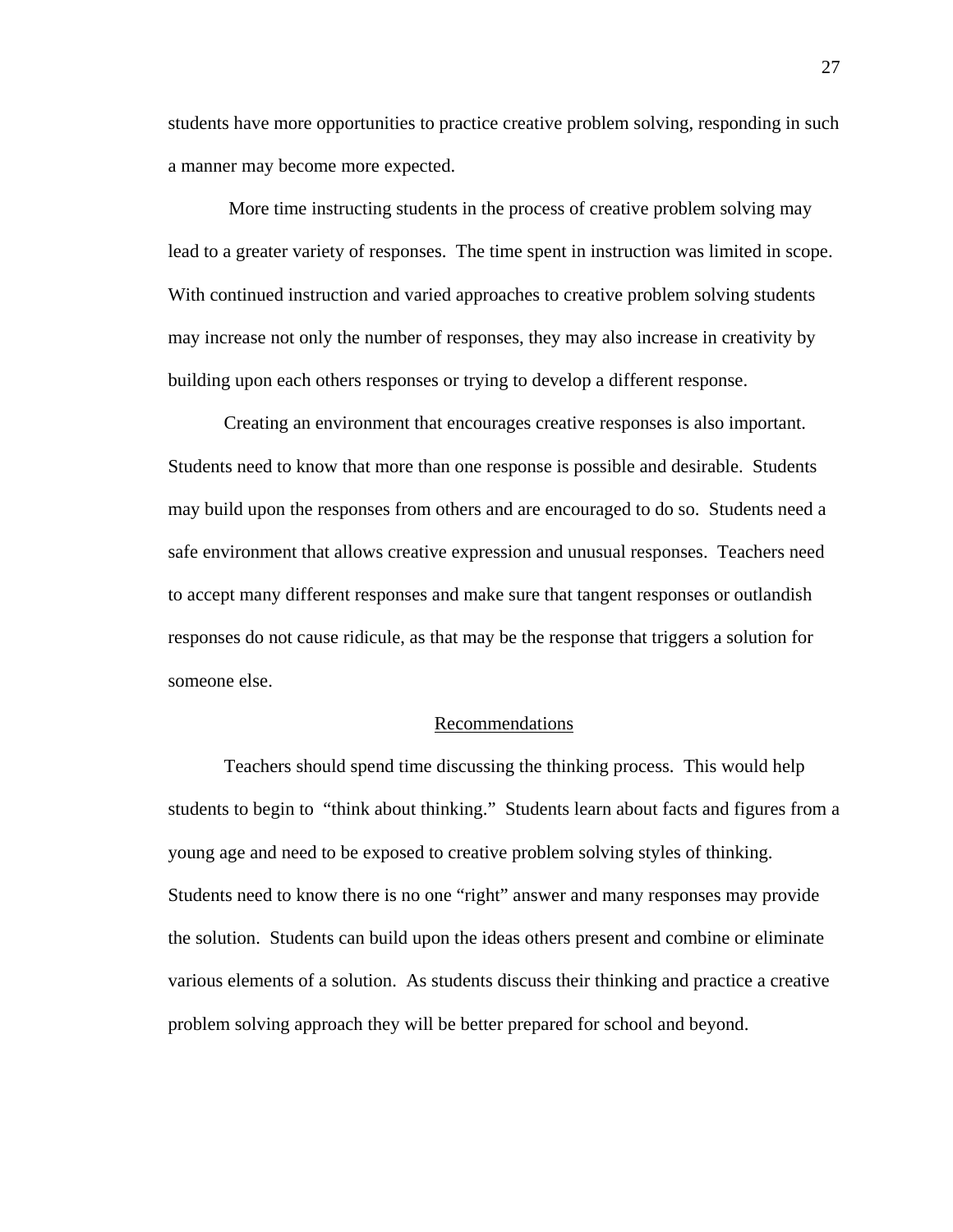students have more opportunities to practice creative problem solving, responding in such a manner may become more expected.

 More time instructing students in the process of creative problem solving may lead to a greater variety of responses. The time spent in instruction was limited in scope. With continued instruction and varied approaches to creative problem solving students may increase not only the number of responses, they may also increase in creativity by building upon each others responses or trying to develop a different response.

 Creating an environment that encourages creative responses is also important. Students need to know that more than one response is possible and desirable. Students may build upon the responses from others and are encouraged to do so. Students need a safe environment that allows creative expression and unusual responses. Teachers need to accept many different responses and make sure that tangent responses or outlandish responses do not cause ridicule, as that may be the response that triggers a solution for someone else.

### Recommendations

 Teachers should spend time discussing the thinking process. This would help students to begin to "think about thinking." Students learn about facts and figures from a young age and need to be exposed to creative problem solving styles of thinking. Students need to know there is no one "right" answer and many responses may provide the solution. Students can build upon the ideas others present and combine or eliminate various elements of a solution. As students discuss their thinking and practice a creative problem solving approach they will be better prepared for school and beyond.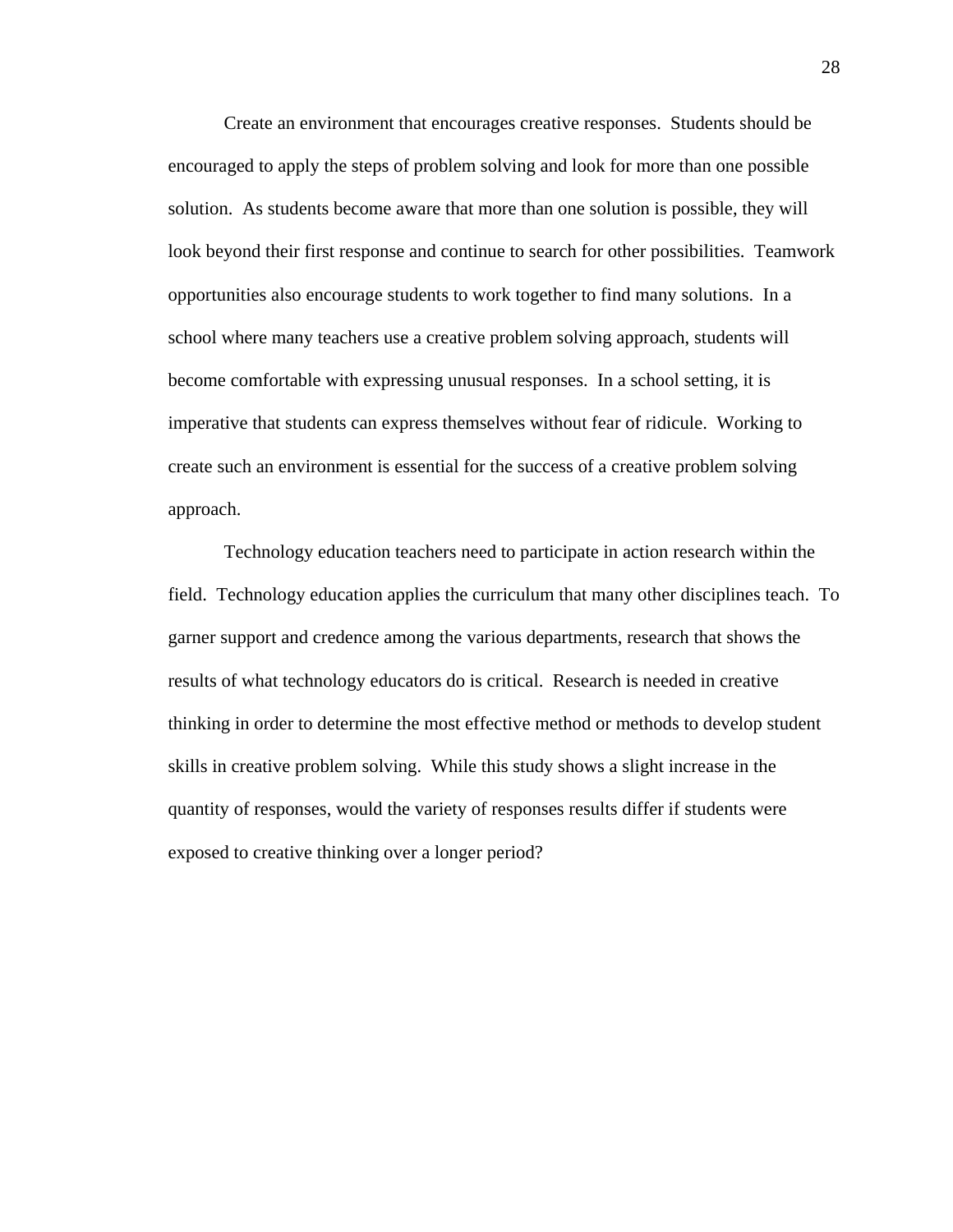Create an environment that encourages creative responses. Students should be encouraged to apply the steps of problem solving and look for more than one possible solution. As students become aware that more than one solution is possible, they will look beyond their first response and continue to search for other possibilities. Teamwork opportunities also encourage students to work together to find many solutions. In a school where many teachers use a creative problem solving approach, students will become comfortable with expressing unusual responses. In a school setting, it is imperative that students can express themselves without fear of ridicule. Working to create such an environment is essential for the success of a creative problem solving approach.

 Technology education teachers need to participate in action research within the field. Technology education applies the curriculum that many other disciplines teach. To garner support and credence among the various departments, research that shows the results of what technology educators do is critical. Research is needed in creative thinking in order to determine the most effective method or methods to develop student skills in creative problem solving. While this study shows a slight increase in the quantity of responses, would the variety of responses results differ if students were exposed to creative thinking over a longer period?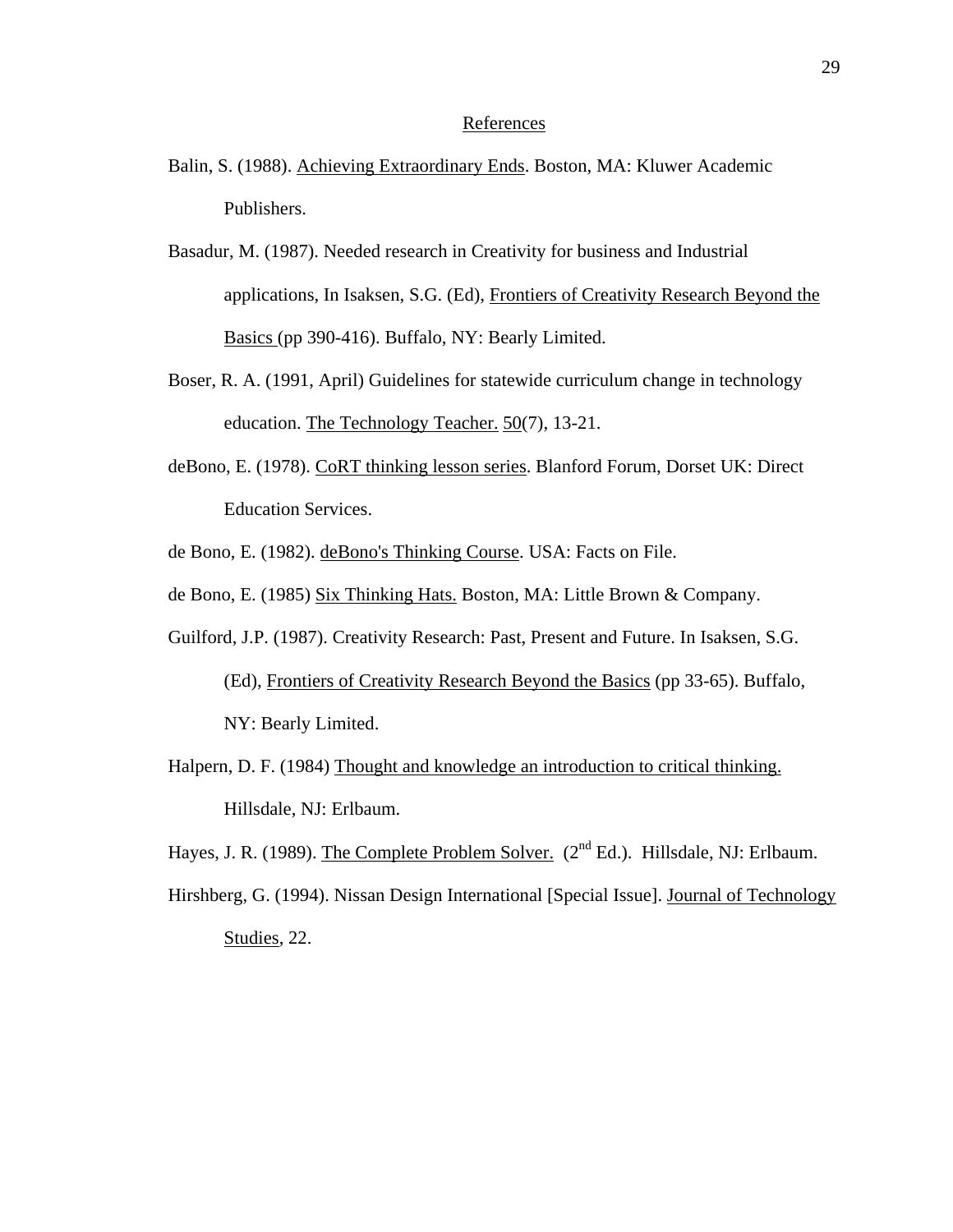# References

- Balin, S. (1988). Achieving Extraordinary Ends. Boston, MA: Kluwer Academic Publishers.
- Basadur, M. (1987). Needed research in Creativity for business and Industrial applications, In Isaksen, S.G. (Ed), Frontiers of Creativity Research Beyond the Basics (pp 390-416). Buffalo, NY: Bearly Limited.
- Boser, R. A. (1991, April) Guidelines for statewide curriculum change in technology education. The Technology Teacher. 50(7), 13-21.
- deBono, E. (1978). CoRT thinking lesson series. Blanford Forum, Dorset UK: Direct Education Services.
- de Bono, E. (1982). deBono's Thinking Course. USA: Facts on File.
- de Bono, E. (1985) Six Thinking Hats. Boston, MA: Little Brown & Company.
- Guilford, J.P. (1987). Creativity Research: Past, Present and Future. In Isaksen, S.G. (Ed), Frontiers of Creativity Research Beyond the Basics (pp 33-65). Buffalo,

NY: Bearly Limited.

Halpern, D. F. (1984) Thought and knowledge an introduction to critical thinking. Hillsdale, NJ: Erlbaum.

Hayes, J. R. (1989). The Complete Problem Solver.  $(2^{nd} Ed.)$ . Hillsdale, NJ: Erlbaum.

Hirshberg, G. (1994). Nissan Design International [Special Issue]. Journal of Technology Studies, 22.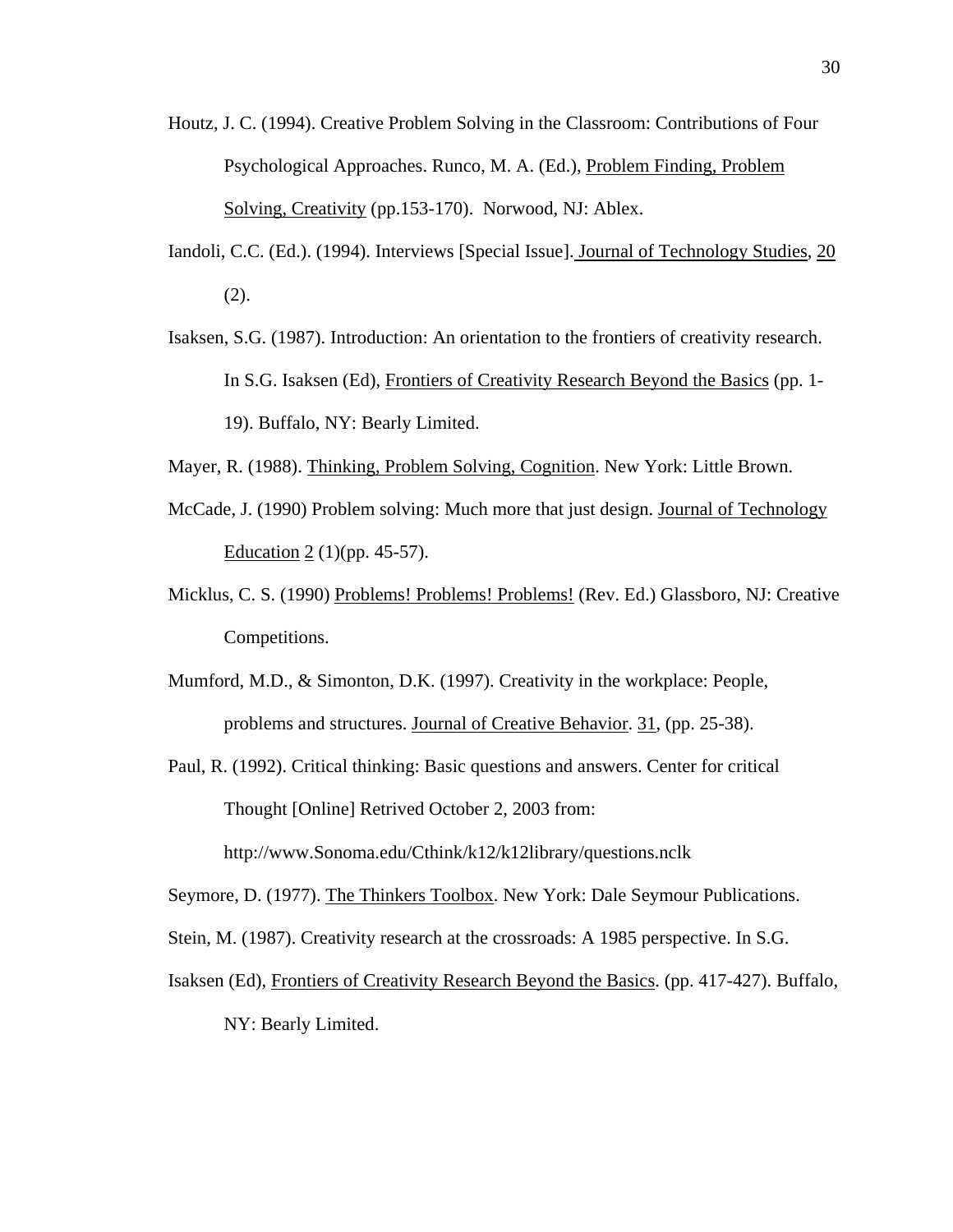- Houtz, J. C. (1994). Creative Problem Solving in the Classroom: Contributions of Four Psychological Approaches. Runco, M. A. (Ed.), Problem Finding, Problem Solving, Creativity (pp.153-170). Norwood, NJ: Ablex.
- Iandoli, C.C. (Ed.). (1994). Interviews [Special Issue]. Journal of Technology Studies, 20 (2).
- Isaksen, S.G. (1987). Introduction: An orientation to the frontiers of creativity research. In S.G. Isaksen (Ed), Frontiers of Creativity Research Beyond the Basics (pp. 1- 19). Buffalo, NY: Bearly Limited.
- Mayer, R. (1988). Thinking, Problem Solving, Cognition. New York: Little Brown.
- McCade, J. (1990) Problem solving: Much more that just design. Journal of Technology Education 2 (1)(pp. 45-57).
- Micklus, C. S. (1990) Problems! Problems! Problems! (Rev. Ed.) Glassboro, NJ: Creative Competitions.
- Mumford, M.D., & Simonton, D.K. (1997). Creativity in the workplace: People, problems and structures. Journal of Creative Behavior. 31, (pp. 25-38).
- Paul, R. (1992). Critical thinking: Basic questions and answers. Center for critical Thought [Online] Retrived October 2, 2003 from: http://www.Sonoma.edu/Cthink/k12/k12library/questions.nclk

Seymore, D. (1977). The Thinkers Toolbox. New York: Dale Seymour Publications.

- Stein, M. (1987). Creativity research at the crossroads: A 1985 perspective. In S.G.
- Isaksen (Ed), Frontiers of Creativity Research Beyond the Basics. (pp. 417-427). Buffalo, NY: Bearly Limited.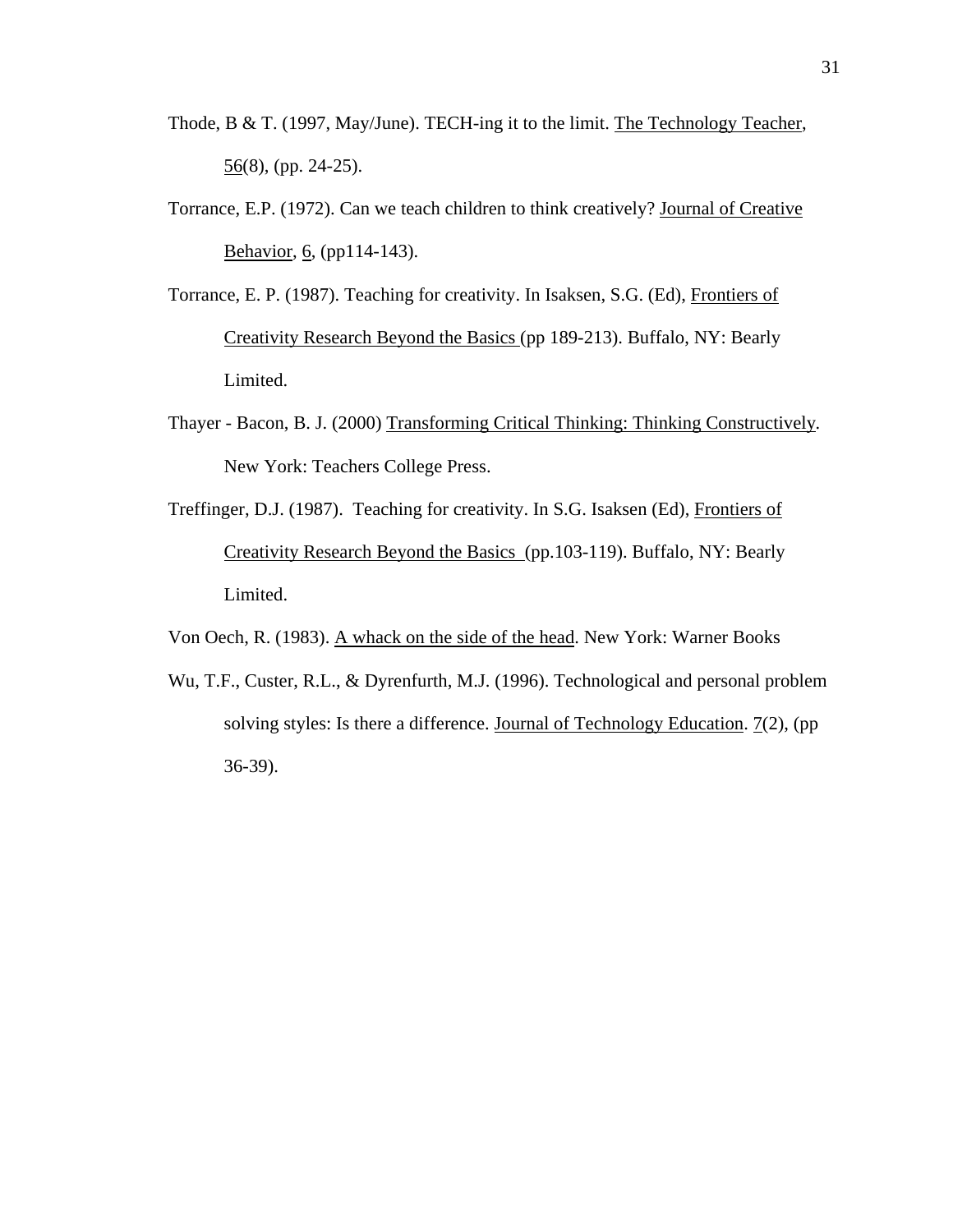- Thode, B & T. (1997, May/June). TECH-ing it to the limit. The Technology Teacher,  $56(8)$ , (pp. 24-25).
- Torrance, E.P. (1972). Can we teach children to think creatively? Journal of Creative Behavior, 6, (pp114-143).
- Torrance, E. P. (1987). Teaching for creativity. In Isaksen, S.G. (Ed), Frontiers of Creativity Research Beyond the Basics (pp 189-213). Buffalo, NY: Bearly Limited.
- Thayer Bacon, B. J. (2000) Transforming Critical Thinking: Thinking Constructively*.*  New York: Teachers College Press.
- Treffinger, D.J. (1987). Teaching for creativity. In S.G. Isaksen (Ed), Frontiers of Creativity Research Beyond the Basics (pp.103-119). Buffalo, NY: Bearly Limited.

Von Oech, R. (1983). A whack on the side of the head. New York: Warner Books

Wu, T.F., Custer, R.L., & Dyrenfurth, M.J. (1996). Technological and personal problem solving styles: Is there a difference. Journal of Technology Education. 7(2), (pp 36-39).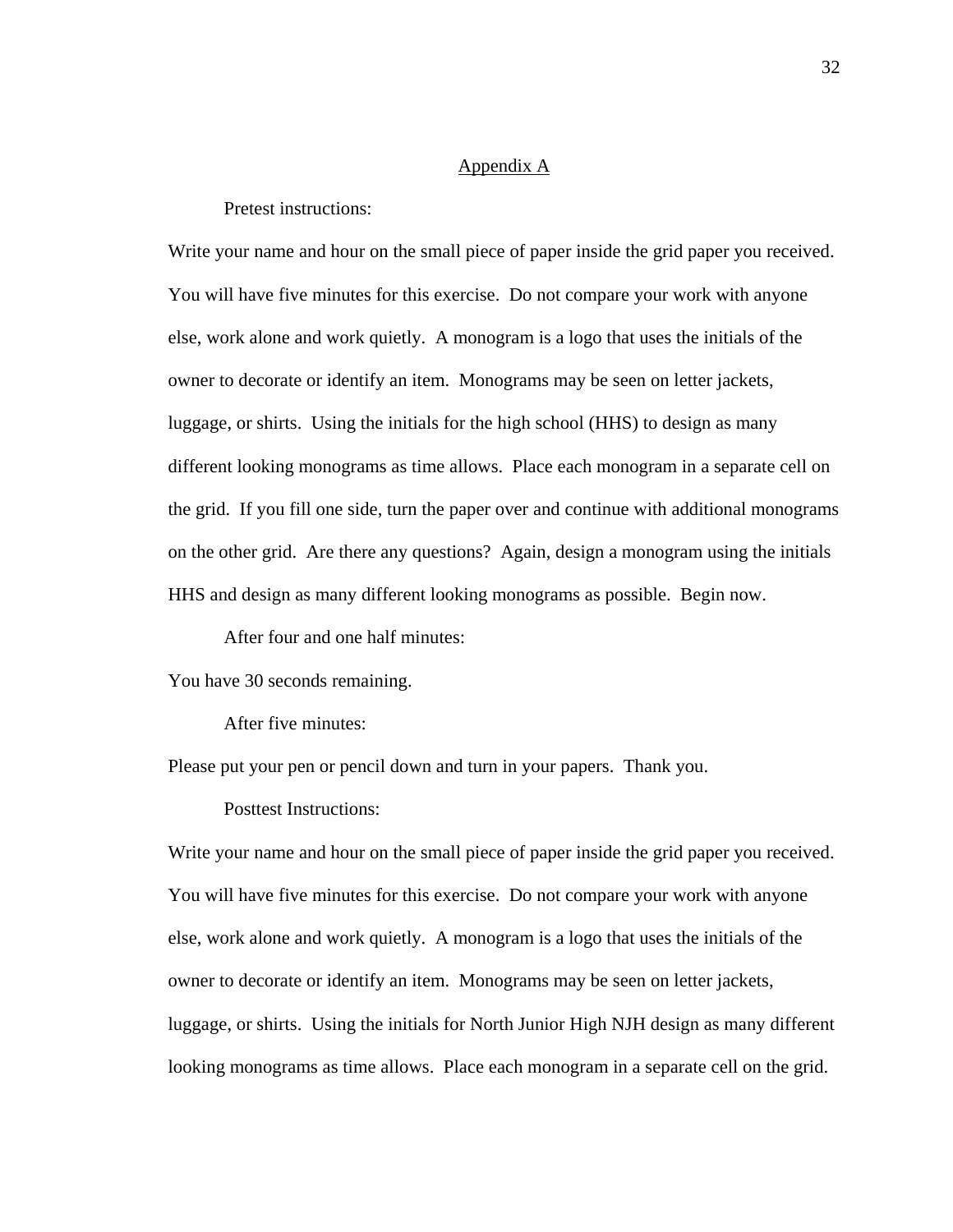# Appendix A

Pretest instructions:

Write your name and hour on the small piece of paper inside the grid paper you received. You will have five minutes for this exercise. Do not compare your work with anyone else, work alone and work quietly. A monogram is a logo that uses the initials of the owner to decorate or identify an item. Monograms may be seen on letter jackets, luggage, or shirts. Using the initials for the high school (HHS) to design as many different looking monograms as time allows. Place each monogram in a separate cell on the grid. If you fill one side, turn the paper over and continue with additional monograms on the other grid. Are there any questions? Again, design a monogram using the initials HHS and design as many different looking monograms as possible. Begin now.

After four and one half minutes:

You have 30 seconds remaining.

After five minutes:

Please put your pen or pencil down and turn in your papers. Thank you.

Posttest Instructions:

Write your name and hour on the small piece of paper inside the grid paper you received. You will have five minutes for this exercise. Do not compare your work with anyone else, work alone and work quietly. A monogram is a logo that uses the initials of the owner to decorate or identify an item. Monograms may be seen on letter jackets, luggage, or shirts. Using the initials for North Junior High NJH design as many different looking monograms as time allows. Place each monogram in a separate cell on the grid.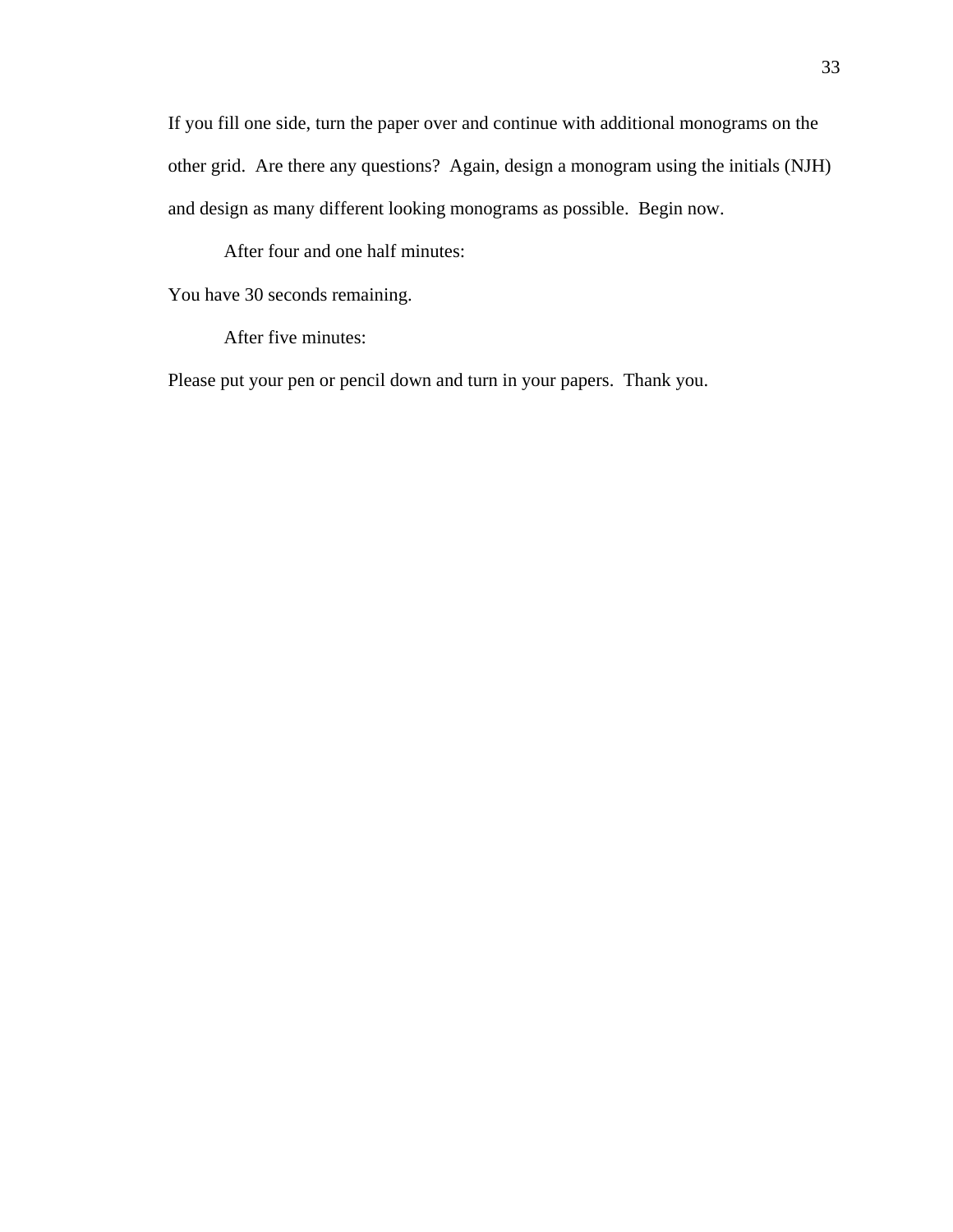If you fill one side, turn the paper over and continue with additional monograms on the other grid. Are there any questions? Again, design a monogram using the initials (NJH) and design as many different looking monograms as possible. Begin now.

After four and one half minutes:

You have 30 seconds remaining.

After five minutes:

Please put your pen or pencil down and turn in your papers. Thank you.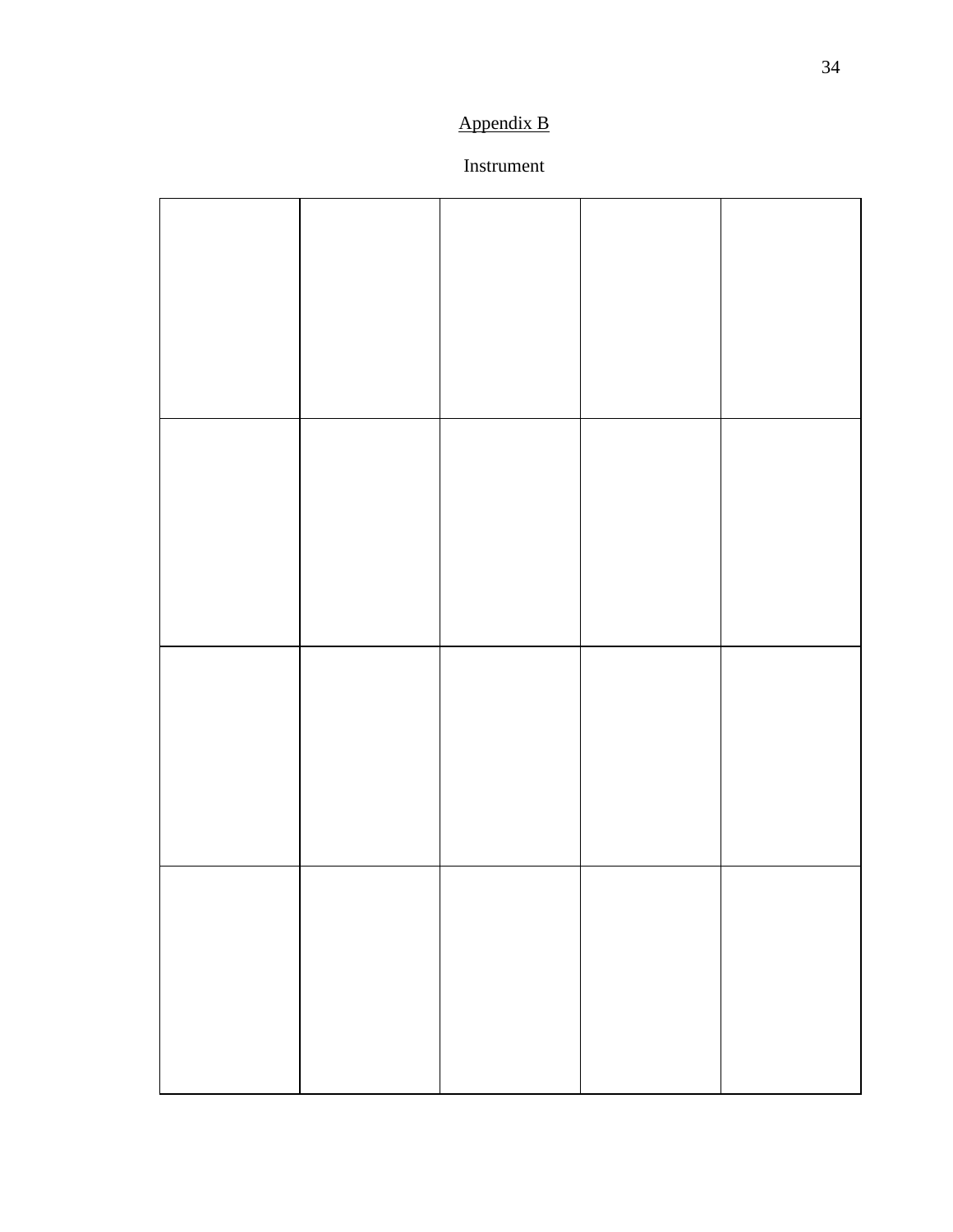# Appendix B

# Instrument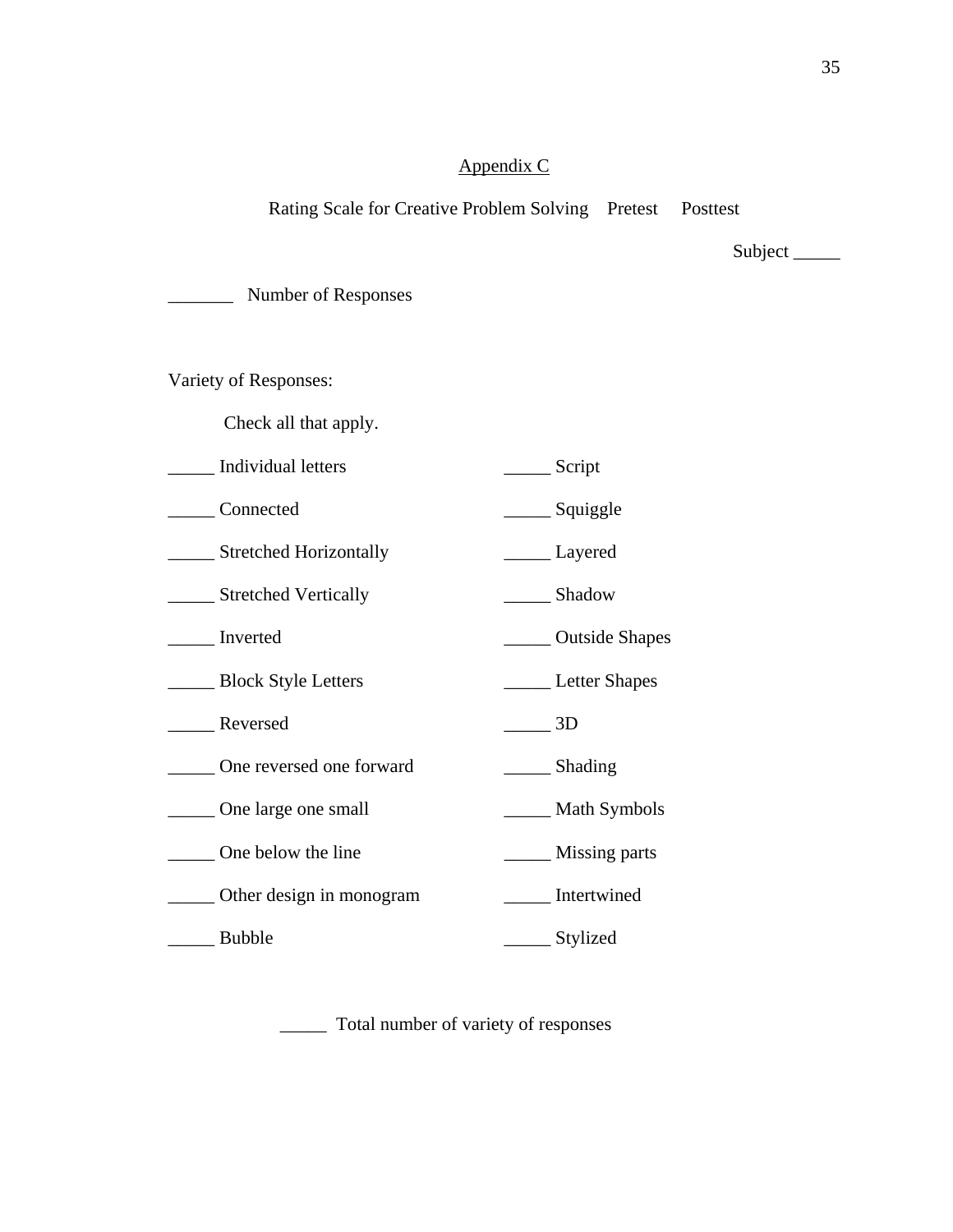# Appendix C

# Rating Scale for Creative Problem Solving Pretest Posttest

Subject\_

\_\_\_\_\_\_\_ Number of Responses

Variety of Responses:

Check all that apply.

- \_\_\_\_\_ Individual letters \_\_\_\_\_ Script
- \_\_\_\_\_ Connected \_\_\_\_\_ Squiggle

\_\_\_\_\_ Stretched Horizontally \_\_\_\_\_ Layered

\_\_\_\_\_ Stretched Vertically \_\_\_\_\_ Shadow

\_\_\_\_\_ Inverted \_\_\_\_\_ Outside Shapes

\_\_\_\_\_ Block Style Letters \_\_\_\_\_ Letter Shapes

- Reversed 2D
- \_\_\_\_\_ One reversed one forward \_\_\_\_\_ Shading

\_\_\_\_\_ One large one small \_\_\_\_\_ Math Symbols

- \_\_\_\_\_ One below the line \_\_\_\_\_ Missing parts
- \_\_\_\_\_ Other design in monogram \_\_\_\_\_ Intertwined
- \_\_\_\_\_ Bubble \_\_\_\_\_ Stylized

\_\_\_\_\_ Total number of variety of responses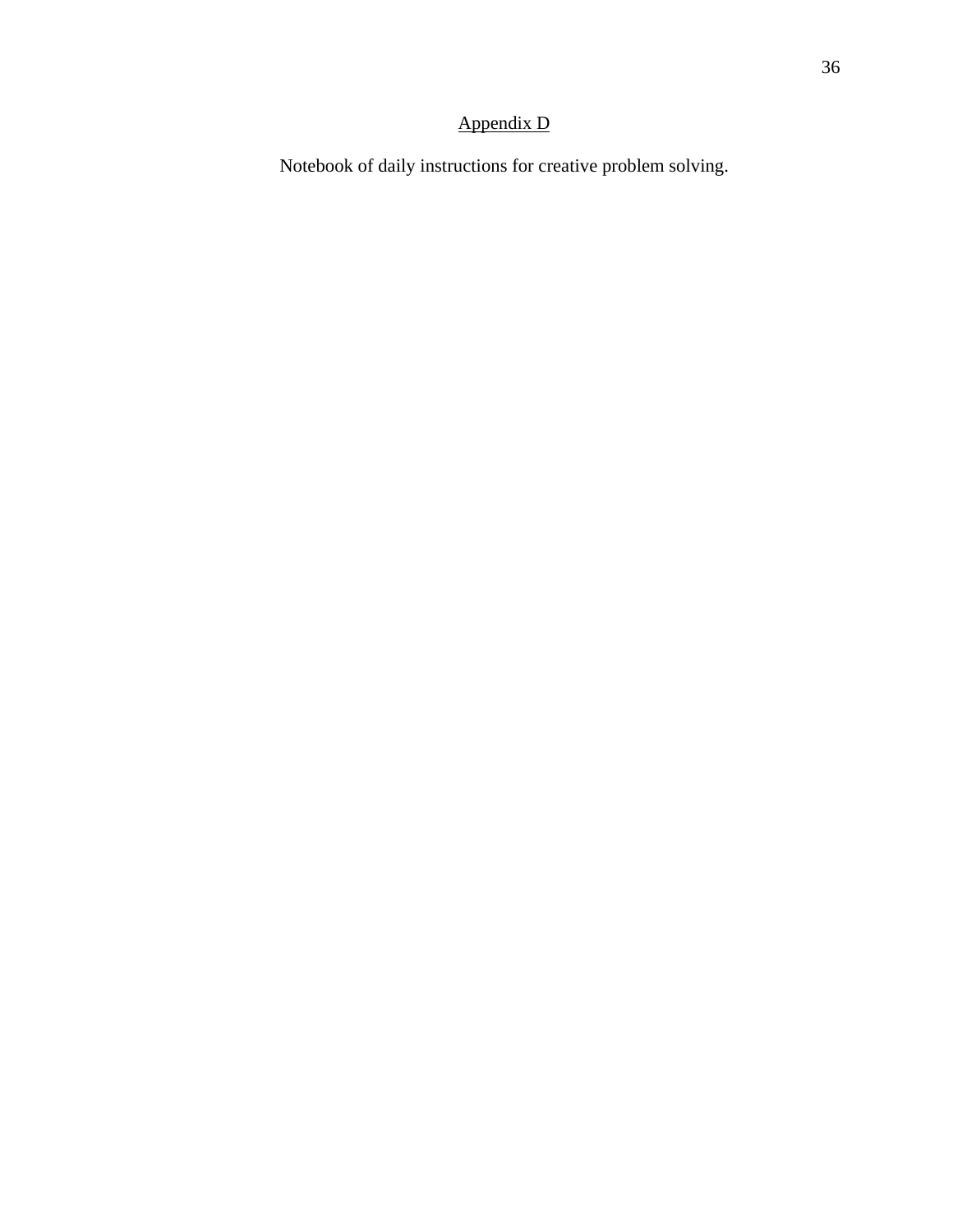# Appendix D

Notebook of daily instructions for creative problem solving.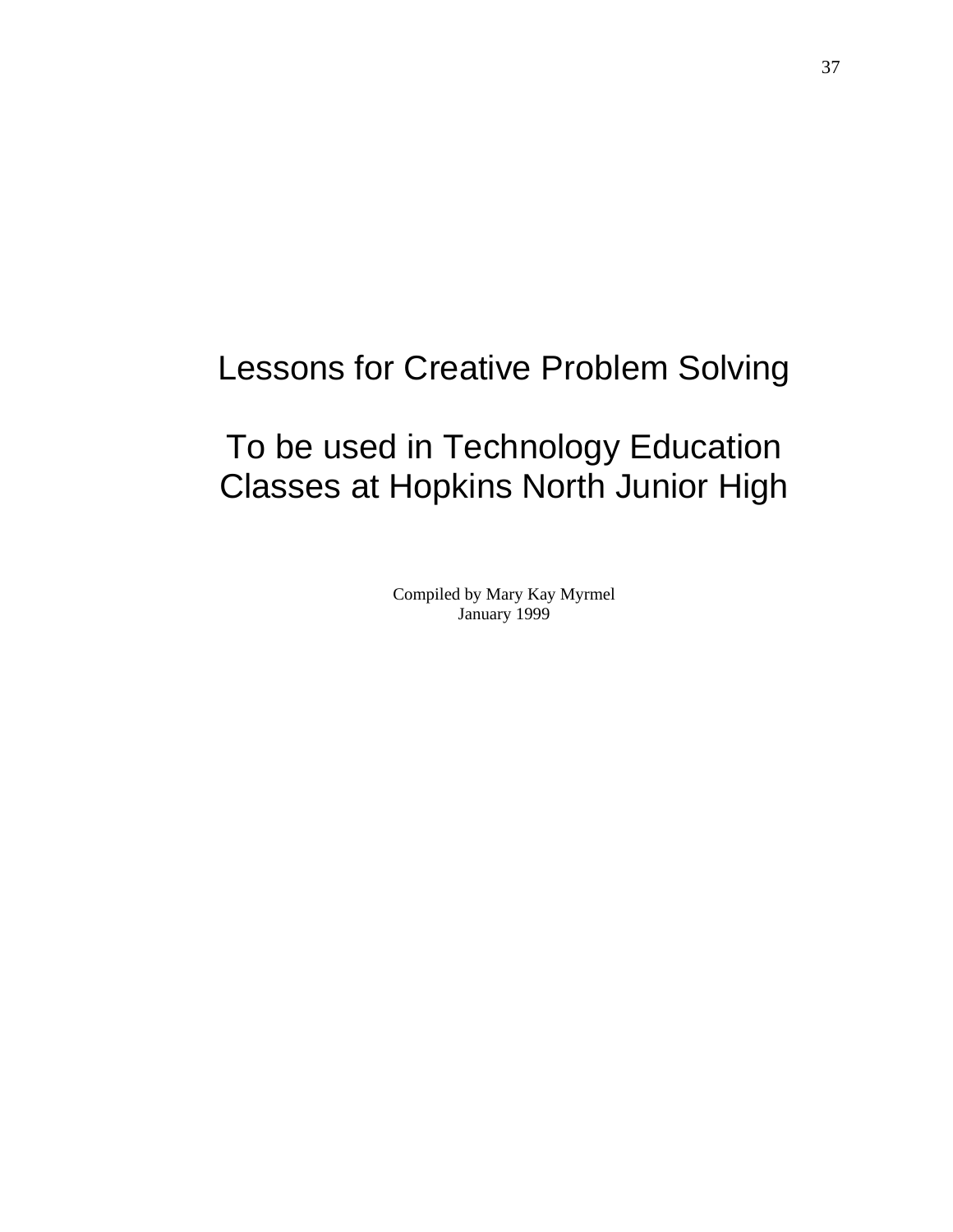# Lessons for Creative Problem Solving

# To be used in Technology Education Classes at Hopkins North Junior High

Compiled by Mary Kay Myrmel January 1999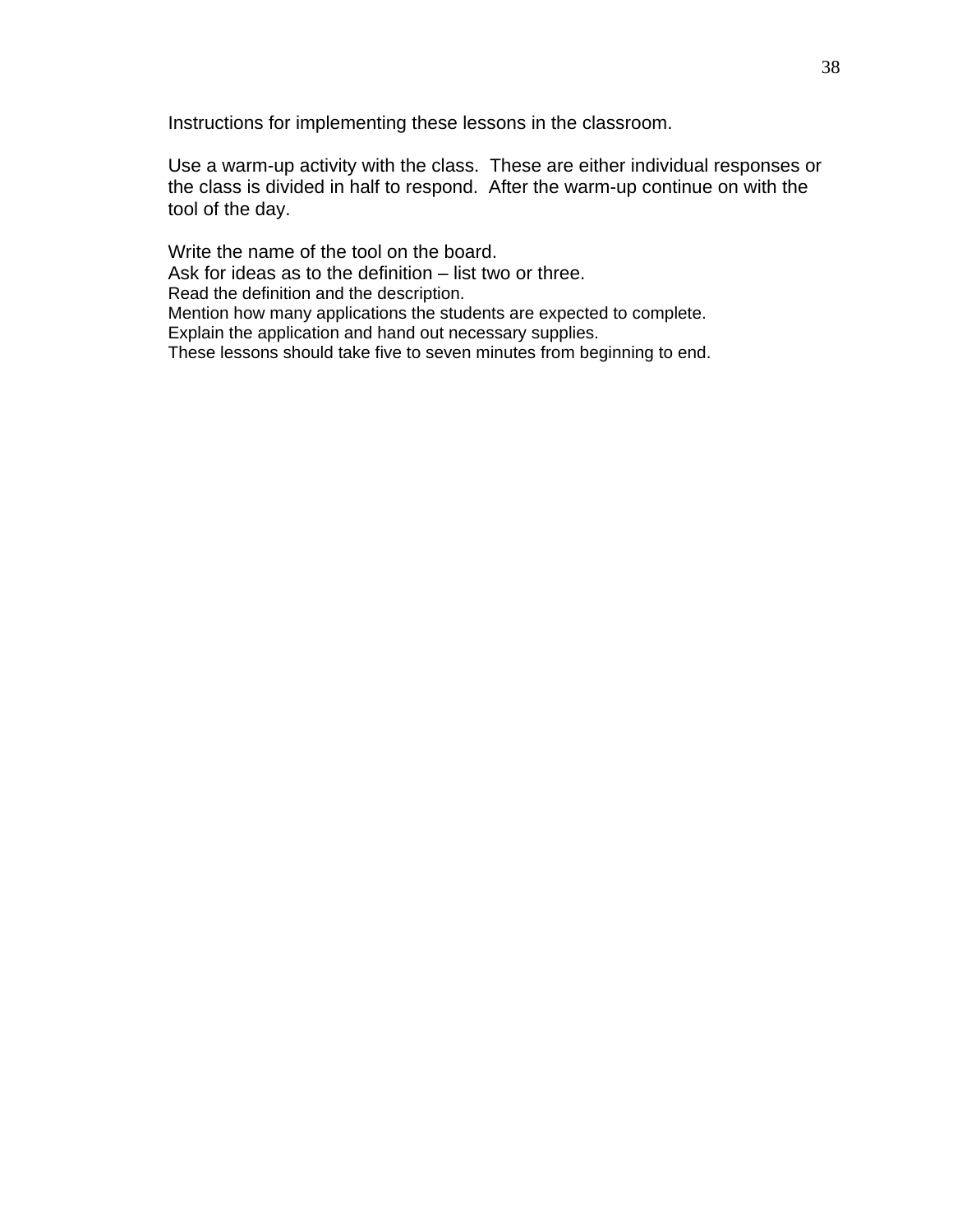Instructions for implementing these lessons in the classroom.

Use a warm-up activity with the class. These are either individual responses or the class is divided in half to respond. After the warm-up continue on with the tool of the day.

Write the name of the tool on the board. Ask for ideas as to the definition – list two or three. Read the definition and the description. Mention how many applications the students are expected to complete. Explain the application and hand out necessary supplies. These lessons should take five to seven minutes from beginning to end.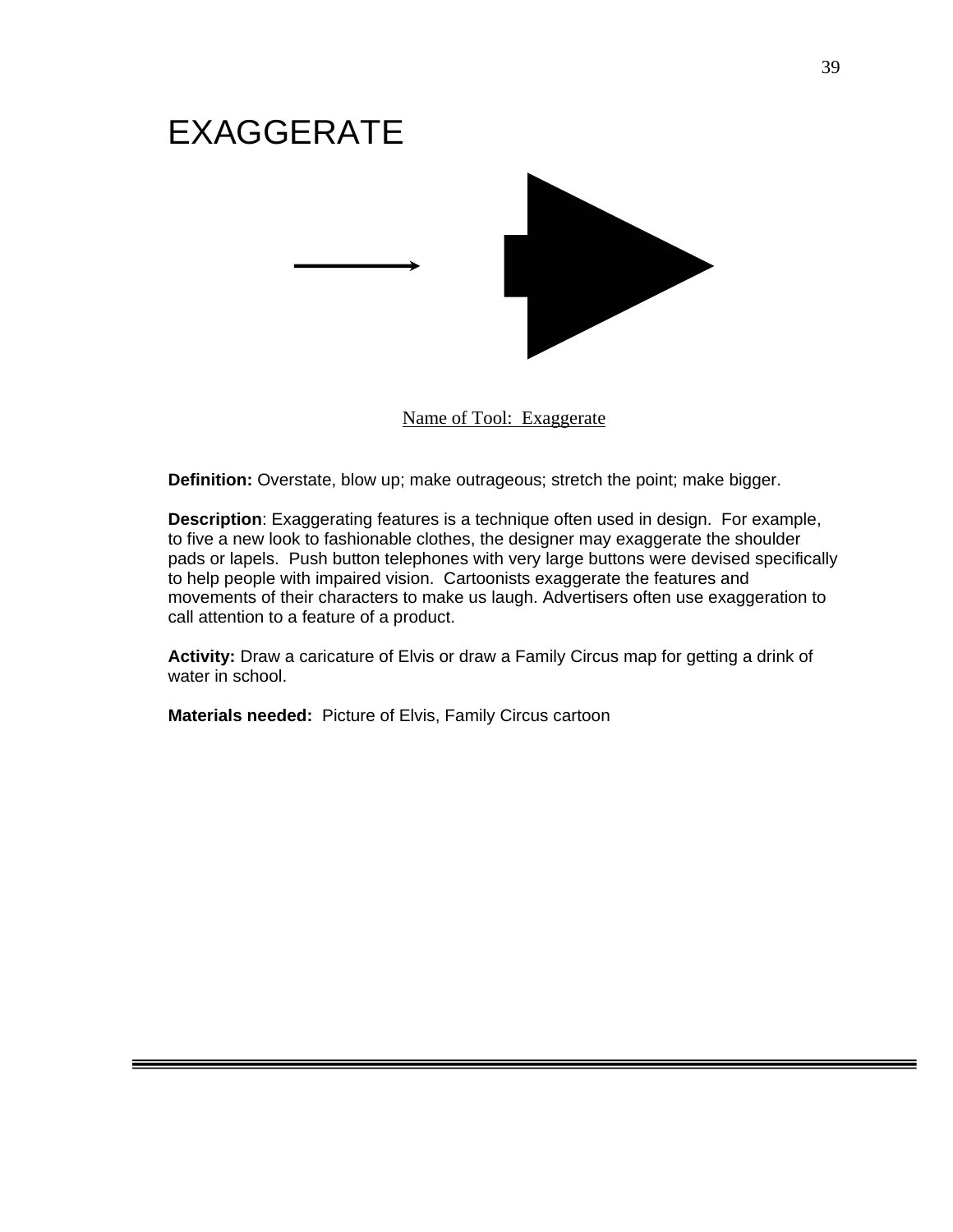

Name of Tool: Exaggerate

**Definition:** Overstate, blow up; make outrageous; stretch the point; make bigger.

**Description**: Exaggerating features is a technique often used in design. For example, to five a new look to fashionable clothes, the designer may exaggerate the shoulder pads or lapels. Push button telephones with very large buttons were devised specifically to help people with impaired vision. Cartoonists exaggerate the features and movements of their characters to make us laugh. Advertisers often use exaggeration to call attention to a feature of a product.

**Activity:** Draw a caricature of Elvis or draw a Family Circus map for getting a drink of water in school.

**Materials needed:** Picture of Elvis, Family Circus cartoon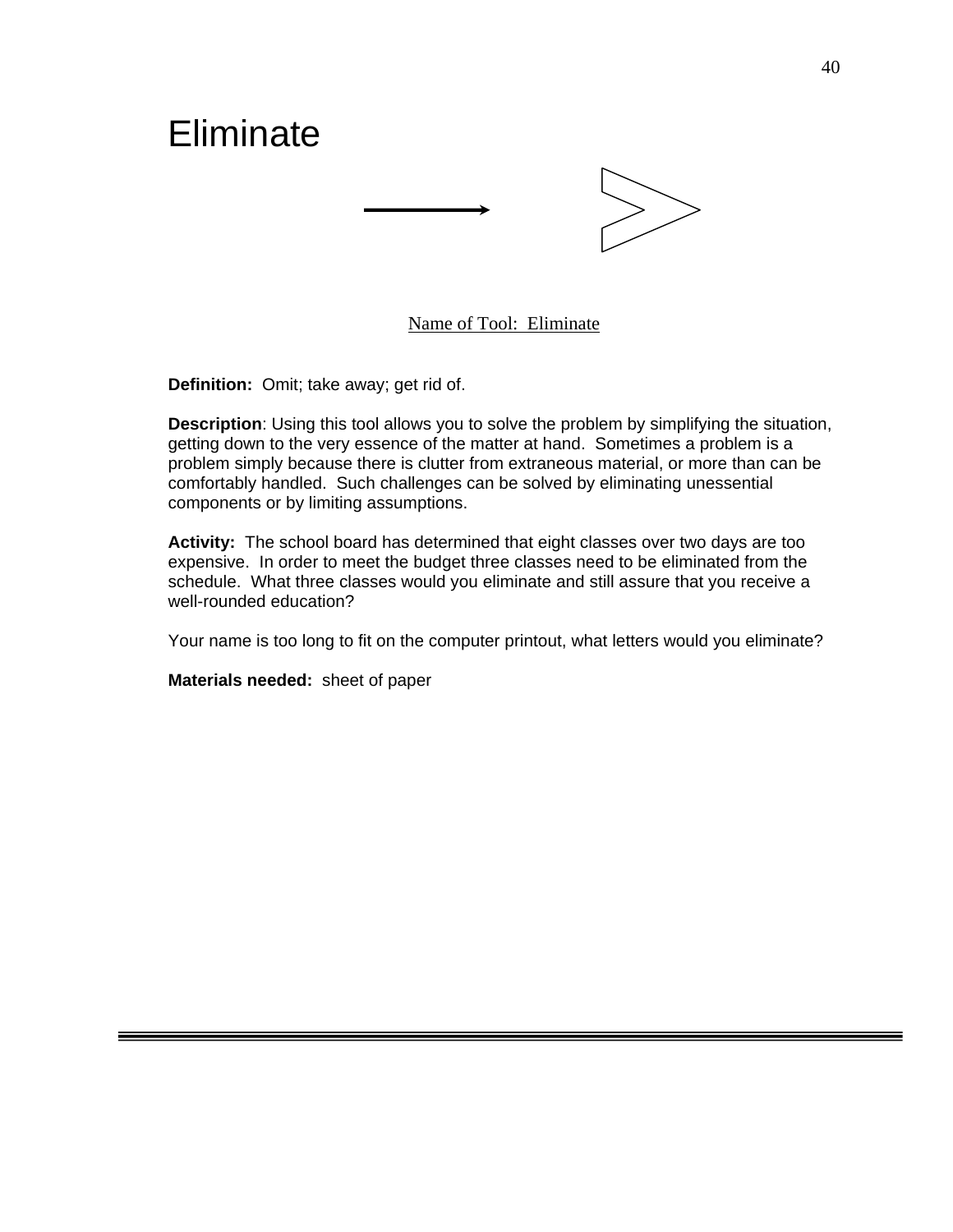

# Name of Tool: Eliminate

**Definition:** Omit; take away; get rid of.

**Description**: Using this tool allows you to solve the problem by simplifying the situation, getting down to the very essence of the matter at hand. Sometimes a problem is a problem simply because there is clutter from extraneous material, or more than can be comfortably handled. Such challenges can be solved by eliminating unessential components or by limiting assumptions.

**Activity:** The school board has determined that eight classes over two days are too expensive. In order to meet the budget three classes need to be eliminated from the schedule. What three classes would you eliminate and still assure that you receive a well-rounded education?

Your name is too long to fit on the computer printout, what letters would you eliminate?

**Materials needed:** sheet of paper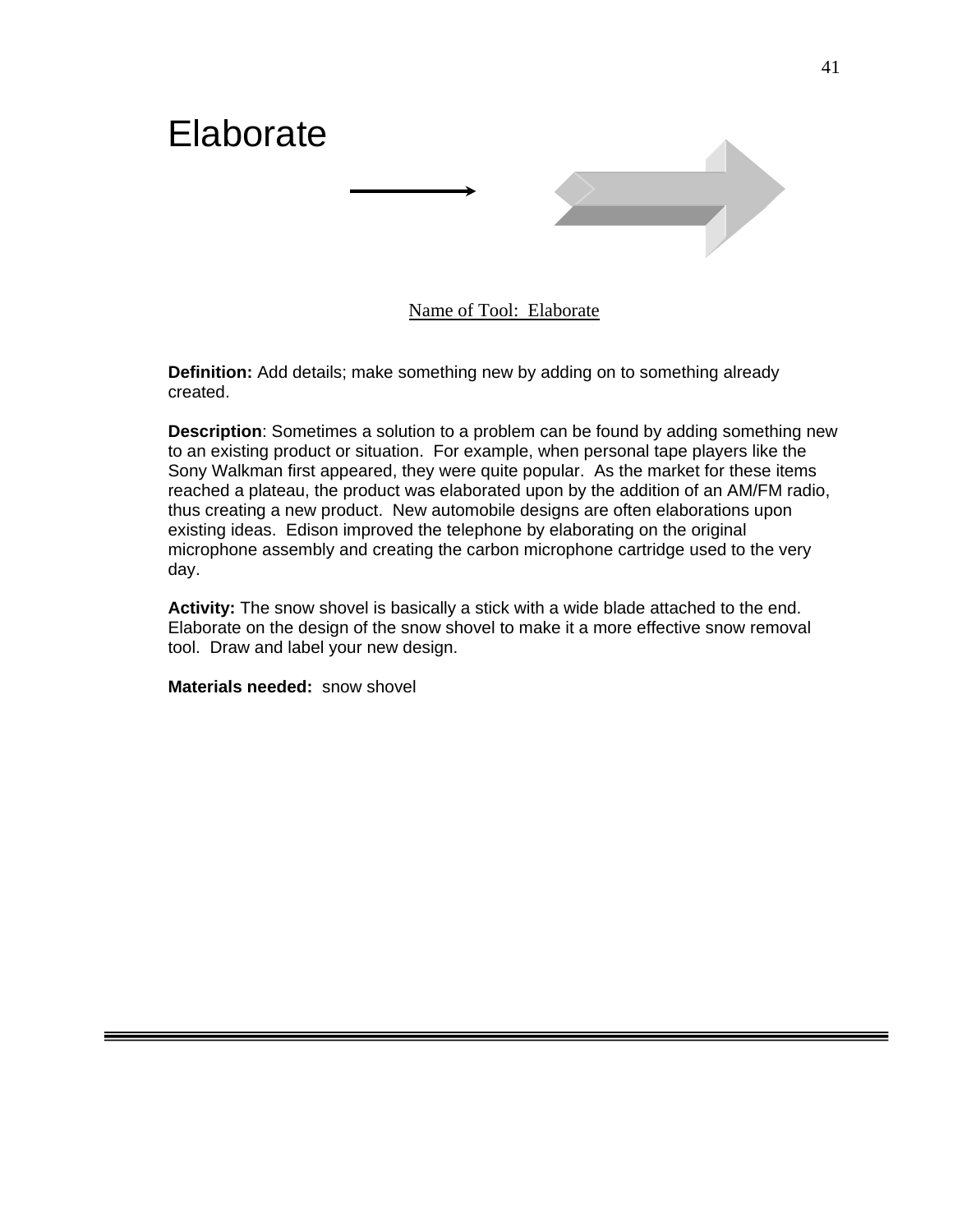

Name of Tool: Elaborate

**Definition:** Add details; make something new by adding on to something already created.

**Description**: Sometimes a solution to a problem can be found by adding something new to an existing product or situation. For example, when personal tape players like the Sony Walkman first appeared, they were quite popular. As the market for these items reached a plateau, the product was elaborated upon by the addition of an AM/FM radio, thus creating a new product. New automobile designs are often elaborations upon existing ideas. Edison improved the telephone by elaborating on the original microphone assembly and creating the carbon microphone cartridge used to the very day.

**Activity:** The snow shovel is basically a stick with a wide blade attached to the end. Elaborate on the design of the snow shovel to make it a more effective snow removal tool. Draw and label your new design.

**Materials needed:** snow shovel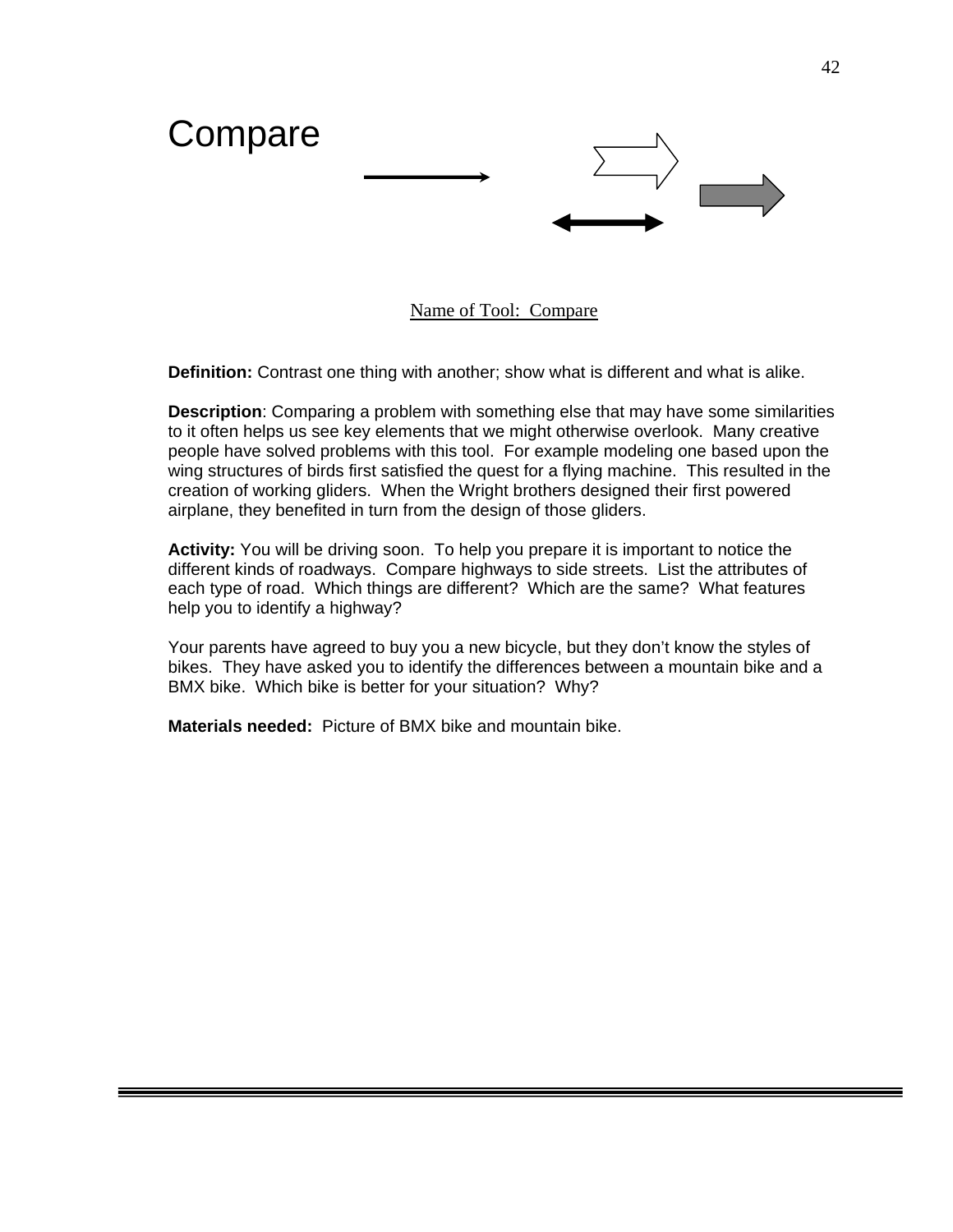

Name of Tool: Compare

**Definition:** Contrast one thing with another; show what is different and what is alike.

**Description**: Comparing a problem with something else that may have some similarities to it often helps us see key elements that we might otherwise overlook. Many creative people have solved problems with this tool. For example modeling one based upon the wing structures of birds first satisfied the quest for a flying machine. This resulted in the creation of working gliders. When the Wright brothers designed their first powered airplane, they benefited in turn from the design of those gliders.

**Activity:** You will be driving soon. To help you prepare it is important to notice the different kinds of roadways. Compare highways to side streets. List the attributes of each type of road. Which things are different? Which are the same? What features help you to identify a highway?

Your parents have agreed to buy you a new bicycle, but they don't know the styles of bikes. They have asked you to identify the differences between a mountain bike and a BMX bike. Which bike is better for your situation? Why?

**Materials needed:** Picture of BMX bike and mountain bike.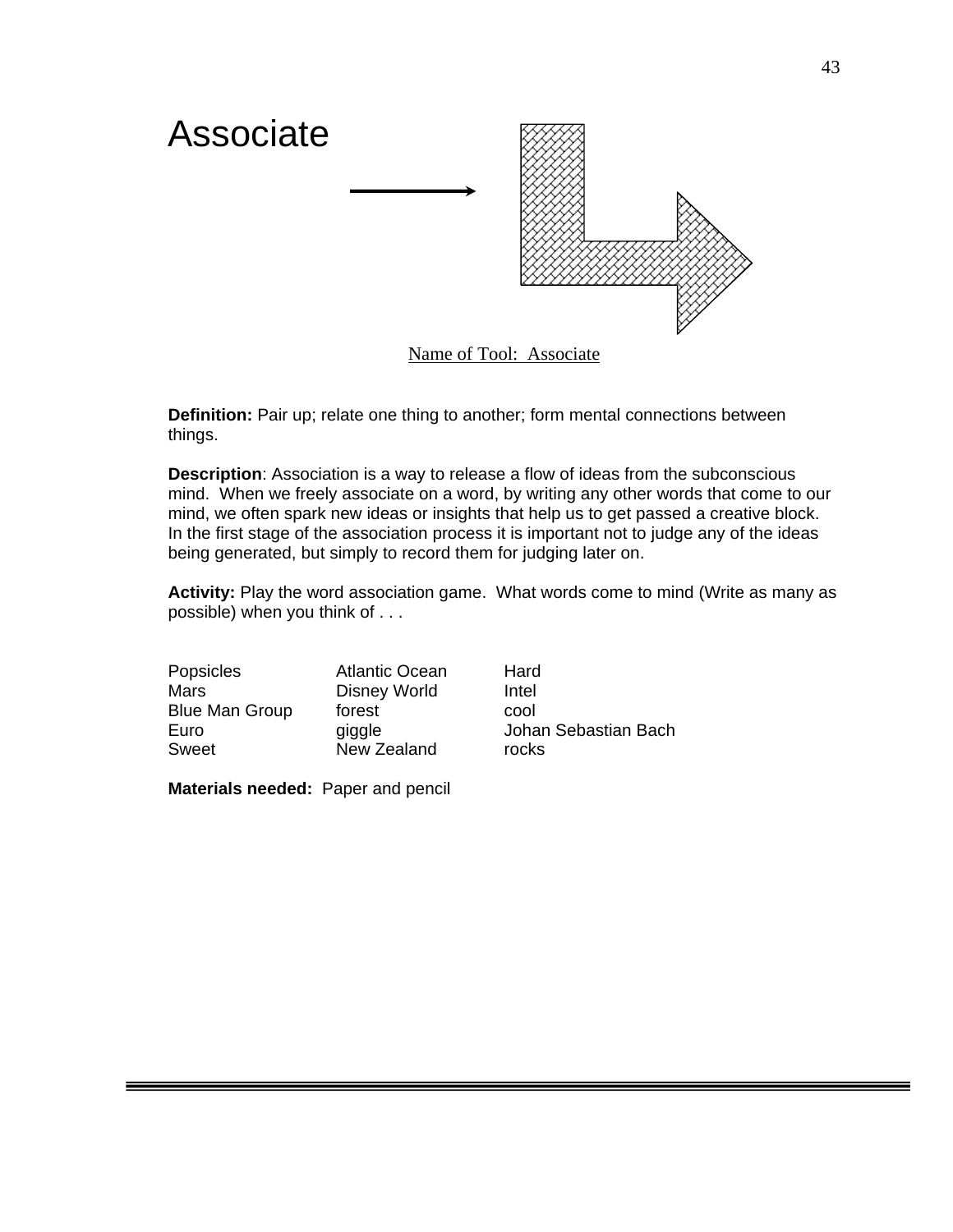

**Definition:** Pair up; relate one thing to another; form mental connections between things.

**Description**: Association is a way to release a flow of ideas from the subconscious mind. When we freely associate on a word, by writing any other words that come to our mind, we often spark new ideas or insights that help us to get passed a creative block. In the first stage of the association process it is important not to judge any of the ideas being generated, but simply to record them for judging later on.

**Activity:** Play the word association game. What words come to mind (Write as many as possible) when you think of . . .

| Popsicles             | <b>Atlantic Ocean</b> | Hard  |
|-----------------------|-----------------------|-------|
| Mars                  | <b>Disney World</b>   | Intel |
| <b>Blue Man Group</b> | forest                | cool  |
| Euro                  | giggle                | Johan |
| <b>Sweet</b>          | New Zealand           | rocks |

an Sebastian Bach

**Materials needed:** Paper and pencil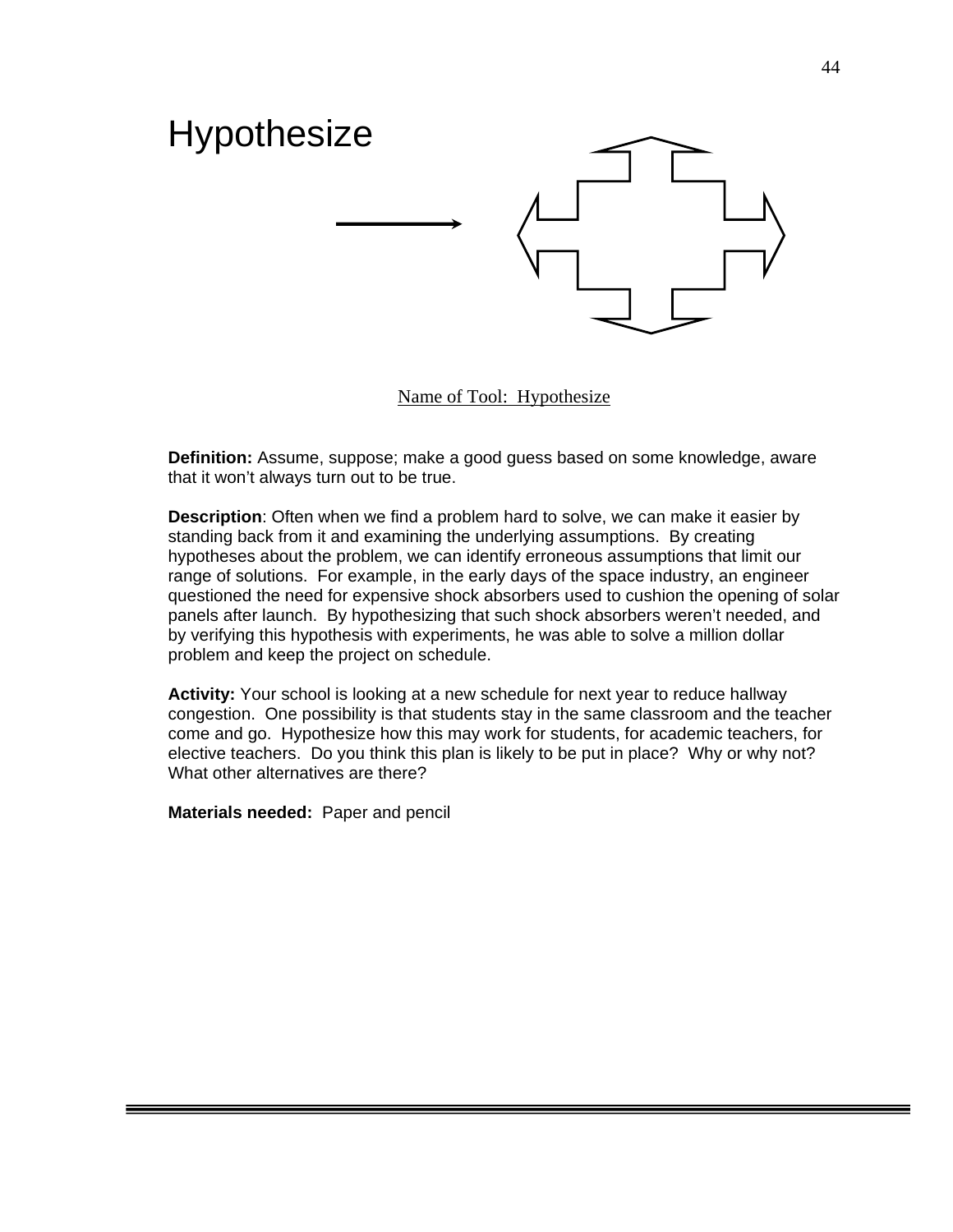

Name of Tool: Hypothesize

**Definition:** Assume, suppose; make a good guess based on some knowledge, aware that it won't always turn out to be true.

**Description**: Often when we find a problem hard to solve, we can make it easier by standing back from it and examining the underlying assumptions. By creating hypotheses about the problem, we can identify erroneous assumptions that limit our range of solutions. For example, in the early days of the space industry, an engineer questioned the need for expensive shock absorbers used to cushion the opening of solar panels after launch. By hypothesizing that such shock absorbers weren't needed, and by verifying this hypothesis with experiments, he was able to solve a million dollar problem and keep the project on schedule.

**Activity:** Your school is looking at a new schedule for next year to reduce hallway congestion. One possibility is that students stay in the same classroom and the teacher come and go. Hypothesize how this may work for students, for academic teachers, for elective teachers. Do you think this plan is likely to be put in place? Why or why not? What other alternatives are there?

**Materials needed:** Paper and pencil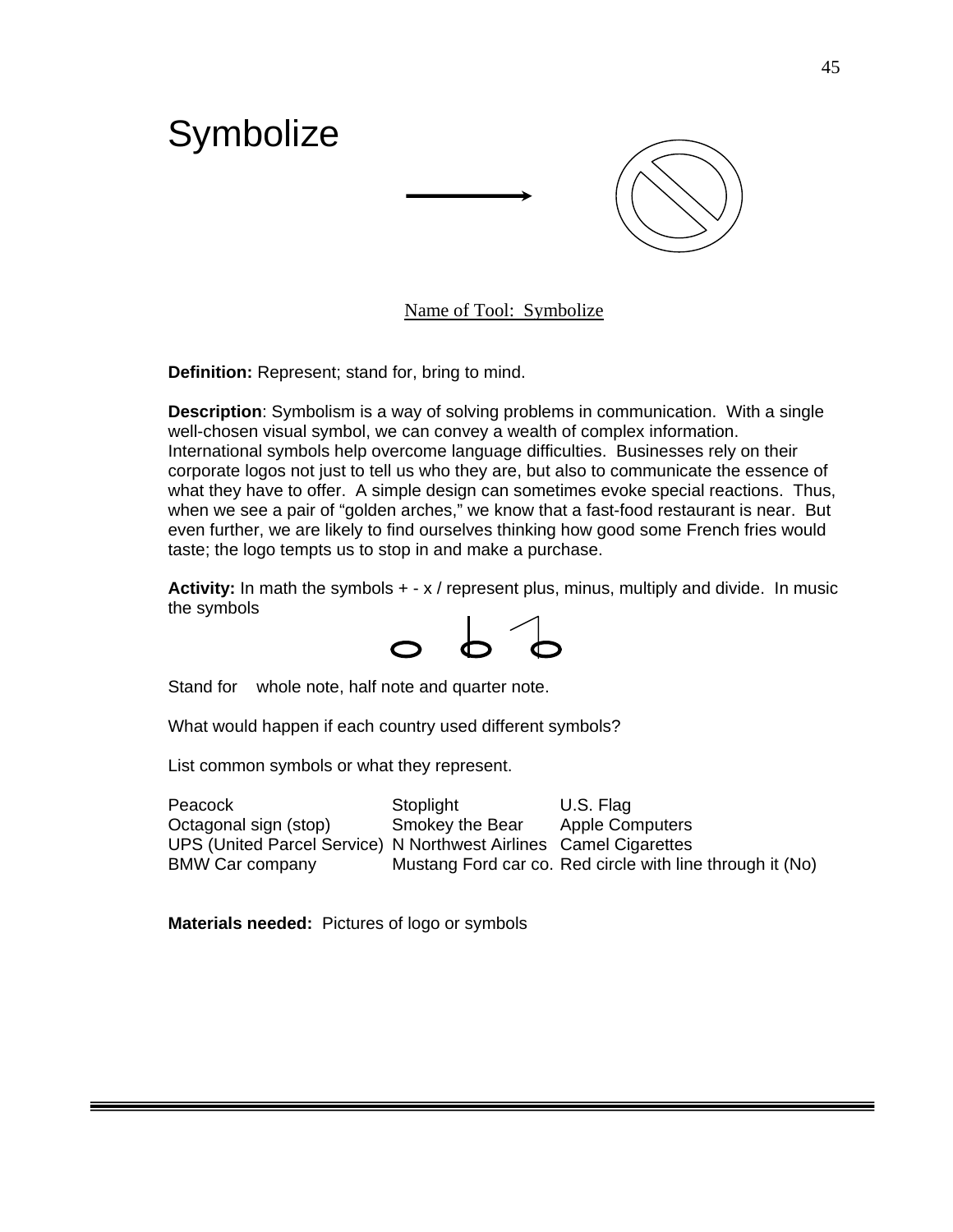

Name of Tool: Symbolize

**Definition:** Represent; stand for, bring to mind.

**Description**: Symbolism is a way of solving problems in communication. With a single well-chosen visual symbol, we can convey a wealth of complex information. International symbols help overcome language difficulties. Businesses rely on their corporate logos not just to tell us who they are, but also to communicate the essence of what they have to offer. A simple design can sometimes evoke special reactions. Thus, when we see a pair of "golden arches," we know that a fast-food restaurant is near. But even further, we are likely to find ourselves thinking how good some French fries would taste; the logo tempts us to stop in and make a purchase.

**Activity:** In math the symbols + - x / represent plus, minus, multiply and divide. In music the symbols



Stand for whole note, half note and quarter note.

What would happen if each country used different symbols?

List common symbols or what they represent.

Peacock Stoplight U.S. Flag Octagonal sign (stop) Smokey the Bear Apple Computers UPS (United Parcel Service) N Northwest Airlines Camel Cigarettes BMW Car company Mustang Ford car co. Red circle with line through it (No)

**Materials needed:** Pictures of logo or symbols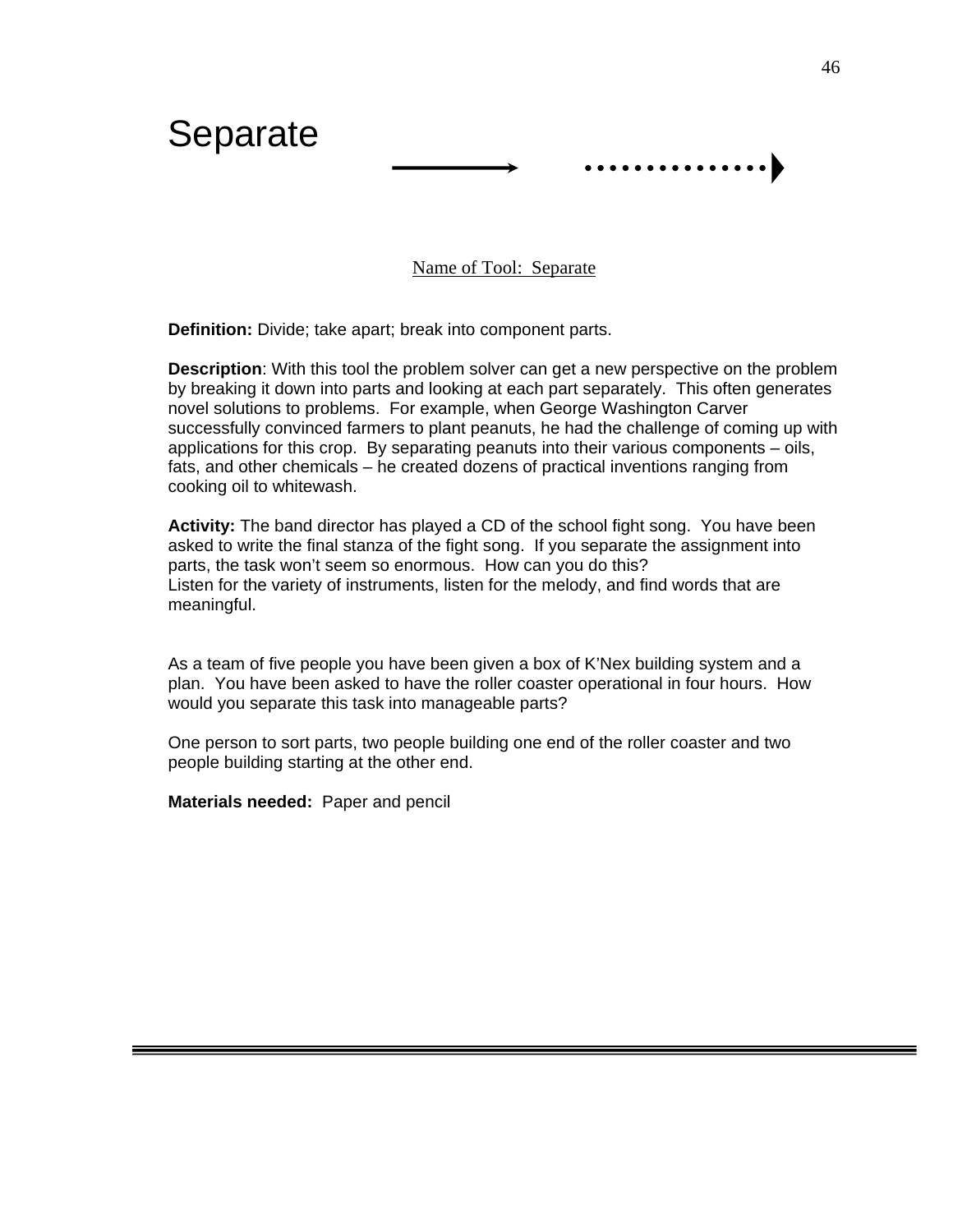

Name of Tool: Separate

**Definition:** Divide; take apart; break into component parts.

**Description**: With this tool the problem solver can get a new perspective on the problem by breaking it down into parts and looking at each part separately. This often generates novel solutions to problems. For example, when George Washington Carver successfully convinced farmers to plant peanuts, he had the challenge of coming up with applications for this crop. By separating peanuts into their various components – oils, fats, and other chemicals – he created dozens of practical inventions ranging from cooking oil to whitewash.

**Activity:** The band director has played a CD of the school fight song. You have been asked to write the final stanza of the fight song. If you separate the assignment into parts, the task won't seem so enormous. How can you do this? Listen for the variety of instruments, listen for the melody, and find words that are meaningful.

As a team of five people you have been given a box of K'Nex building system and a plan. You have been asked to have the roller coaster operational in four hours. How would you separate this task into manageable parts?

One person to sort parts, two people building one end of the roller coaster and two people building starting at the other end.

**Materials needed:** Paper and pencil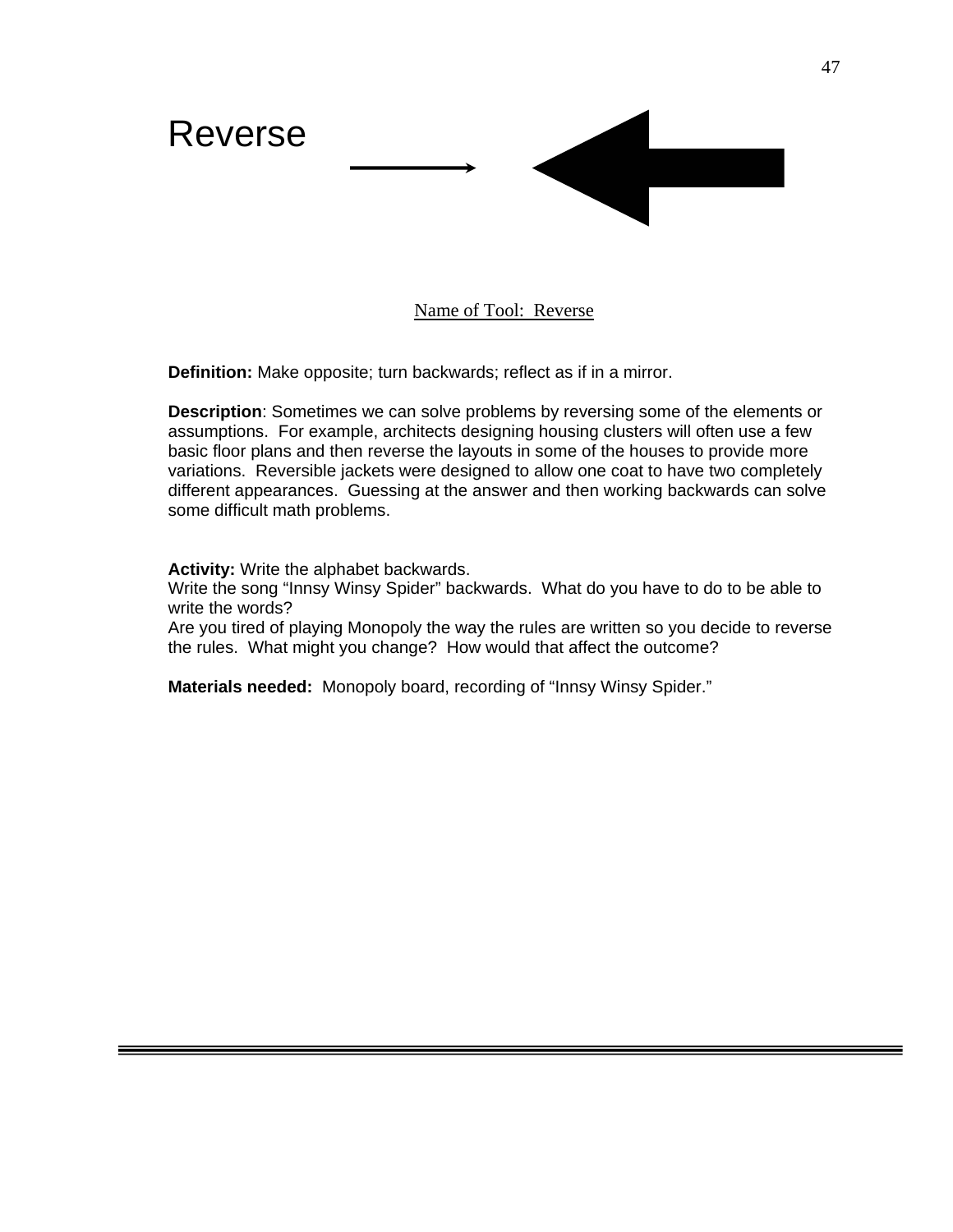

# Name of Tool: Reverse

**Definition:** Make opposite; turn backwards; reflect as if in a mirror.

**Description**: Sometimes we can solve problems by reversing some of the elements or assumptions. For example, architects designing housing clusters will often use a few basic floor plans and then reverse the layouts in some of the houses to provide more variations. Reversible jackets were designed to allow one coat to have two completely different appearances. Guessing at the answer and then working backwards can solve some difficult math problems.

**Activity:** Write the alphabet backwards.

Write the song "Innsy Winsy Spider" backwards. What do you have to do to be able to write the words?

Are you tired of playing Monopoly the way the rules are written so you decide to reverse the rules. What might you change? How would that affect the outcome?

**Materials needed:** Monopoly board, recording of "Innsy Winsy Spider."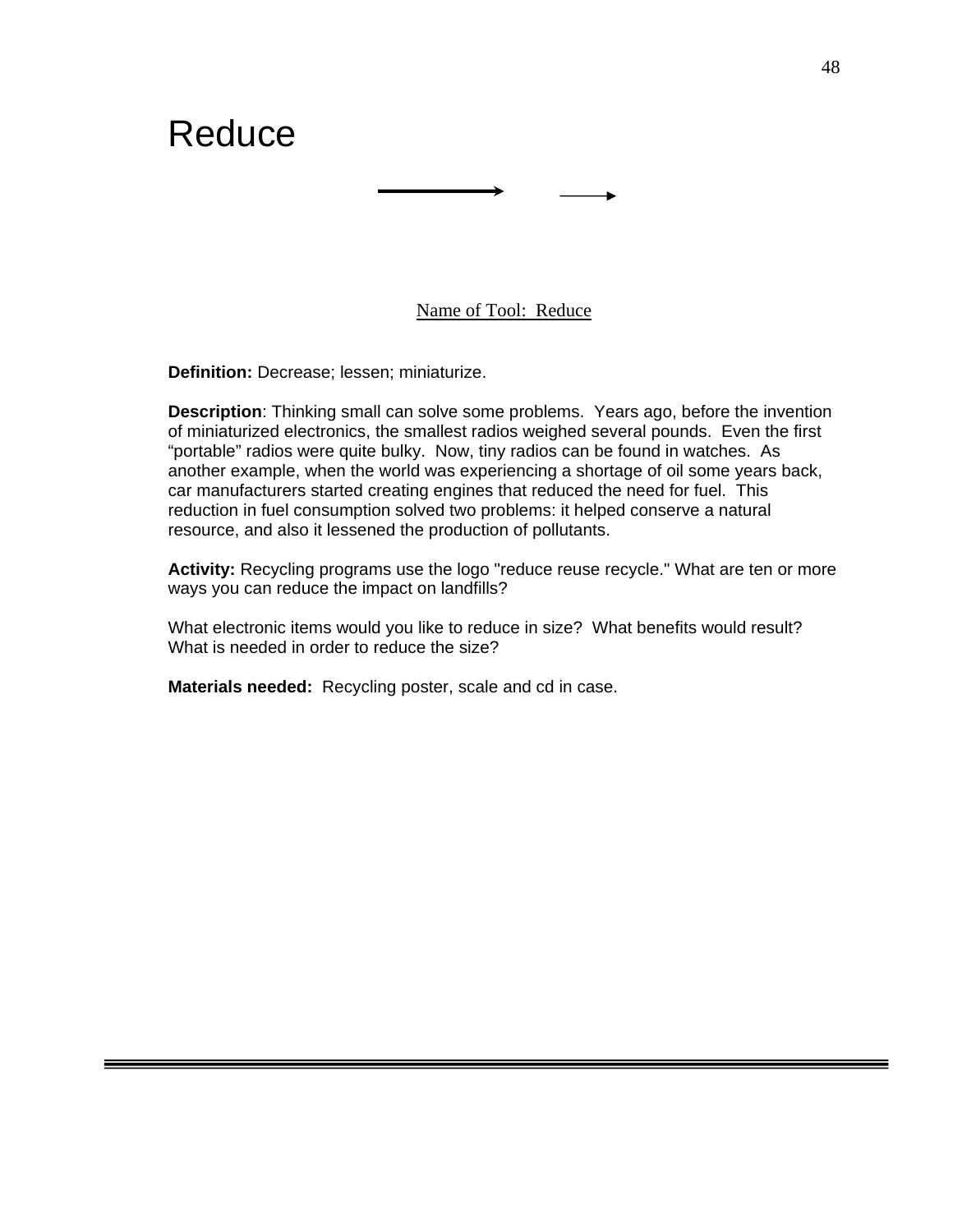# Reduce

Name of Tool: Reduce

**Definition:** Decrease; lessen; miniaturize.

**Description**: Thinking small can solve some problems. Years ago, before the invention of miniaturized electronics, the smallest radios weighed several pounds. Even the first "portable" radios were quite bulky. Now, tiny radios can be found in watches. As another example, when the world was experiencing a shortage of oil some years back, car manufacturers started creating engines that reduced the need for fuel. This reduction in fuel consumption solved two problems: it helped conserve a natural resource, and also it lessened the production of pollutants.

**Activity:** Recycling programs use the logo "reduce reuse recycle." What are ten or more ways you can reduce the impact on landfills?

What electronic items would you like to reduce in size? What benefits would result? What is needed in order to reduce the size?

**Materials needed:** Recycling poster, scale and cd in case.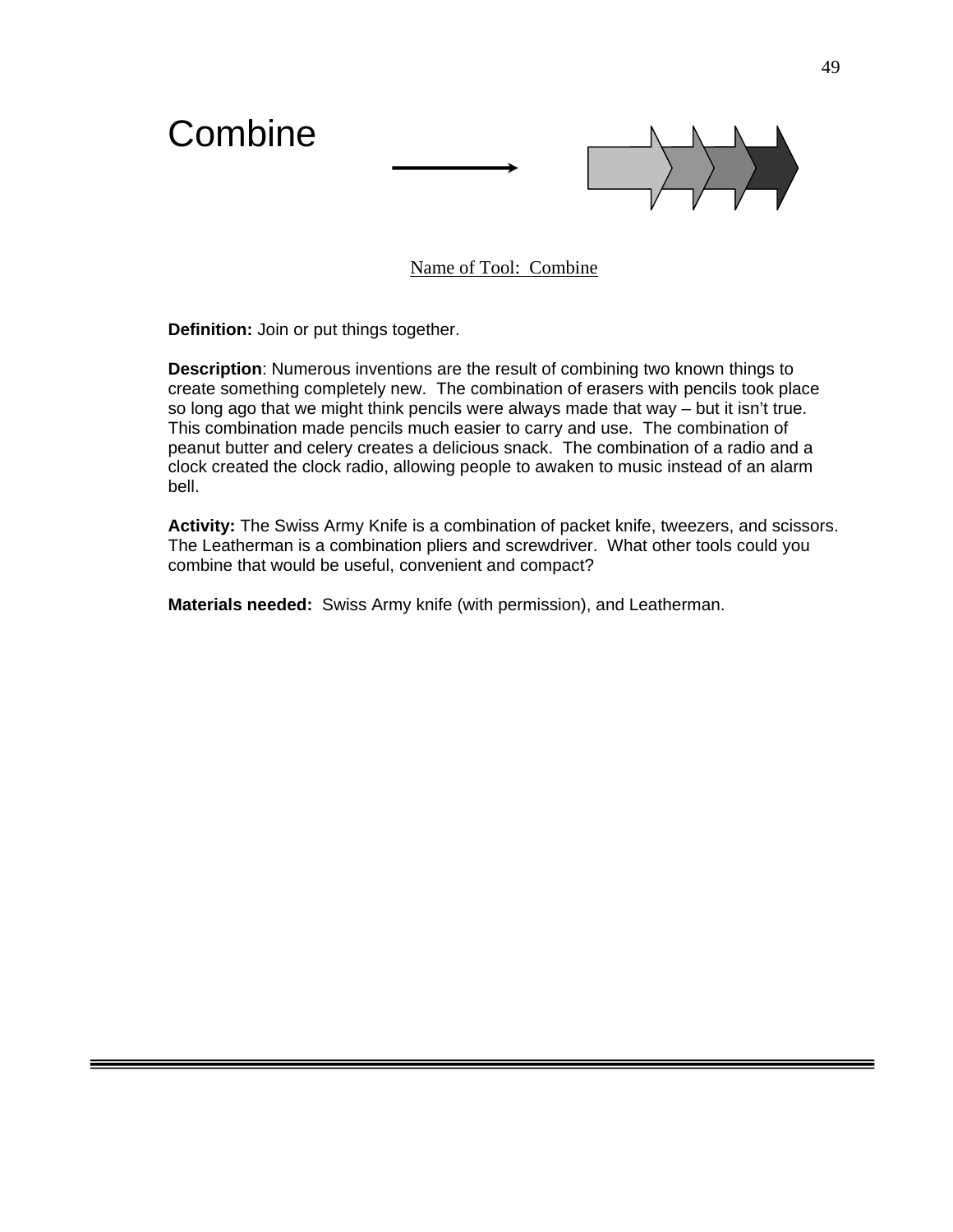

Name of Tool: Combine

**Definition:** Join or put things together.

**Description**: Numerous inventions are the result of combining two known things to create something completely new. The combination of erasers with pencils took place so long ago that we might think pencils were always made that way – but it isn't true. This combination made pencils much easier to carry and use. The combination of peanut butter and celery creates a delicious snack. The combination of a radio and a clock created the clock radio, allowing people to awaken to music instead of an alarm bell.

**Activity:** The Swiss Army Knife is a combination of packet knife, tweezers, and scissors. The Leatherman is a combination pliers and screwdriver. What other tools could you combine that would be useful, convenient and compact?

**Materials needed:** Swiss Army knife (with permission), and Leatherman.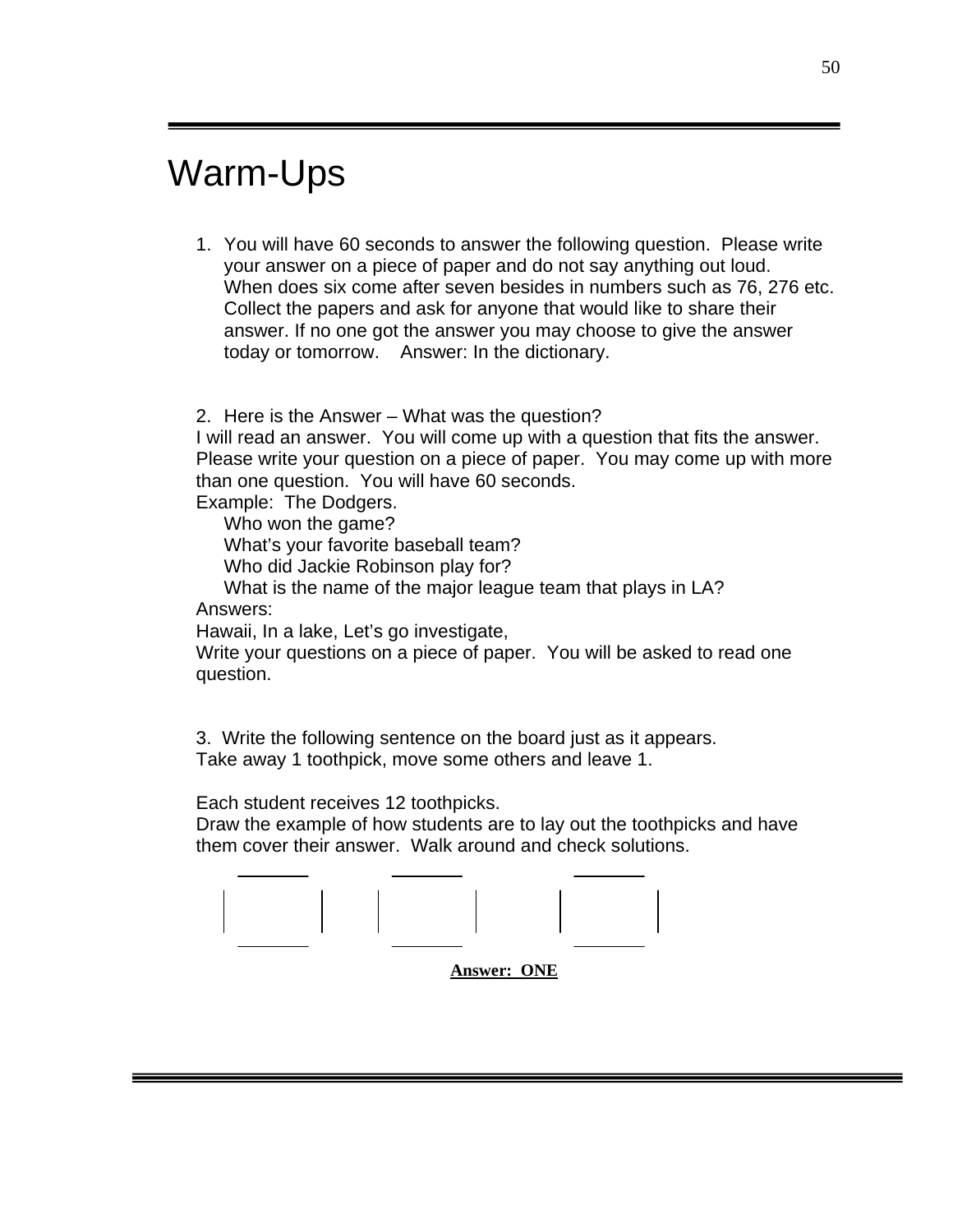# Warm-Ups

1. You will have 60 seconds to answer the following question. Please write your answer on a piece of paper and do not say anything out loud. When does six come after seven besides in numbers such as 76, 276 etc. Collect the papers and ask for anyone that would like to share their answer. If no one got the answer you may choose to give the answer today or tomorrow. Answer: In the dictionary.

2. Here is the Answer – What was the question?

I will read an answer. You will come up with a question that fits the answer. Please write your question on a piece of paper. You may come up with more than one question. You will have 60 seconds.

Example: The Dodgers.

Who won the game?

What's your favorite baseball team?

Who did Jackie Robinson play for?

 What is the name of the major league team that plays in LA? Answers:

Hawaii, In a lake, Let's go investigate,

Write your questions on a piece of paper. You will be asked to read one question.

3. Write the following sentence on the board just as it appears. Take away 1 toothpick, move some others and leave 1.

Each student receives 12 toothpicks.

Draw the example of how students are to lay out the toothpicks and have them cover their answer. Walk around and check solutions.



**Answer: ONE**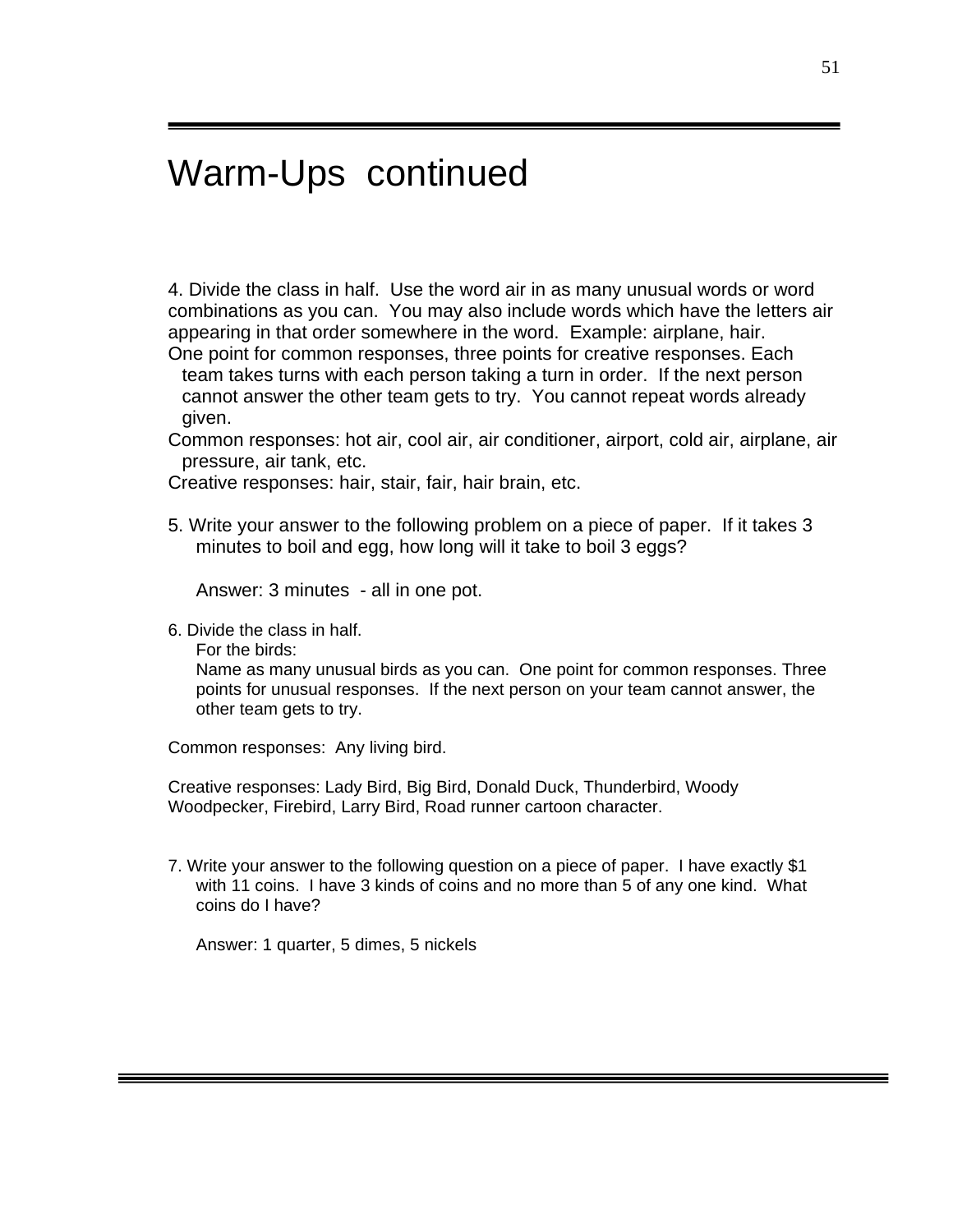# Warm-Ups continued

4. Divide the class in half. Use the word air in as many unusual words or word combinations as you can. You may also include words which have the letters air appearing in that order somewhere in the word. Example: airplane, hair. One point for common responses, three points for creative responses. Each

team takes turns with each person taking a turn in order. If the next person cannot answer the other team gets to try. You cannot repeat words already given.

Common responses: hot air, cool air, air conditioner, airport, cold air, airplane, air pressure, air tank, etc.

Creative responses: hair, stair, fair, hair brain, etc.

5. Write your answer to the following problem on a piece of paper. If it takes 3 minutes to boil and egg, how long will it take to boil 3 eggs?

Answer: 3 minutes - all in one pot.

6. Divide the class in half.

For the birds:

Name as many unusual birds as you can. One point for common responses. Three points for unusual responses. If the next person on your team cannot answer, the other team gets to try.

Common responses: Any living bird.

Creative responses: Lady Bird, Big Bird, Donald Duck, Thunderbird, Woody Woodpecker, Firebird, Larry Bird, Road runner cartoon character.

7. Write your answer to the following question on a piece of paper. I have exactly \$1 with 11 coins. I have 3 kinds of coins and no more than 5 of any one kind. What coins do I have?

Answer: 1 quarter, 5 dimes, 5 nickels